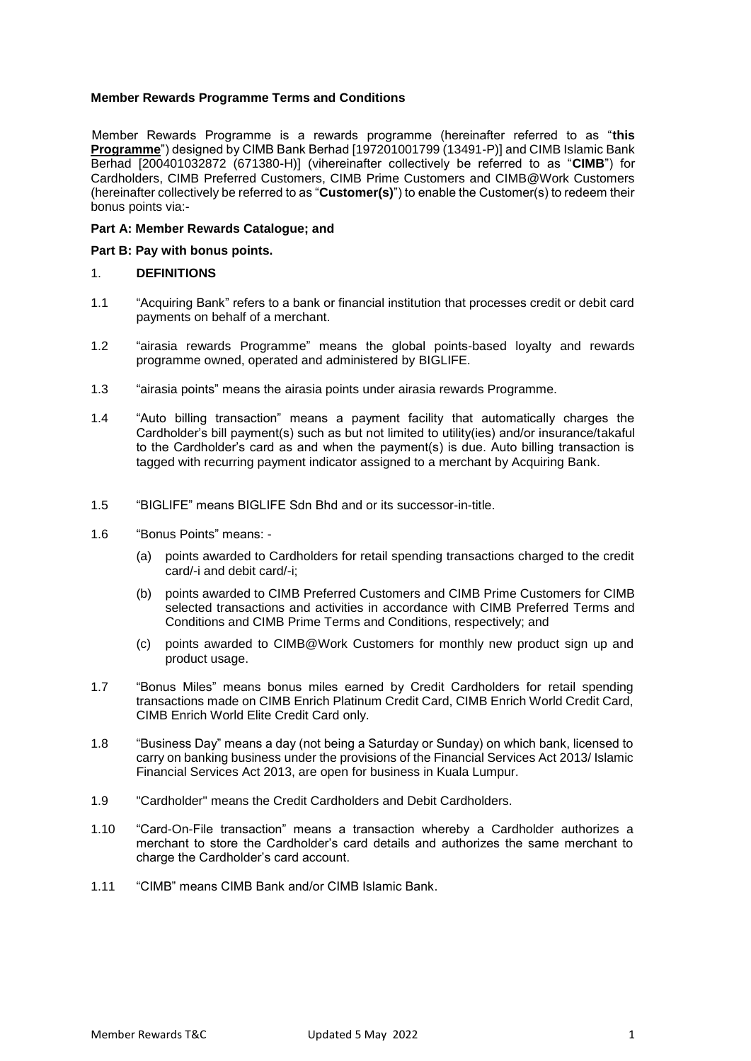## **Member Rewards Programme Terms and Conditions**

Member Rewards Programme is a rewards programme (hereinafter referred to as "**this Programme**") designed by CIMB Bank Berhad [197201001799 (13491-P)] and CIMB Islamic Bank Berhad [200401032872 (671380-H)] (vihereinafter collectively be referred to as "**CIMB**") for Cardholders, CIMB Preferred Customers, CIMB Prime Customers and CIMB@Work Customers (hereinafter collectively be referred to as "**Customer(s)**") to enable the Customer(s) to redeem their bonus points via:-

#### **Part A: Member Rewards Catalogue; and**

#### **Part B: Pay with bonus points.**

#### 1. **DEFINITIONS**

- 1.1 "Acquiring Bank" refers to a bank or financial institution that processes credit or debit card payments on behalf of a merchant.
- 1.2 "airasia rewards Programme" means the global points-based loyalty and rewards programme owned, operated and administered by BIGLIFE.
- 1.3 "airasia points" means the airasia points under airasia rewards Programme.
- 1.4 "Auto billing transaction" means a payment facility that automatically charges the Cardholder's bill payment(s) such as but not limited to utility(ies) and/or insurance/takaful to the Cardholder's card as and when the payment(s) is due. Auto billing transaction is tagged with recurring payment indicator assigned to a merchant by Acquiring Bank.
- 1.5 "BIGLIFE" means BIGLIFE Sdn Bhd and or its successor-in-title.
- 1.6 "Bonus Points" means:
	- (a) points awarded to Cardholders for retail spending transactions charged to the credit card/-i and debit card/-i;
	- (b) points awarded to CIMB Preferred Customers and CIMB Prime Customers for CIMB selected transactions and activities in accordance with CIMB Preferred Terms and Conditions and CIMB Prime Terms and Conditions, respectively; and
	- (c) points awarded to CIMB@Work Customers for monthly new product sign up and product usage.
- 1.7 "Bonus Miles" means bonus miles earned by Credit Cardholders for retail spending transactions made on CIMB Enrich Platinum Credit Card, CIMB Enrich World Credit Card, CIMB Enrich World Elite Credit Card only.
- 1.8 "Business Day" means a day (not being a Saturday or Sunday) on which bank, licensed to carry on banking business under the provisions of the Financial Services Act 2013/ Islamic Financial Services Act 2013, are open for business in Kuala Lumpur.
- 1.9 "Cardholder" means the Credit Cardholders and Debit Cardholders.
- 1.10 "Card-On-File transaction" means a transaction whereby a Cardholder authorizes a merchant to store the Cardholder's card details and authorizes the same merchant to charge the Cardholder's card account.
- 1.11 "CIMB" means CIMB Bank and/or CIMB Islamic Bank.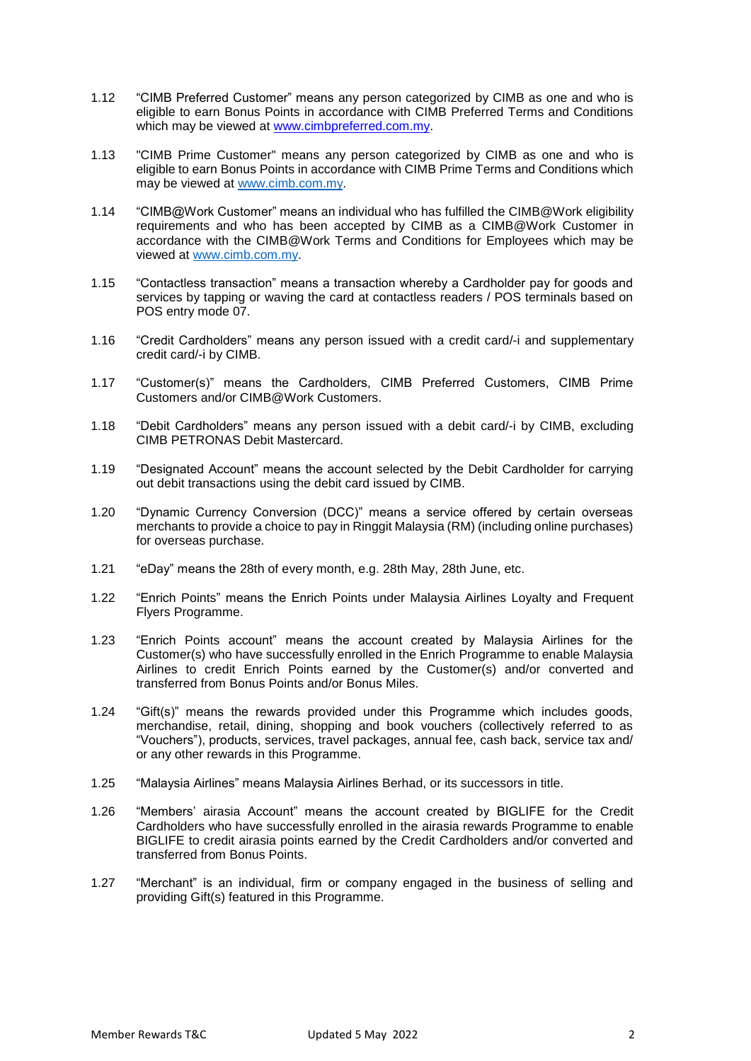- 1.12 "CIMB Preferred Customer" means any person categorized by CIMB as one and who is eligible to earn Bonus Points in accordance with CIMB Preferred Terms and Conditions which may be viewed at [www.cimbpreferred.com.my.](http://www.cimbpreferred.com.my/)
- 1.13 "CIMB Prime Customer" means any person categorized by CIMB as one and who is eligible to earn Bonus Points in accordance with CIMB Prime Terms and Conditions which may be viewed at [www.cimb.com.my.](http://www.cimb.com.my/)
- 1.14 "CIMB@Work Customer" means an individual who has fulfilled the CIMB@Work eligibility requirements and who has been accepted by CIMB as a CIMB@Work Customer in accordance with the CIMB@Work Terms and Conditions for Employees which may be viewed at [www.cimb.com.my.](http://www.cimb.com.my/)
- 1.15 "Contactless transaction" means a transaction whereby a Cardholder pay for goods and services by tapping or waving the card at contactless readers / POS terminals based on POS entry mode 07.
- 1.16 "Credit Cardholders" means any person issued with a credit card/-i and supplementary credit card/-i by CIMB.
- 1.17 "Customer(s)" means the Cardholders, CIMB Preferred Customers, CIMB Prime Customers and/or CIMB@Work Customers.
- 1.18 "Debit Cardholders" means any person issued with a debit card/-i by CIMB, excluding CIMB PETRONAS Debit Mastercard.
- 1.19 "Designated Account" means the account selected by the Debit Cardholder for carrying out debit transactions using the debit card issued by CIMB.
- 1.20 "Dynamic Currency Conversion (DCC)" means a service offered by certain overseas merchants to provide a choice to pay in Ringgit Malaysia (RM) (including online purchases) for overseas purchase.
- 1.21 "eDay" means the 28th of every month, e.g. 28th May, 28th June, etc.
- 1.22 "Enrich Points" means the Enrich Points under Malaysia Airlines Loyalty and Frequent Flyers Programme.
- 1.23 "Enrich Points account" means the account created by Malaysia Airlines for the Customer(s) who have successfully enrolled in the Enrich Programme to enable Malaysia Airlines to credit Enrich Points earned by the Customer(s) and/or converted and transferred from Bonus Points and/or Bonus Miles.
- 1.24 "Gift(s)" means the rewards provided under this Programme which includes goods, merchandise, retail, dining, shopping and book vouchers (collectively referred to as "Vouchers"), products, services, travel packages, annual fee, cash back, service tax and/ or any other rewards in this Programme.
- 1.25 "Malaysia Airlines" means Malaysia Airlines Berhad, or its successors in title.
- 1.26 "Members' airasia Account" means the account created by BIGLIFE for the Credit Cardholders who have successfully enrolled in the airasia rewards Programme to enable BIGLIFE to credit airasia points earned by the Credit Cardholders and/or converted and transferred from Bonus Points.
- 1.27 "Merchant" is an individual, firm or company engaged in the business of selling and providing Gift(s) featured in this Programme.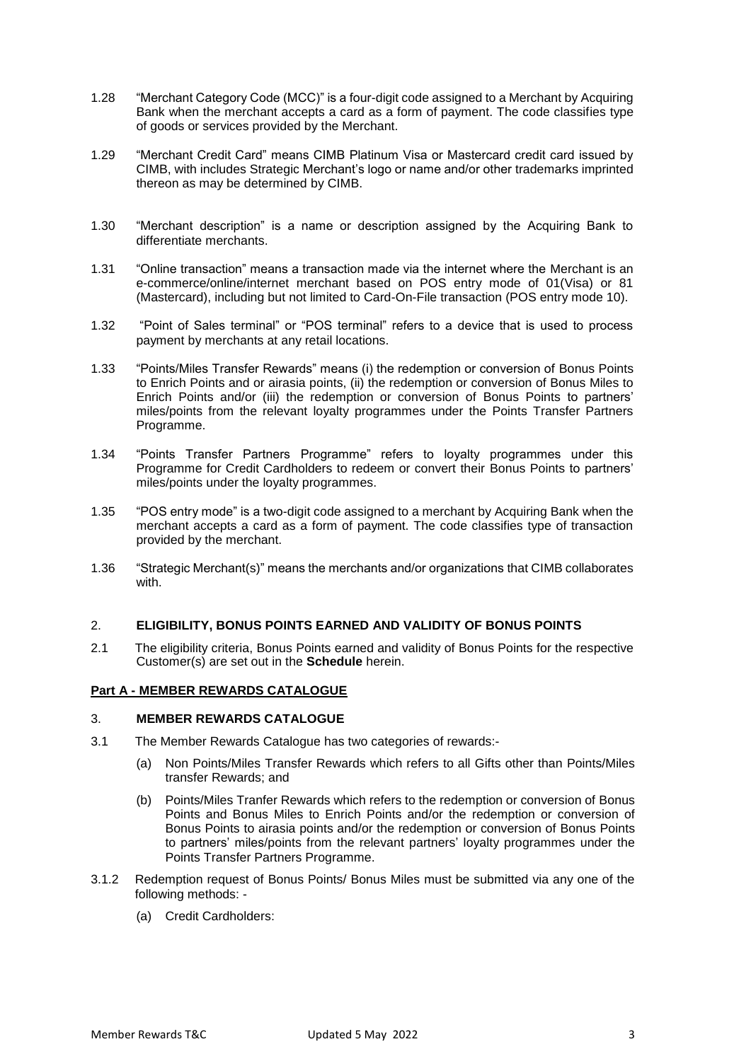- 1.28 "Merchant Category Code (MCC)" is a four-digit code assigned to a Merchant by Acquiring Bank when the merchant accepts a card as a form of payment. The code classifies type of goods or services provided by the Merchant.
- 1.29 "Merchant Credit Card" means CIMB Platinum Visa or Mastercard credit card issued by CIMB, with includes Strategic Merchant's logo or name and/or other trademarks imprinted thereon as may be determined by CIMB.
- 1.30 "Merchant description" is a name or description assigned by the Acquiring Bank to differentiate merchants.
- 1.31 "Online transaction" means a transaction made via the internet where the Merchant is an e-commerce/online/internet merchant based on POS entry mode of 01(Visa) or 81 (Mastercard), including but not limited to Card-On-File transaction (POS entry mode 10).
- 1.32 "Point of Sales terminal" or "POS terminal" refers to a device that is used to process payment by merchants at any retail locations.
- 1.33 "Points/Miles Transfer Rewards" means (i) the redemption or conversion of Bonus Points to Enrich Points and or airasia points, (ii) the redemption or conversion of Bonus Miles to Enrich Points and/or (iii) the redemption or conversion of Bonus Points to partners' miles/points from the relevant loyalty programmes under the Points Transfer Partners Programme.
- 1.34 "Points Transfer Partners Programme" refers to loyalty programmes under this Programme for Credit Cardholders to redeem or convert their Bonus Points to partners' miles/points under the loyalty programmes.
- 1.35 "POS entry mode" is a two-digit code assigned to a merchant by Acquiring Bank when the merchant accepts a card as a form of payment. The code classifies type of transaction provided by the merchant.
- 1.36 "Strategic Merchant(s)" means the merchants and/or organizations that CIMB collaborates with.

#### 2. **ELIGIBILITY, BONUS POINTS EARNED AND VALIDITY OF BONUS POINTS**

2.1 The eligibility criteria, Bonus Points earned and validity of Bonus Points for the respective Customer(s) are set out in the **Schedule** herein.

## **Part A - MEMBER REWARDS CATALOGUE**

#### 3. **MEMBER REWARDS CATALOGUE**

- 3.1 The Member Rewards Catalogue has two categories of rewards:-
	- (a) Non Points/Miles Transfer Rewards which refers to all Gifts other than Points/Miles transfer Rewards; and
	- (b) Points/Miles Tranfer Rewards which refers to the redemption or conversion of Bonus Points and Bonus Miles to Enrich Points and/or the redemption or conversion of Bonus Points to airasia points and/or the redemption or conversion of Bonus Points to partners' miles/points from the relevant partners' loyalty programmes under the Points Transfer Partners Programme.
- 3.1.2 Redemption request of Bonus Points/ Bonus Miles must be submitted via any one of the following methods: -
	- (a) Credit Cardholders: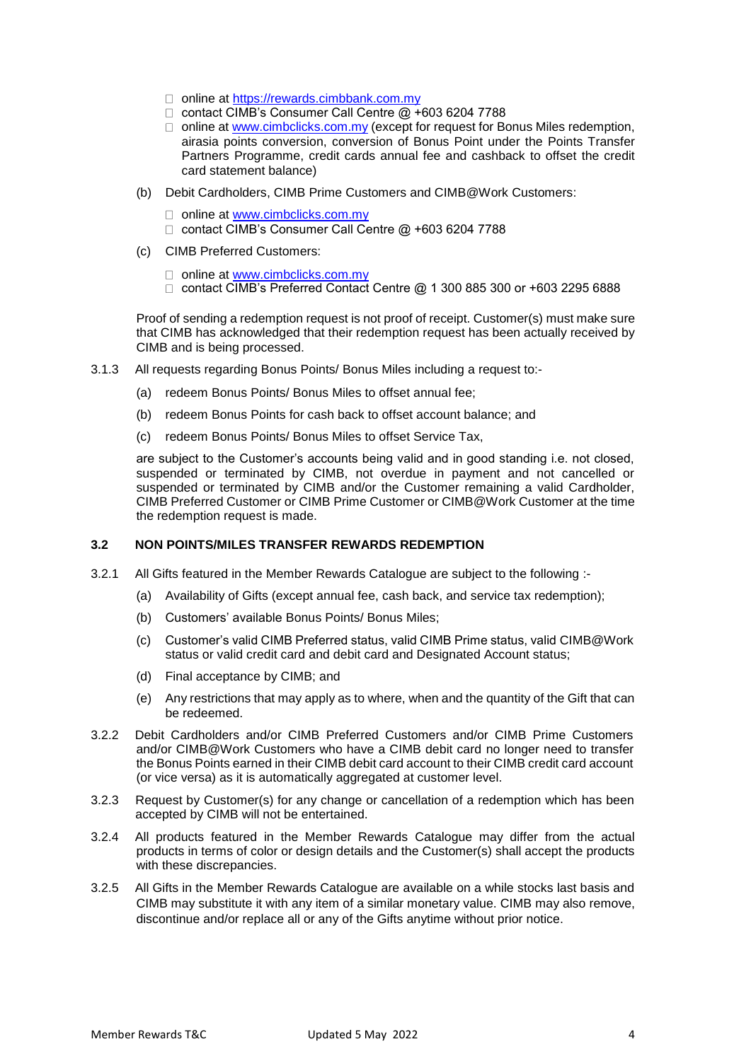- □ online at [https://rewards.cimbbank.com.my](https://rewards.cimbbank.com.my/)
- □ contact CIMB's Consumer Call Centre @ +603 6204 7788
- $\Box$  online at [www.cimbclicks.com.my](http://www.cimbclicks.com.my/) (except for request for Bonus Miles redemption, airasia points conversion, conversion of Bonus Point under the Points Transfer Partners Programme, credit cards annual fee and cashback to offset the credit card statement balance)
- (b) Debit Cardholders, CIMB Prime Customers and CIMB@Work Customers:
	- □ online at [www.cimbclicks.com.my](http://www.cimbclicks.com.my/)
	- □ contact CIMB's Consumer Call Centre @ +603 6204 7788
- (c) CIMB Preferred Customers:
	- □ online at [www.cimbclicks.com.my](http://www.cimbclicks.com.my/)
	- □ contact CIMB's Preferred Contact Centre @ 1 300 885 300 or +603 2295 6888

Proof of sending a redemption request is not proof of receipt. Customer(s) must make sure that CIMB has acknowledged that their redemption request has been actually received by CIMB and is being processed.

- 3.1.3 All requests regarding Bonus Points/ Bonus Miles including a request to:-
	- (a) redeem Bonus Points/ Bonus Miles to offset annual fee;
	- (b) redeem Bonus Points for cash back to offset account balance; and
	- (c) redeem Bonus Points/ Bonus Miles to offset Service Tax,

are subject to the Customer's accounts being valid and in good standing i.e. not closed, suspended or terminated by CIMB, not overdue in payment and not cancelled or suspended or terminated by CIMB and/or the Customer remaining a valid Cardholder, CIMB Preferred Customer or CIMB Prime Customer or CIMB@Work Customer at the time the redemption request is made.

## **3.2 NON POINTS/MILES TRANSFER REWARDS REDEMPTION**

- 3.2.1 All Gifts featured in the Member Rewards Catalogue are subject to the following :-
	- (a) Availability of Gifts (except annual fee, cash back, and service tax redemption);
	- (b) Customers' available Bonus Points/ Bonus Miles;
	- (c) Customer's valid CIMB Preferred status, valid CIMB Prime status, valid CIMB@Work status or valid credit card and debit card and Designated Account status;
	- (d) Final acceptance by CIMB; and
	- (e) Any restrictions that may apply as to where, when and the quantity of the Gift that can be redeemed.
- 3.2.2 Debit Cardholders and/or CIMB Preferred Customers and/or CIMB Prime Customers and/or CIMB@Work Customers who have a CIMB debit card no longer need to transfer the Bonus Points earned in their CIMB debit card account to their CIMB credit card account (or vice versa) as it is automatically aggregated at customer level.
- 3.2.3 Request by Customer(s) for any change or cancellation of a redemption which has been accepted by CIMB will not be entertained.
- 3.2.4 All products featured in the Member Rewards Catalogue may differ from the actual products in terms of color or design details and the Customer(s) shall accept the products with these discrepancies.
- 3.2.5 All Gifts in the Member Rewards Catalogue are available on a while stocks last basis and CIMB may substitute it with any item of a similar monetary value. CIMB may also remove, discontinue and/or replace all or any of the Gifts anytime without prior notice.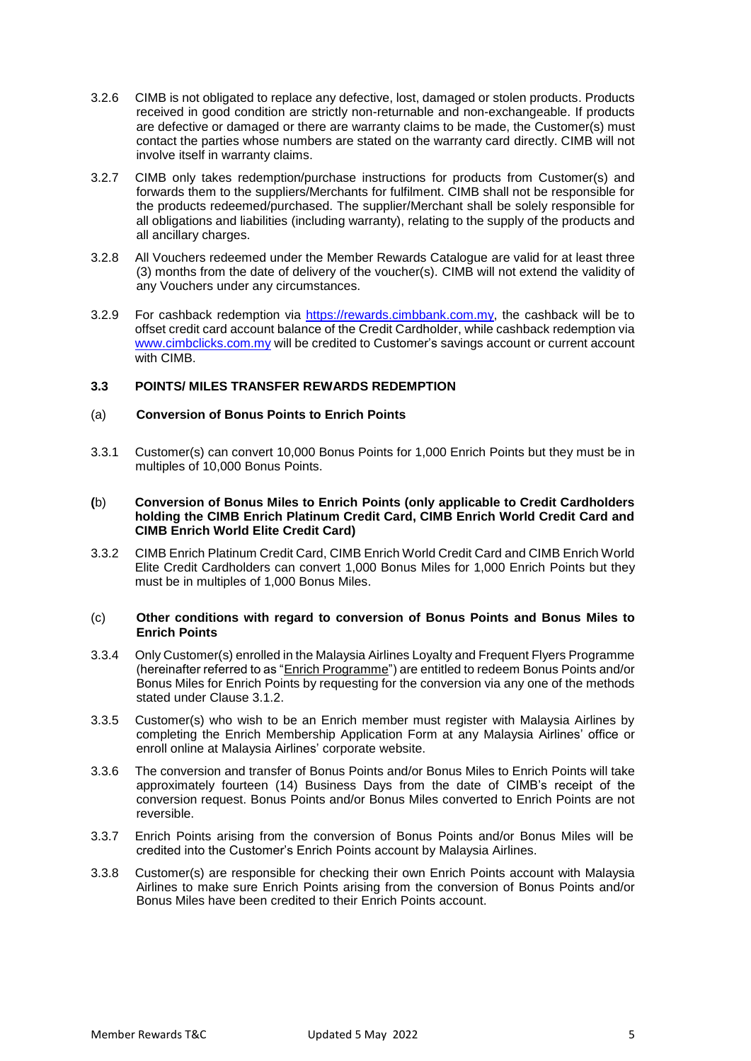- 3.2.6 CIMB is not obligated to replace any defective, lost, damaged or stolen products. Products received in good condition are strictly non-returnable and non-exchangeable. If products are defective or damaged or there are warranty claims to be made, the Customer(s) must contact the parties whose numbers are stated on the warranty card directly. CIMB will not involve itself in warranty claims.
- 3.2.7 CIMB only takes redemption/purchase instructions for products from Customer(s) and forwards them to the suppliers/Merchants for fulfilment. CIMB shall not be responsible for the products redeemed/purchased. The supplier/Merchant shall be solely responsible for all obligations and liabilities (including warranty), relating to the supply of the products and all ancillary charges.
- 3.2.8 All Vouchers redeemed under the Member Rewards Catalogue are valid for at least three (3) months from the date of delivery of the voucher(s). CIMB will not extend the validity of any Vouchers under any circumstances.
- 3.2.9 For cashback redemption via [https://rewards.cimbbank.com.my,](https://rewards.cimbbank.com.my/) the cashback will be to offset credit card account balance of the Credit Cardholder, while cashback redemption via [www.cimbclicks.com.my](http://www.cimbclicks.com.my/) will be credited to Customer's savings account or current account with CIMB.

## **3.3 POINTS/ MILES TRANSFER REWARDS REDEMPTION**

## (a) **Conversion of Bonus Points to Enrich Points**

3.3.1 Customer(s) can convert 10,000 Bonus Points for 1,000 Enrich Points but they must be in multiples of 10,000 Bonus Points.

#### **(**b) **Conversion of Bonus Miles to Enrich Points (only applicable to Credit Cardholders holding the CIMB Enrich Platinum Credit Card, CIMB Enrich World Credit Card and CIMB Enrich World Elite Credit Card)** Ĭ

3.3.2 CIMB Enrich Platinum Credit Card, CIMB Enrich World Credit Card and CIMB Enrich World Elite Credit Cardholders can convert 1,000 Bonus Miles for 1,000 Enrich Points but they must be in multiples of 1,000 Bonus Miles.

## (c) **Other conditions with regard to conversion of Bonus Points and Bonus Miles to Enrich Points**

- 3.3.4 Only Customer(s) enrolled in the Malaysia Airlines Loyalty and Frequent Flyers Programme (hereinafter referred to as "Enrich Programme") are entitled to redeem Bonus Points and/or Bonus Miles for Enrich Points by requesting for the conversion via any one of the methods stated under Clause 3.1.2.
- 3.3.5 Customer(s) who wish to be an Enrich member must register with Malaysia Airlines by completing the Enrich Membership Application Form at any Malaysia Airlines' office or enroll online at Malaysia Airlines' corporate website.
- 3.3.6 The conversion and transfer of Bonus Points and/or Bonus Miles to Enrich Points will take approximately fourteen (14) Business Days from the date of CIMB's receipt of the conversion request. Bonus Points and/or Bonus Miles converted to Enrich Points are not reversible.
- 3.3.7 Enrich Points arising from the conversion of Bonus Points and/or Bonus Miles will be credited into the Customer's Enrich Points account by Malaysia Airlines.
- 3.3.8 Customer(s) are responsible for checking their own Enrich Points account with Malaysia Airlines to make sure Enrich Points arising from the conversion of Bonus Points and/or Bonus Miles have been credited to their Enrich Points account.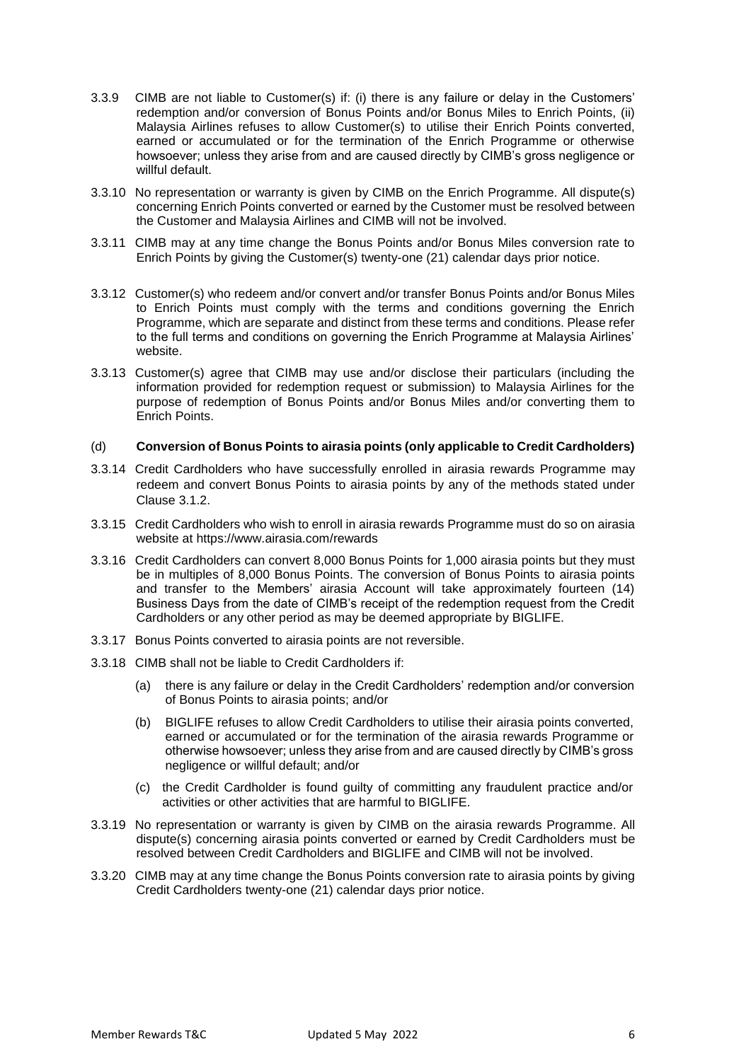- 3.3.9 CIMB are not liable to Customer(s) if: (i) there is any failure or delay in the Customers' redemption and/or conversion of Bonus Points and/or Bonus Miles to Enrich Points, (ii) Malaysia Airlines refuses to allow Customer(s) to utilise their Enrich Points converted, earned or accumulated or for the termination of the Enrich Programme or otherwise howsoever; unless they arise from and are caused directly by CIMB's gross negligence or willful default.
- 3.3.10 No representation or warranty is given by CIMB on the Enrich Programme. All dispute(s) concerning Enrich Points converted or earned by the Customer must be resolved between the Customer and Malaysia Airlines and CIMB will not be involved.
- 3.3.11 CIMB may at any time change the Bonus Points and/or Bonus Miles conversion rate to Enrich Points by giving the Customer(s) twenty-one (21) calendar days prior notice.
- 3.3.12 Customer(s) who redeem and/or convert and/or transfer Bonus Points and/or Bonus Miles to Enrich Points must comply with the terms and conditions governing the Enrich Programme, which are separate and distinct from these terms and conditions. Please refer to the full terms and conditions on governing the Enrich Programme at Malaysia Airlines' website.
- 3.3.13 Customer(s) agree that CIMB may use and/or disclose their particulars (including the information provided for redemption request or submission) to Malaysia Airlines for the purpose of redemption of Bonus Points and/or Bonus Miles and/or converting them to Enrich Points.

#### (d) **Conversion of Bonus Points to airasia points (only applicable to Credit Cardholders)**

- 3.3.14 Credit Cardholders who have successfully enrolled in airasia rewards Programme may redeem and convert Bonus Points to airasia points by any of the methods stated under Clause 3.1.2.
- 3.3.15 Credit Cardholders who wish to enroll in airasia rewards Programme must do so on airasia website at https://www.airasia.com/rewards
- 3.3.16 Credit Cardholders can convert 8,000 Bonus Points for 1,000 airasia points but they must be in multiples of 8,000 Bonus Points. The conversion of Bonus Points to airasia points and transfer to the Members' airasia Account will take approximately fourteen (14) Business Days from the date of CIMB's receipt of the redemption request from the Credit Cardholders or any other period as may be deemed appropriate by BIGLIFE.
- 3.3.17 Bonus Points converted to airasia points are not reversible.
- 3.3.18 CIMB shall not be liable to Credit Cardholders if:
	- (a) there is any failure or delay in the Credit Cardholders' redemption and/or conversion of Bonus Points to airasia points; and/or
	- (b) BIGLIFE refuses to allow Credit Cardholders to utilise their airasia points converted, earned or accumulated or for the termination of the airasia rewards Programme or otherwise howsoever; unless they arise from and are caused directly by CIMB's gross negligence or willful default; and/or
	- (c) the Credit Cardholder is found guilty of committing any fraudulent practice and/or activities or other activities that are harmful to BIGLIFE.
- 3.3.19 No representation or warranty is given by CIMB on the airasia rewards Programme. All dispute(s) concerning airasia points converted or earned by Credit Cardholders must be resolved between Credit Cardholders and BIGLIFE and CIMB will not be involved.
- 3.3.20 CIMB may at any time change the Bonus Points conversion rate to airasia points by giving Credit Cardholders twenty-one (21) calendar days prior notice.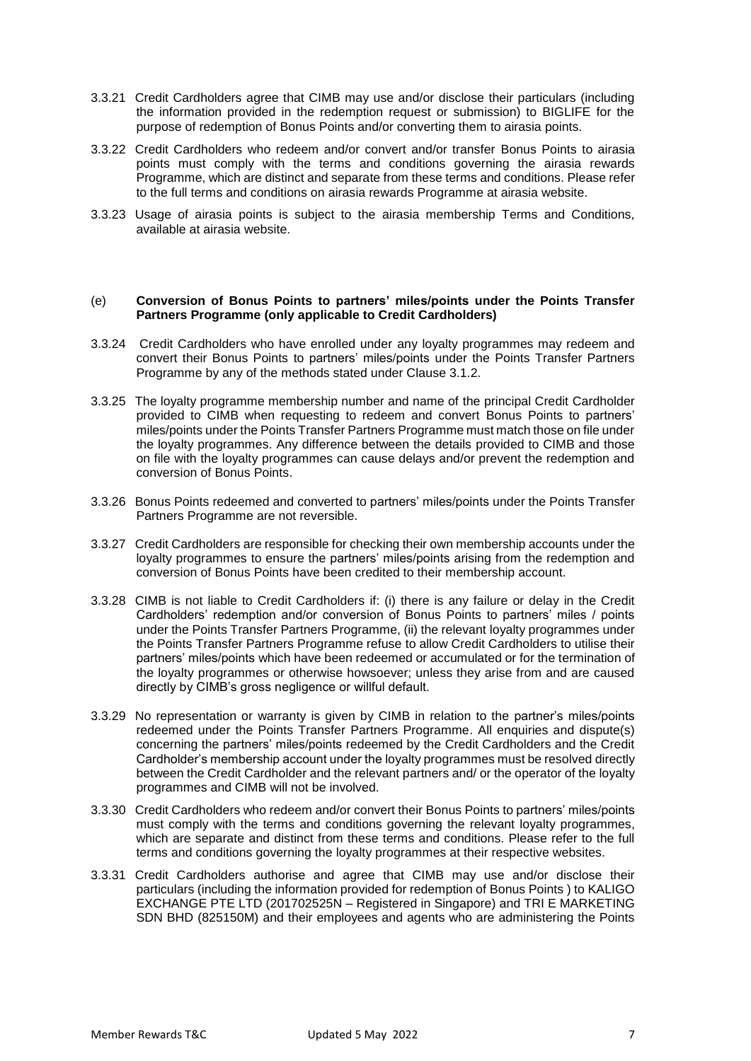- 3.3.21 Credit Cardholders agree that CIMB may use and/or disclose their particulars (including the information provided in the redemption request or submission) to BIGLIFE for the purpose of redemption of Bonus Points and/or converting them to airasia points.
- 3.3.22 Credit Cardholders who redeem and/or convert and/or transfer Bonus Points to airasia points must comply with the terms and conditions governing the airasia rewards Programme, which are distinct and separate from these terms and conditions. Please refer to the full terms and conditions on airasia rewards Programme at airasia website.
- 3.3.23 Usage of airasia points is subject to the airasia membership Terms and Conditions, available at airasia website.

#### (e) **Conversion of Bonus Points to partners' miles/points under the Points Transfer Partners Programme (only applicable to Credit Cardholders)**

- 3.3.24 Credit Cardholders who have enrolled under any loyalty programmes may redeem and convert their Bonus Points to partners' miles/points under the Points Transfer Partners Programme by any of the methods stated under Clause 3.1.2.
- 3.3.25 The loyalty programme membership number and name of the principal Credit Cardholder provided to CIMB when requesting to redeem and convert Bonus Points to partners' miles/points under the Points Transfer Partners Programme must match those on file under the loyalty programmes. Any difference between the details provided to CIMB and those on file with the loyalty programmes can cause delays and/or prevent the redemption and conversion of Bonus Points.
- 3.3.26 Bonus Points redeemed and converted to partners' miles/points under the Points Transfer Partners Programme are not reversible.
- 3.3.27 Credit Cardholders are responsible for checking their own membership accounts under the loyalty programmes to ensure the partners' miles/points arising from the redemption and conversion of Bonus Points have been credited to their membership account.
- 3.3.28 CIMB is not liable to Credit Cardholders if: (i) there is any failure or delay in the Credit Cardholders' redemption and/or conversion of Bonus Points to partners' miles / points under the Points Transfer Partners Programme, (ii) the relevant loyalty programmes under the Points Transfer Partners Programme refuse to allow Credit Cardholders to utilise their partners' miles/points which have been redeemed or accumulated or for the termination of the loyalty programmes or otherwise howsoever; unless they arise from and are caused directly by CIMB's gross negligence or willful default.
- 3.3.29 No representation or warranty is given by CIMB in relation to the partner's miles/points redeemed under the Points Transfer Partners Programme. All enquiries and dispute(s) concerning the partners' miles/points redeemed by the Credit Cardholders and the Credit Cardholder's membership account under the loyalty programmes must be resolved directly between the Credit Cardholder and the relevant partners and/ or the operator of the loyalty programmes and CIMB will not be involved.
- 3.3.30 Credit Cardholders who redeem and/or convert their Bonus Points to partners' miles/points must comply with the terms and conditions governing the relevant loyalty programmes, which are separate and distinct from these terms and conditions. Please refer to the full terms and conditions governing the loyalty programmes at their respective websites.
- 3.3.31 Credit Cardholders authorise and agree that CIMB may use and/or disclose their particulars (including the information provided for redemption of Bonus Points ) to KALIGO EXCHANGE PTE LTD (201702525N – Registered in Singapore) and TRI E MARKETING SDN BHD (825150M) and their employees and agents who are administering the Points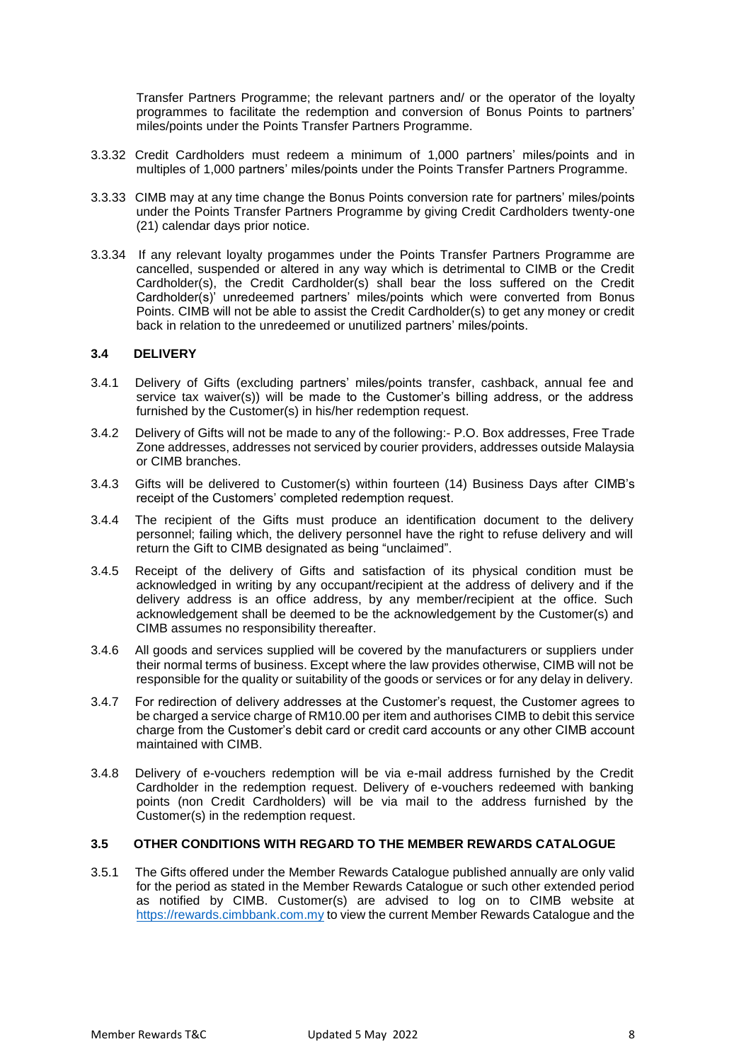Transfer Partners Programme; the relevant partners and/ or the operator of the loyalty programmes to facilitate the redemption and conversion of Bonus Points to partners' miles/points under the Points Transfer Partners Programme.

- 3.3.32 Credit Cardholders must redeem a minimum of 1,000 partners' miles/points and in multiples of 1,000 partners' miles/points under the Points Transfer Partners Programme.
- 3.3.33 CIMB may at any time change the Bonus Points conversion rate for partners' miles/points under the Points Transfer Partners Programme by giving Credit Cardholders twenty-one (21) calendar days prior notice.
- 3.3.34 If any relevant loyalty progammes under the Points Transfer Partners Programme are cancelled, suspended or altered in any way which is detrimental to CIMB or the Credit Cardholder(s), the Credit Cardholder(s) shall bear the loss suffered on the Credit Cardholder(s)' unredeemed partners' miles/points which were converted from Bonus Points. CIMB will not be able to assist the Credit Cardholder(s) to get any money or credit back in relation to the unredeemed or unutilized partners' miles/points.

## **3.4 DELIVERY**

- 3.4.1 Delivery of Gifts (excluding partners' miles/points transfer, cashback, annual fee and service tax waiver(s)) will be made to the Customer's billing address, or the address furnished by the Customer(s) in his/her redemption request.
- 3.4.2 Delivery of Gifts will not be made to any of the following:- P.O. Box addresses, Free Trade Zone addresses, addresses not serviced by courier providers, addresses outside Malaysia or CIMB branches.
- 3.4.3 Gifts will be delivered to Customer(s) within fourteen (14) Business Days after CIMB's receipt of the Customers' completed redemption request.
- 3.4.4 The recipient of the Gifts must produce an identification document to the delivery personnel; failing which, the delivery personnel have the right to refuse delivery and will return the Gift to CIMB designated as being "unclaimed".
- 3.4.5 Receipt of the delivery of Gifts and satisfaction of its physical condition must be acknowledged in writing by any occupant/recipient at the address of delivery and if the delivery address is an office address, by any member/recipient at the office. Such acknowledgement shall be deemed to be the acknowledgement by the Customer(s) and CIMB assumes no responsibility thereafter.
- 3.4.6 All goods and services supplied will be covered by the manufacturers or suppliers under their normal terms of business. Except where the law provides otherwise, CIMB will not be responsible for the quality or suitability of the goods or services or for any delay in delivery.
- 3.4.7 For redirection of delivery addresses at the Customer's request, the Customer agrees to be charged a service charge of RM10.00 per item and authorises CIMB to debit this service charge from the Customer's debit card or credit card accounts or any other CIMB account maintained with CIMB.
- 3.4.8 Delivery of e-vouchers redemption will be via e-mail address furnished by the Credit Cardholder in the redemption request. Delivery of e-vouchers redeemed with banking points (non Credit Cardholders) will be via mail to the address furnished by the Customer(s) in the redemption request.

## **3.5 OTHER CONDITIONS WITH REGARD TO THE MEMBER REWARDS CATALOGUE**

3.5.1 The Gifts offered under the Member Rewards Catalogue published annually are only valid for the period as stated in the Member Rewards Catalogue or such other extended period as notified by CIMB. Customer(s) are advised to log on to CIMB website at [https://rewards.cimbbank.com.my](https://rewards.cimbbank.com.my/) to view the current Member Rewards Catalogue and the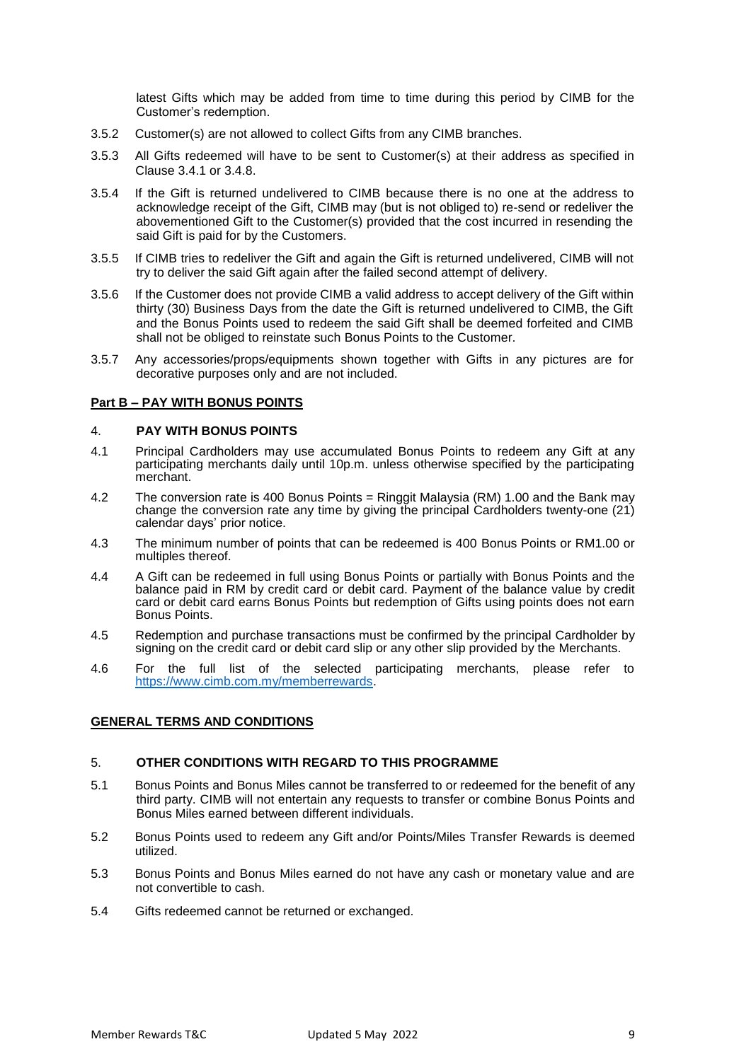latest Gifts which may be added from time to time during this period by CIMB for the Customer's redemption.

- 3.5.2 Customer(s) are not allowed to collect Gifts from any CIMB branches.
- 3.5.3 All Gifts redeemed will have to be sent to Customer(s) at their address as specified in Clause 3.4.1 or 3.4.8.
- 3.5.4 If the Gift is returned undelivered to CIMB because there is no one at the address to acknowledge receipt of the Gift, CIMB may (but is not obliged to) re-send or redeliver the abovementioned Gift to the Customer(s) provided that the cost incurred in resending the said Gift is paid for by the Customers.
- 3.5.5 If CIMB tries to redeliver the Gift and again the Gift is returned undelivered, CIMB will not try to deliver the said Gift again after the failed second attempt of delivery.
- 3.5.6 If the Customer does not provide CIMB a valid address to accept delivery of the Gift within thirty (30) Business Days from the date the Gift is returned undelivered to CIMB, the Gift and the Bonus Points used to redeem the said Gift shall be deemed forfeited and CIMB shall not be obliged to reinstate such Bonus Points to the Customer.
- 3.5.7 Any accessories/props/equipments shown together with Gifts in any pictures are for decorative purposes only and are not included.

# **Part B – PAY WITH BONUS POINTS**

## 4. **PAY WITH BONUS POINTS**

- 4.1 Principal Cardholders may use accumulated Bonus Points to redeem any Gift at any participating merchants daily until 10p.m. unless otherwise specified by the participating merchant.
- 4.2 The conversion rate is 400 Bonus Points = Ringgit Malaysia (RM) 1.00 and the Bank may change the conversion rate any time by giving the principal Cardholders twenty-one (21) calendar days' prior notice.
- 4.3 The minimum number of points that can be redeemed is 400 Bonus Points or RM1.00 or multiples thereof.
- 4.4 A Gift can be redeemed in full using Bonus Points or partially with Bonus Points and the balance paid in RM by credit card or debit card. Payment of the balance value by credit card or debit card earns Bonus Points but redemption of Gifts using points does not earn Bonus Points.
- 4.5 Redemption and purchase transactions must be confirmed by the principal Cardholder by signing on the credit card or debit card slip or any other slip provided by the Merchants.
- 4.6 For the full list of the selected participating merchants, please refer to [https://www.cimb.com.my/memberrewards.](https://www.cimb.com.my/memberrewards)

## **GENERAL TERMS AND CONDITIONS**

#### 5. **OTHER CONDITIONS WITH REGARD TO THIS PROGRAMME**

- 5.1 Bonus Points and Bonus Miles cannot be transferred to or redeemed for the benefit of any third party. CIMB will not entertain any requests to transfer or combine Bonus Points and Bonus Miles earned between different individuals.
- 5.2 Bonus Points used to redeem any Gift and/or Points/Miles Transfer Rewards is deemed utilized.
- 5.3 Bonus Points and Bonus Miles earned do not have any cash or monetary value and are not convertible to cash.
- 5.4 Gifts redeemed cannot be returned or exchanged.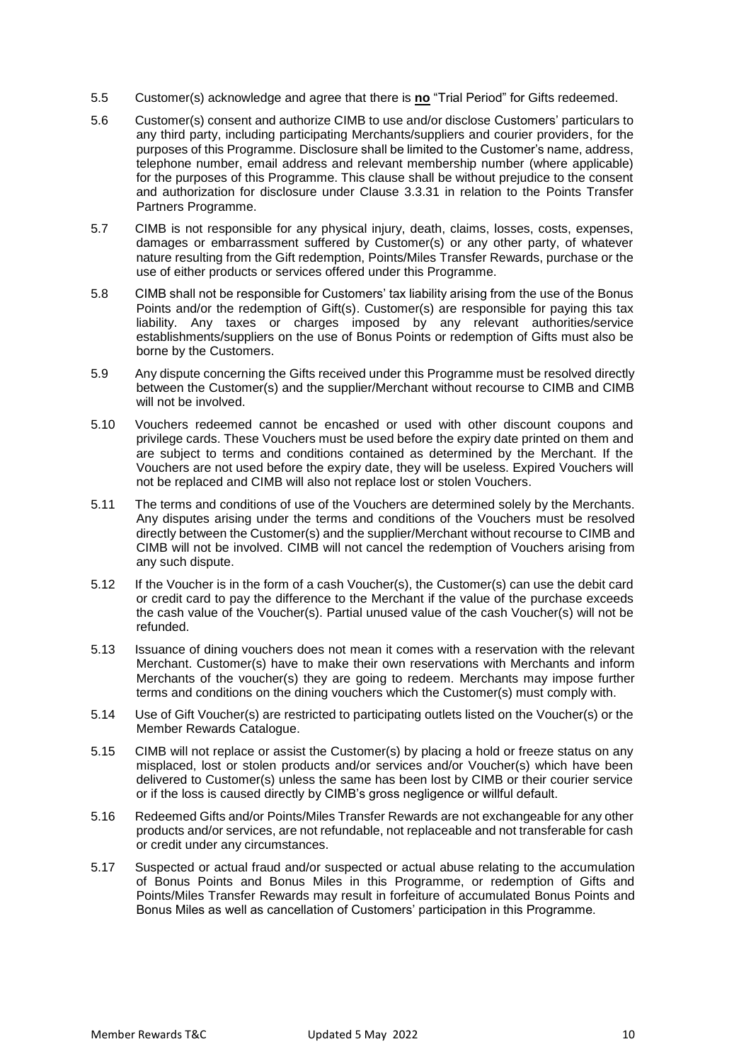- 5.5 Customer(s) acknowledge and agree that there is **no** "Trial Period" for Gifts redeemed.
- 5.6 Customer(s) consent and authorize CIMB to use and/or disclose Customers' particulars to any third party, including participating Merchants/suppliers and courier providers, for the purposes of this Programme. Disclosure shall be limited to the Customer's name, address, telephone number, email address and relevant membership number (where applicable) for the purposes of this Programme. This clause shall be without prejudice to the consent and authorization for disclosure under Clause 3.3.31 in relation to the Points Transfer Partners Programme.
- 5.7 CIMB is not responsible for any physical injury, death, claims, losses, costs, expenses, damages or embarrassment suffered by Customer(s) or any other party, of whatever nature resulting from the Gift redemption, Points/Miles Transfer Rewards, purchase or the use of either products or services offered under this Programme.
- 5.8 CIMB shall not be responsible for Customers' tax liability arising from the use of the Bonus Points and/or the redemption of Gift(s). Customer(s) are responsible for paying this tax liability. Any taxes or charges imposed by any relevant authorities/service establishments/suppliers on the use of Bonus Points or redemption of Gifts must also be borne by the Customers.
- 5.9 Any dispute concerning the Gifts received under this Programme must be resolved directly between the Customer(s) and the supplier/Merchant without recourse to CIMB and CIMB will not be involved.
- 5.10 Vouchers redeemed cannot be encashed or used with other discount coupons and privilege cards. These Vouchers must be used before the expiry date printed on them and are subject to terms and conditions contained as determined by the Merchant. If the Vouchers are not used before the expiry date, they will be useless. Expired Vouchers will not be replaced and CIMB will also not replace lost or stolen Vouchers.
- 5.11 The terms and conditions of use of the Vouchers are determined solely by the Merchants. Any disputes arising under the terms and conditions of the Vouchers must be resolved directly between the Customer(s) and the supplier/Merchant without recourse to CIMB and CIMB will not be involved. CIMB will not cancel the redemption of Vouchers arising from any such dispute.
- 5.12 If the Voucher is in the form of a cash Voucher(s), the Customer(s) can use the debit card or credit card to pay the difference to the Merchant if the value of the purchase exceeds the cash value of the Voucher(s). Partial unused value of the cash Voucher(s) will not be refunded.
- 5.13 Issuance of dining vouchers does not mean it comes with a reservation with the relevant Merchant. Customer(s) have to make their own reservations with Merchants and inform Merchants of the voucher(s) they are going to redeem. Merchants may impose further terms and conditions on the dining vouchers which the Customer(s) must comply with.
- 5.14 Use of Gift Voucher(s) are restricted to participating outlets listed on the Voucher(s) or the Member Rewards Catalogue.
- 5.15 CIMB will not replace or assist the Customer(s) by placing a hold or freeze status on any misplaced, lost or stolen products and/or services and/or Voucher(s) which have been delivered to Customer(s) unless the same has been lost by CIMB or their courier service or if the loss is caused directly by CIMB's gross negligence or willful default.
- 5.16 Redeemed Gifts and/or Points/Miles Transfer Rewards are not exchangeable for any other products and/or services, are not refundable, not replaceable and not transferable for cash or credit under any circumstances.
- 5.17 Suspected or actual fraud and/or suspected or actual abuse relating to the accumulation of Bonus Points and Bonus Miles in this Programme, or redemption of Gifts and Points/Miles Transfer Rewards may result in forfeiture of accumulated Bonus Points and Bonus Miles as well as cancellation of Customers' participation in this Programme.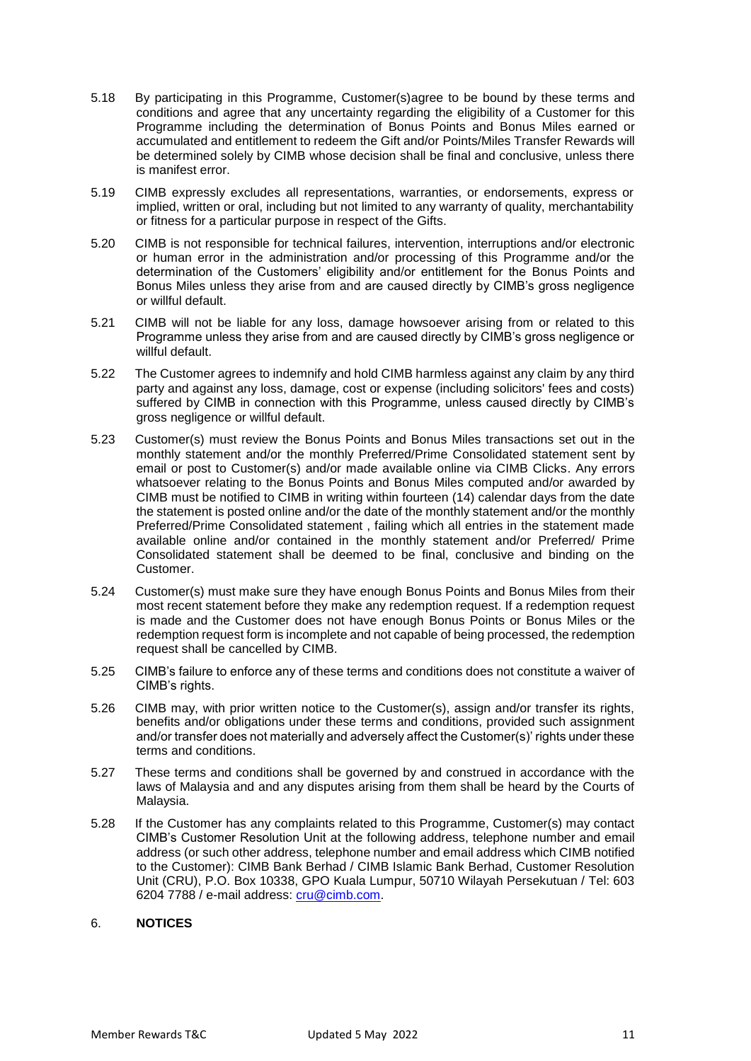- 5.18 By participating in this Programme, Customer(s)agree to be bound by these terms and conditions and agree that any uncertainty regarding the eligibility of a Customer for this Programme including the determination of Bonus Points and Bonus Miles earned or accumulated and entitlement to redeem the Gift and/or Points/Miles Transfer Rewards will be determined solely by CIMB whose decision shall be final and conclusive, unless there is manifest error.
- 5.19 CIMB expressly excludes all representations, warranties, or endorsements, express or implied, written or oral, including but not limited to any warranty of quality, merchantability or fitness for a particular purpose in respect of the Gifts.
- 5.20 CIMB is not responsible for technical failures, intervention, interruptions and/or electronic or human error in the administration and/or processing of this Programme and/or the determination of the Customers' eligibility and/or entitlement for the Bonus Points and Bonus Miles unless they arise from and are caused directly by CIMB's gross negligence or willful default.
- 5.21 CIMB will not be liable for any loss, damage howsoever arising from or related to this Programme unless they arise from and are caused directly by CIMB's gross negligence or willful default.
- 5.22 The Customer agrees to indemnify and hold CIMB harmless against any claim by any third party and against any loss, damage, cost or expense (including solicitors' fees and costs) suffered by CIMB in connection with this Programme, unless caused directly by CIMB's gross negligence or willful default.
- 5.23 Customer(s) must review the Bonus Points and Bonus Miles transactions set out in the monthly statement and/or the monthly Preferred/Prime Consolidated statement sent by email or post to Customer(s) and/or made available online via CIMB Clicks. Any errors whatsoever relating to the Bonus Points and Bonus Miles computed and/or awarded by CIMB must be notified to CIMB in writing within fourteen (14) calendar days from the date the statement is posted online and/or the date of the monthly statement and/or the monthly Preferred/Prime Consolidated statement , failing which all entries in the statement made available online and/or contained in the monthly statement and/or Preferred/ Prime Consolidated statement shall be deemed to be final, conclusive and binding on the Customer.
- 5.24 Customer(s) must make sure they have enough Bonus Points and Bonus Miles from their most recent statement before they make any redemption request. If a redemption request is made and the Customer does not have enough Bonus Points or Bonus Miles or the redemption request form is incomplete and not capable of being processed, the redemption request shall be cancelled by CIMB.
- 5.25 CIMB's failure to enforce any of these terms and conditions does not constitute a waiver of CIMB's rights.
- 5.26 CIMB may, with prior written notice to the Customer(s), assign and/or transfer its rights, benefits and/or obligations under these terms and conditions, provided such assignment and/or transfer does not materially and adversely affect the Customer(s)' rights under these terms and conditions.
- 5.27 These terms and conditions shall be governed by and construed in accordance with the laws of Malaysia and and any disputes arising from them shall be heard by the Courts of Malaysia.
- 5.28 If the Customer has any complaints related to this Programme, Customer(s) may contact CIMB's Customer Resolution Unit at the following address, telephone number and email address (or such other address, telephone number and email address which CIMB notified to the Customer): CIMB Bank Berhad / CIMB Islamic Bank Berhad, Customer Resolution Unit (CRU), P.O. Box 10338, GPO Kuala Lumpur, 50710 Wilayah Persekutuan / Tel: 603 6204 7788 / e-mail address: [cru@cimb.com.](mailto:cru@cimb.com)

## 6. **NOTICES**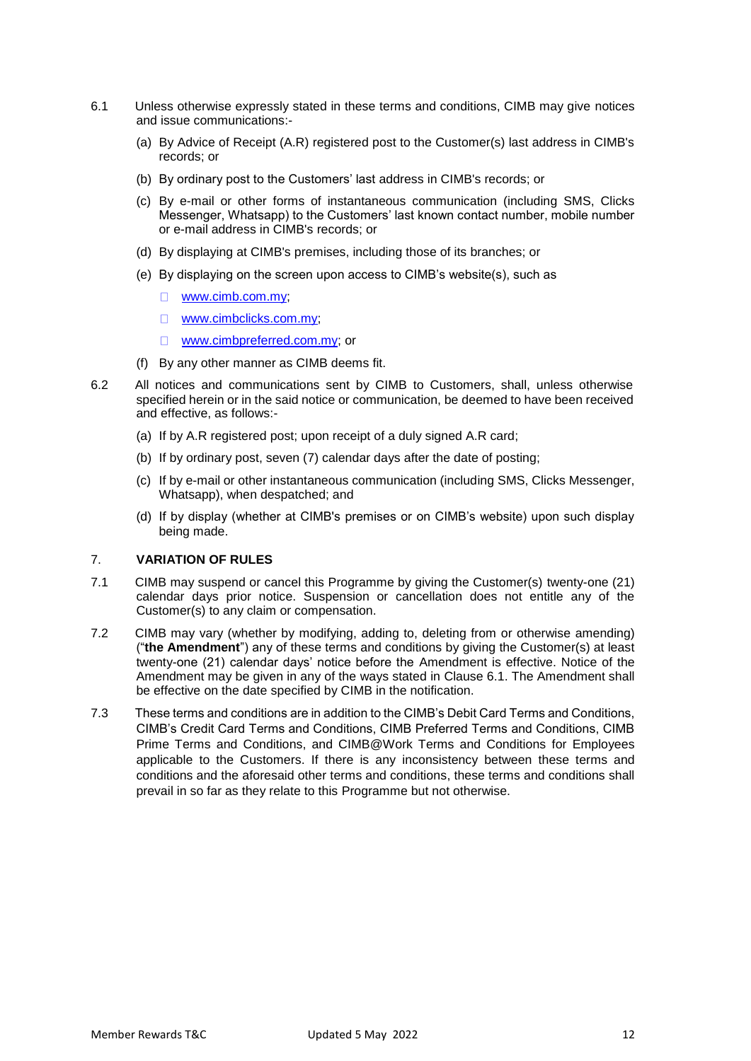- 6.1 Unless otherwise expressly stated in these terms and conditions, CIMB may give notices and issue communications:-
	- (a) By Advice of Receipt (A.R) registered post to the Customer(s) last address in CIMB's records; or
	- (b) By ordinary post to the Customers' last address in CIMB's records; or
	- (c) By e-mail or other forms of instantaneous communication (including SMS, Clicks Messenger, Whatsapp) to the Customers' last known contact number, mobile number or e-mail address in CIMB's records; or
	- (d) By displaying at CIMB's premises, including those of its branches; or
	- (e) By displaying on the screen upon access to CIMB's website(s), such as
		- $\Box$ [www.cimb.com.my;](http://www.cimb.com.my/)
		- [www.cimbclicks.com.my;](http://www.cimbclicks.com.my/)
		- [www.cimbpreferred.com.my;](http://www.cimbpreferred.com.my/) or
	- (f) By any other manner as CIMB deems fit.
- 6.2 All notices and communications sent by CIMB to Customers, shall, unless otherwise specified herein or in the said notice or communication, be deemed to have been received and effective, as follows:-
	- (a) If by A.R registered post; upon receipt of a duly signed A.R card;
	- (b) If by ordinary post, seven (7) calendar days after the date of posting;
	- (c) If by e-mail or other instantaneous communication (including SMS, Clicks Messenger, Whatsapp), when despatched; and
	- (d) If by display (whether at CIMB's premises or on CIMB's website) upon such display being made.

## 7. **VARIATION OF RULES**

- 7.1 CIMB may suspend or cancel this Programme by giving the Customer(s) twenty-one (21) calendar days prior notice. Suspension or cancellation does not entitle any of the Customer(s) to any claim or compensation.
- 7.2 CIMB may vary (whether by modifying, adding to, deleting from or otherwise amending) ("**the Amendment**") any of these terms and conditions by giving the Customer(s) at least twenty-one (21) calendar days' notice before the Amendment is effective. Notice of the Amendment may be given in any of the ways stated in Clause 6.1. The Amendment shall be effective on the date specified by CIMB in the notification.
- 7.3 These terms and conditions are in addition to the CIMB's Debit Card Terms and Conditions, CIMB's Credit Card Terms and Conditions, CIMB Preferred Terms and Conditions, CIMB Prime Terms and Conditions, and CIMB@Work Terms and Conditions for Employees applicable to the Customers. If there is any inconsistency between these terms and conditions and the aforesaid other terms and conditions, these terms and conditions shall prevail in so far as they relate to this Programme but not otherwise.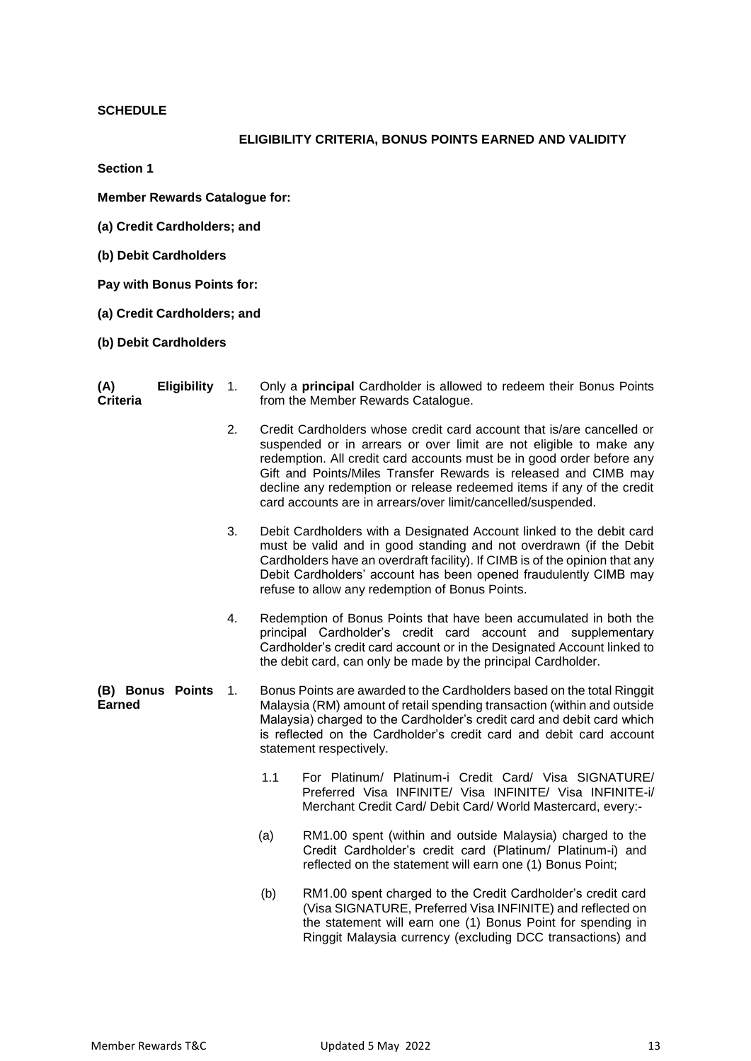## **SCHEDULE**

## **ELIGIBILITY CRITERIA, BONUS POINTS EARNED AND VALIDITY**

**Section 1**

**Member Rewards Catalogue for:**

- **(a) Credit Cardholders; and**
- **(b) Debit Cardholders**

**Pay with Bonus Points for:**

- **(a) Credit Cardholders; and**
- **(b) Debit Cardholders**

| (A)             | Eligibility 1. | Only a <b>principal</b> Cardholder is allowed to redeem their Bonus Points |
|-----------------|----------------|----------------------------------------------------------------------------|
| <b>Criteria</b> |                | from the Member Rewards Catalogue.                                         |

- 2. Credit Cardholders whose credit card account that is/are cancelled or suspended or in arrears or over limit are not eligible to make any redemption. All credit card accounts must be in good order before any Gift and Points/Miles Transfer Rewards is released and CIMB may decline any redemption or release redeemed items if any of the credit card accounts are in arrears/over limit/cancelled/suspended.
- 3. Debit Cardholders with a Designated Account linked to the debit card must be valid and in good standing and not overdrawn (if the Debit Cardholders have an overdraft facility). If CIMB is of the opinion that any Debit Cardholders' account has been opened fraudulently CIMB may refuse to allow any redemption of Bonus Points.
- 4. Redemption of Bonus Points that have been accumulated in both the principal Cardholder's credit card account and supplementary Cardholder's credit card account or in the Designated Account linked to the debit card, can only be made by the principal Cardholder.
- **(B) Bonus Points Earned** 1. Bonus Points are awarded to the Cardholders based on the total Ringgit Malaysia (RM) amount of retail spending transaction (within and outside Malaysia) charged to the Cardholder's credit card and debit card which is reflected on the Cardholder's credit card and debit card account statement respectively.
	- 1.1 For Platinum/ Platinum-i Credit Card/ Visa SIGNATURE/ Preferred Visa INFINITE/ Visa INFINITE/ Visa INFINITE-i/ Merchant Credit Card/ Debit Card/ World Mastercard, every:-
	- (a) RM1.00 spent (within and outside Malaysia) charged to the Credit Cardholder's credit card (Platinum/ Platinum-i) and reflected on the statement will earn one (1) Bonus Point;
	- (b) RM1.00 spent charged to the Credit Cardholder's credit card (Visa SIGNATURE, Preferred Visa INFINITE) and reflected on the statement will earn one (1) Bonus Point for spending in Ringgit Malaysia currency (excluding DCC transactions) and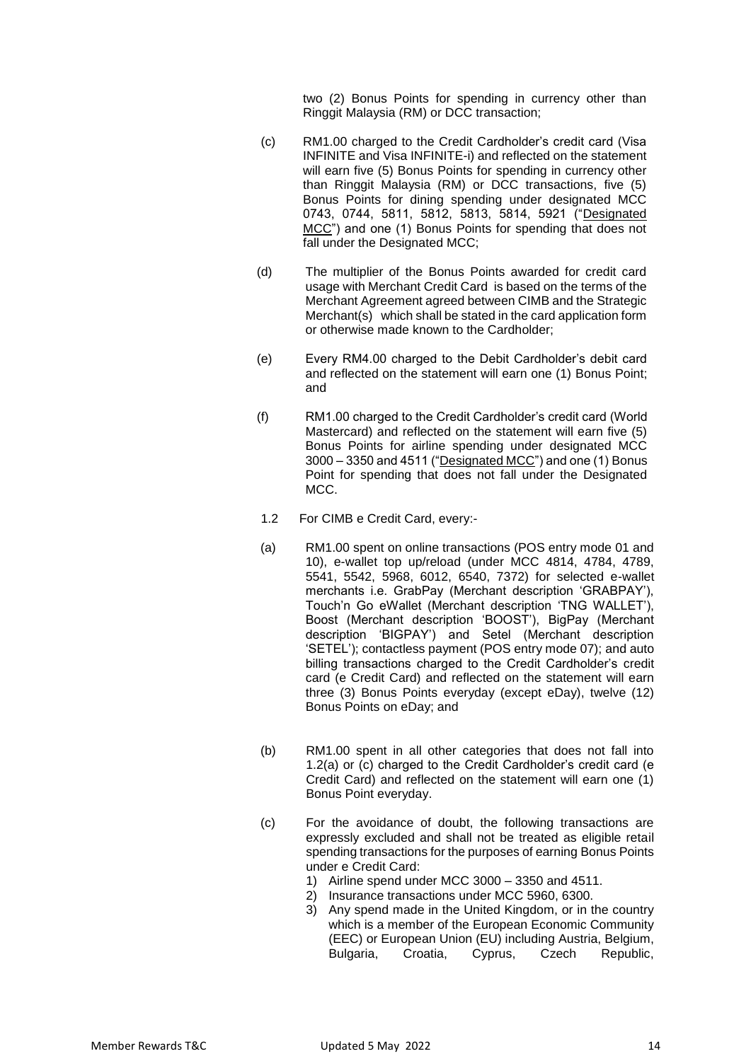two (2) Bonus Points for spending in currency other than Ringgit Malaysia (RM) or DCC transaction;

- (c) RM1.00 charged to the Credit Cardholder's credit card (Visa INFINITE and Visa INFINITE-i) and reflected on the statement will earn five (5) Bonus Points for spending in currency other than Ringgit Malaysia (RM) or DCC transactions, five (5) Bonus Points for dining spending under designated MCC 0743, 0744, 5811, 5812, 5813, 5814, 5921 ("Designated MCC") and one (1) Bonus Points for spending that does not fall under the Designated MCC;
- (d) The multiplier of the Bonus Points awarded for credit card usage with Merchant Credit Card is based on the terms of the Merchant Agreement agreed between CIMB and the Strategic Merchant(s) which shall be stated in the card application form or otherwise made known to the Cardholder;
- (e) Every RM4.00 charged to the Debit Cardholder's debit card and reflected on the statement will earn one (1) Bonus Point; and
- (f) RM1.00 charged to the Credit Cardholder's credit card (World Mastercard) and reflected on the statement will earn five (5) Bonus Points for airline spending under designated MCC 3000 – 3350 and 4511 ("Designated MCC") and one (1) Bonus Point for spending that does not fall under the Designated MCC.
- 1.2 For CIMB e Credit Card, every:-
- (a) RM1.00 spent on online transactions (POS entry mode 01 and 10), e-wallet top up/reload (under MCC 4814, 4784, 4789, 5541, 5542, 5968, 6012, 6540, 7372) for selected e-wallet merchants i.e. GrabPay (Merchant description 'GRABPAY'), Touch'n Go eWallet (Merchant description 'TNG WALLET'), Boost (Merchant description 'BOOST'), BigPay (Merchant description 'BIGPAY') and Setel (Merchant description 'SETEL'); contactless payment (POS entry mode 07); and auto billing transactions charged to the Credit Cardholder's credit card (e Credit Card) and reflected on the statement will earn three (3) Bonus Points everyday (except eDay), twelve (12) Bonus Points on eDay; and
- (b) RM1.00 spent in all other categories that does not fall into 1.2(a) or (c) charged to the Credit Cardholder's credit card (e Credit Card) and reflected on the statement will earn one (1) Bonus Point everyday.
- (c) For the avoidance of doubt, the following transactions are expressly excluded and shall not be treated as eligible retail spending transactions for the purposes of earning Bonus Points under e Credit Card:
	- 1) Airline spend under MCC 3000 3350 and 4511.
	- 2) Insurance transactions under MCC 5960, 6300.
	- 3) Any spend made in the United Kingdom, or in the country which is a member of the European Economic Community (EEC) or European Union (EU) including Austria, Belgium, Bulgaria, Croatia, Cyprus, Czech Republic,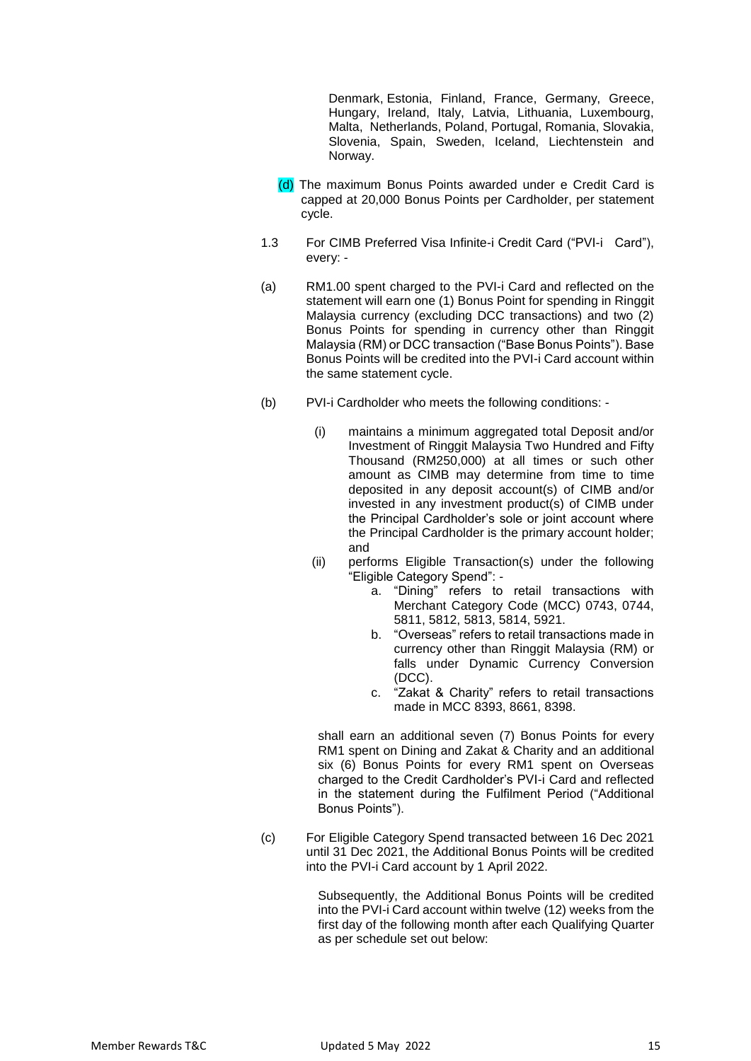Denmark, Estonia, Finland, France, Germany, Greece, Hungary, Ireland, Italy, Latvia, Lithuania, Luxembourg, Malta, Netherlands, Poland, Portugal, Romania, Slovakia, Slovenia, Spain, Sweden, Iceland, Liechtenstein and Norway.

- (d) The maximum Bonus Points awarded under e Credit Card is capped at 20,000 Bonus Points per Cardholder, per statement cycle.
- 1.3 For CIMB Preferred Visa Infinite-i Credit Card ("PVI-i Card"), every: -
- (a) RM1.00 spent charged to the PVI-i Card and reflected on the statement will earn one (1) Bonus Point for spending in Ringgit Malaysia currency (excluding DCC transactions) and two (2) Bonus Points for spending in currency other than Ringgit Malaysia (RM) or DCC transaction ("Base Bonus Points"). Base Bonus Points will be credited into the PVI-i Card account within the same statement cycle.
- (b) PVI-i Cardholder who meets the following conditions:
	- (i) maintains a minimum aggregated total Deposit and/or Investment of Ringgit Malaysia Two Hundred and Fifty Thousand (RM250,000) at all times or such other amount as CIMB may determine from time to time deposited in any deposit account(s) of CIMB and/or invested in any investment product(s) of CIMB under the Principal Cardholder's sole or joint account where the Principal Cardholder is the primary account holder; and
	- (ii) performs Eligible Transaction(s) under the following "Eligible Category Spend":
		- a. "Dining" refers to retail transactions with Merchant Category Code (MCC) 0743, 0744, 5811, 5812, 5813, 5814, 5921.
		- b. "Overseas" refers to retail transactions made in currency other than Ringgit Malaysia (RM) or falls under Dynamic Currency Conversion (DCC).
		- c. "Zakat & Charity" refers to retail transactions made in MCC 8393, 8661, 8398.

shall earn an additional seven (7) Bonus Points for every RM1 spent on Dining and Zakat & Charity and an additional six (6) Bonus Points for every RM1 spent on Overseas charged to the Credit Cardholder's PVI-i Card and reflected in the statement during the Fulfilment Period ("Additional Bonus Points").

(c) For Eligible Category Spend transacted between 16 Dec 2021 until 31 Dec 2021, the Additional Bonus Points will be credited into the PVI-i Card account by 1 April 2022.

> Subsequently, the Additional Bonus Points will be credited into the PVI-i Card account within twelve (12) weeks from the first day of the following month after each Qualifying Quarter as per schedule set out below: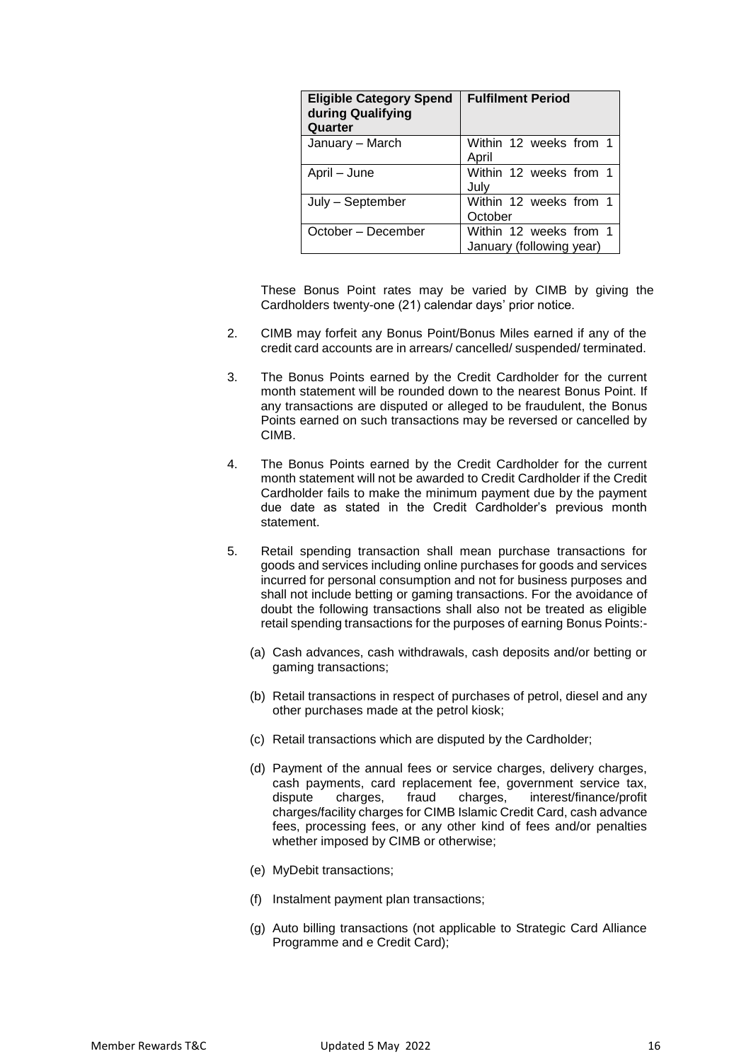| <b>Eligible Category Spend</b><br>during Qualifying<br>Quarter | <b>Fulfilment Period</b>                           |
|----------------------------------------------------------------|----------------------------------------------------|
| January - March                                                | Within 12 weeks from 1<br>April                    |
| April – June                                                   | Within 12 weeks from 1<br>July                     |
| July – September                                               | Within 12 weeks from 1<br>October                  |
| October – December                                             | Within 12 weeks from 1<br>January (following year) |

These Bonus Point rates may be varied by CIMB by giving the Cardholders twenty-one (21) calendar days' prior notice.

- 2. CIMB may forfeit any Bonus Point/Bonus Miles earned if any of the credit card accounts are in arrears/ cancelled/ suspended/ terminated.
- 3. The Bonus Points earned by the Credit Cardholder for the current month statement will be rounded down to the nearest Bonus Point. If any transactions are disputed or alleged to be fraudulent, the Bonus Points earned on such transactions may be reversed or cancelled by CIMB.
- 4. The Bonus Points earned by the Credit Cardholder for the current month statement will not be awarded to Credit Cardholder if the Credit Cardholder fails to make the minimum payment due by the payment due date as stated in the Credit Cardholder's previous month statement.
- 5. Retail spending transaction shall mean purchase transactions for goods and services including online purchases for goods and services incurred for personal consumption and not for business purposes and shall not include betting or gaming transactions. For the avoidance of doubt the following transactions shall also not be treated as eligible retail spending transactions for the purposes of earning Bonus Points:-
	- (a) Cash advances, cash withdrawals, cash deposits and/or betting or gaming transactions;
	- (b) Retail transactions in respect of purchases of petrol, diesel and any other purchases made at the petrol kiosk;
	- (c) Retail transactions which are disputed by the Cardholder;
	- (d) Payment of the annual fees or service charges, delivery charges, cash payments, card replacement fee, government service tax, dispute charges, fraud charges, interest/finance/profit charges/facility charges for CIMB Islamic Credit Card, cash advance fees, processing fees, or any other kind of fees and/or penalties whether imposed by CIMB or otherwise;
	- (e) MyDebit transactions;
	- (f) Instalment payment plan transactions;
	- (g) Auto billing transactions (not applicable to Strategic Card Alliance Programme and e Credit Card);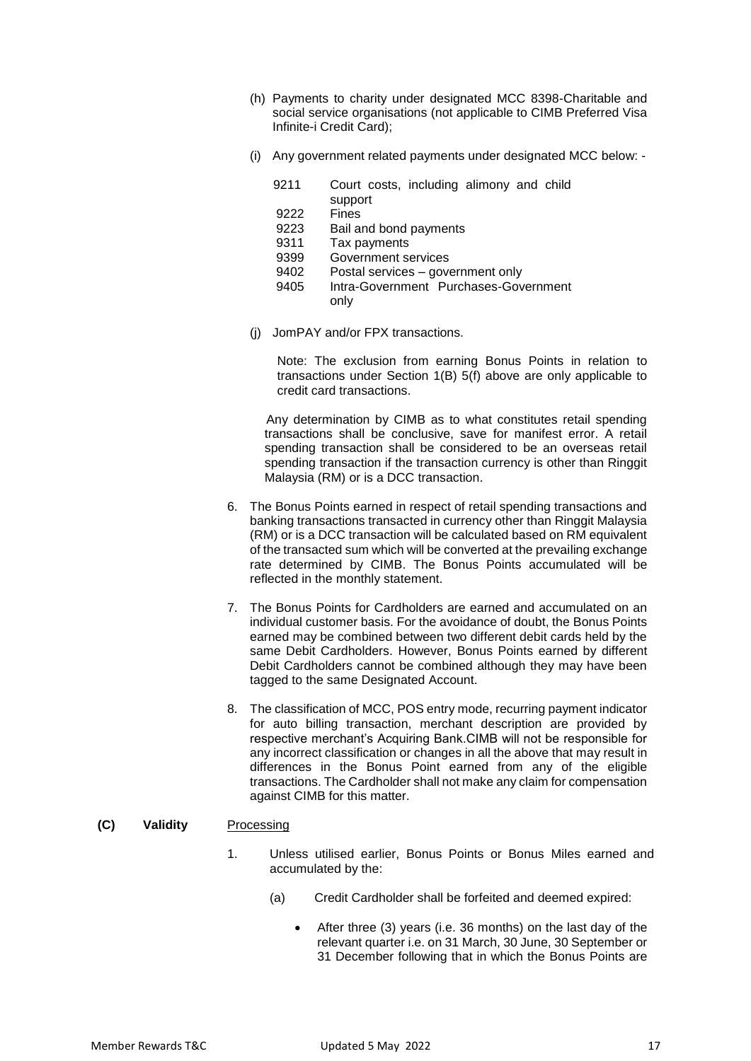- (h) Payments to charity under designated MCC 8398-Charitable and social service organisations (not applicable to CIMB Preferred Visa Infinite-i Credit Card);
- (i) Any government related payments under designated MCC below:
	- 9211 Court costs, including alimony and child
		- support
	- 9222 Fines
	- 9223 Bail and bond payments
	- 9311 Tax payments
	- 9399 Government services
	- 9402 Postal services government only
	- 9405 Intra-Government Purchases-Government only
- (j) JomPAY and/or FPX transactions.

Note: The exclusion from earning Bonus Points in relation to transactions under Section 1(B) 5(f) above are only applicable to credit card transactions.

Any determination by CIMB as to what constitutes retail spending transactions shall be conclusive, save for manifest error. A retail spending transaction shall be considered to be an overseas retail spending transaction if the transaction currency is other than Ringgit Malaysia (RM) or is a DCC transaction.

- 6. The Bonus Points earned in respect of retail spending transactions and banking transactions transacted in currency other than Ringgit Malaysia (RM) or is a DCC transaction will be calculated based on RM equivalent of the transacted sum which will be converted at the prevailing exchange rate determined by CIMB. The Bonus Points accumulated will be reflected in the monthly statement.
- 7. The Bonus Points for Cardholders are earned and accumulated on an individual customer basis. For the avoidance of doubt, the Bonus Points earned may be combined between two different debit cards held by the same Debit Cardholders. However, Bonus Points earned by different Debit Cardholders cannot be combined although they may have been tagged to the same Designated Account.
- 8. The classification of MCC, POS entry mode, recurring payment indicator for auto billing transaction, merchant description are provided by respective merchant's Acquiring Bank.CIMB will not be responsible for any incorrect classification or changes in all the above that may result in differences in the Bonus Point earned from any of the eligible transactions. The Cardholder shall not make any claim for compensation against CIMB for this matter.
- **(C) Validity** Processing
	- 1. Unless utilised earlier, Bonus Points or Bonus Miles earned and accumulated by the:
		- (a) Credit Cardholder shall be forfeited and deemed expired:
			- After three (3) years (i.e. 36 months) on the last day of the relevant quarter i.e. on 31 March, 30 June, 30 September or 31 December following that in which the Bonus Points are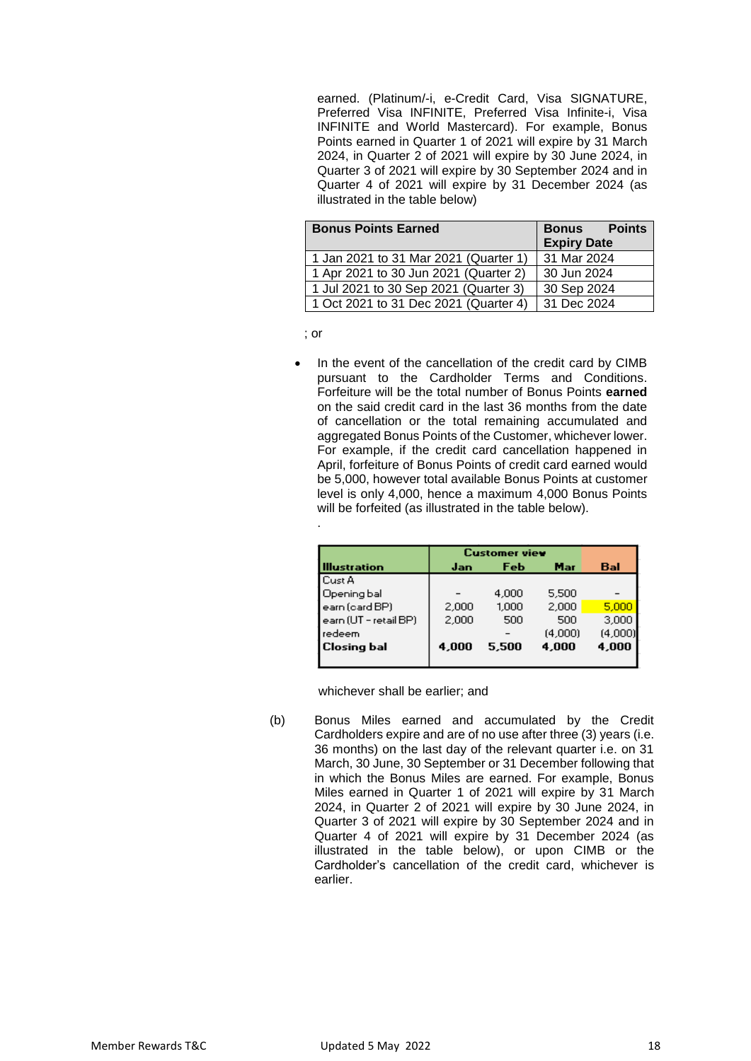earned. (Platinum/-i, e-Credit Card, Visa SIGNATURE, Preferred Visa INFINITE, Preferred Visa Infinite-i, Visa INFINITE and World Mastercard). For example, Bonus Points earned in Quarter 1 of 2021 will expire by 31 March 2024, in Quarter 2 of 2021 will expire by 30 June 2024, in Quarter 3 of 2021 will expire by 30 September 2024 and in Quarter 4 of 2021 will expire by 31 December 2024 (as illustrated in the table below)

| <b>Bonus Points Earned</b>            | <b>Bonus</b> Points |
|---------------------------------------|---------------------|
|                                       | <b>Expiry Date</b>  |
| 1 Jan 2021 to 31 Mar 2021 (Quarter 1) | 31 Mar 2024         |
| 1 Apr 2021 to 30 Jun 2021 (Quarter 2) | 30 Jun 2024         |
| 1 Jul 2021 to 30 Sep 2021 (Quarter 3) | 30 Sep 2024         |
| 1 Oct 2021 to 31 Dec 2021 (Quarter 4) | 31 Dec 2024         |

; or

.

 In the event of the cancellation of the credit card by CIMB pursuant to the Cardholder Terms and Conditions. Forfeiture will be the total number of Bonus Points **earned** on the said credit card in the last 36 months from the date of cancellation or the total remaining accumulated and aggregated Bonus Points of the Customer, whichever lower. For example, if the credit card cancellation happened in April, forfeiture of Bonus Points of credit card earned would be 5,000, however total available Bonus Points at customer level is only 4,000, hence a maximum 4,000 Bonus Points will be forfeited (as illustrated in the table below).

|                       | <b>Customer view</b> |       |         |         |
|-----------------------|----------------------|-------|---------|---------|
| <b>Illustration</b>   | Jan                  | Feb   | Mar     | Bal     |
| <b>Cust A</b>         |                      |       |         |         |
| Opening bal           |                      | 4.000 | 5,500   |         |
| earn (card BP)        | 2,000                | 1,000 | 2,000   | 5,000   |
| earn (UT - retail BP) | 2,000                | 500   | 500     | 3,000   |
| redeem                |                      |       | (4.000) | (4,000) |
| Closing bal           | 4,000                | 5.500 | 4,000   | 4,000   |
|                       |                      |       |         |         |

whichever shall be earlier; and

(b) Bonus Miles earned and accumulated by the Credit Cardholders expire and are of no use after three (3) years (i.e. 36 months) on the last day of the relevant quarter i.e. on 31 March, 30 June, 30 September or 31 December following that in which the Bonus Miles are earned. For example, Bonus Miles earned in Quarter 1 of 2021 will expire by 31 March 2024, in Quarter 2 of 2021 will expire by 30 June 2024, in Quarter 3 of 2021 will expire by 30 September 2024 and in Quarter 4 of 2021 will expire by 31 December 2024 (as illustrated in the table below), or upon CIMB or the Cardholder's cancellation of the credit card, whichever is earlier.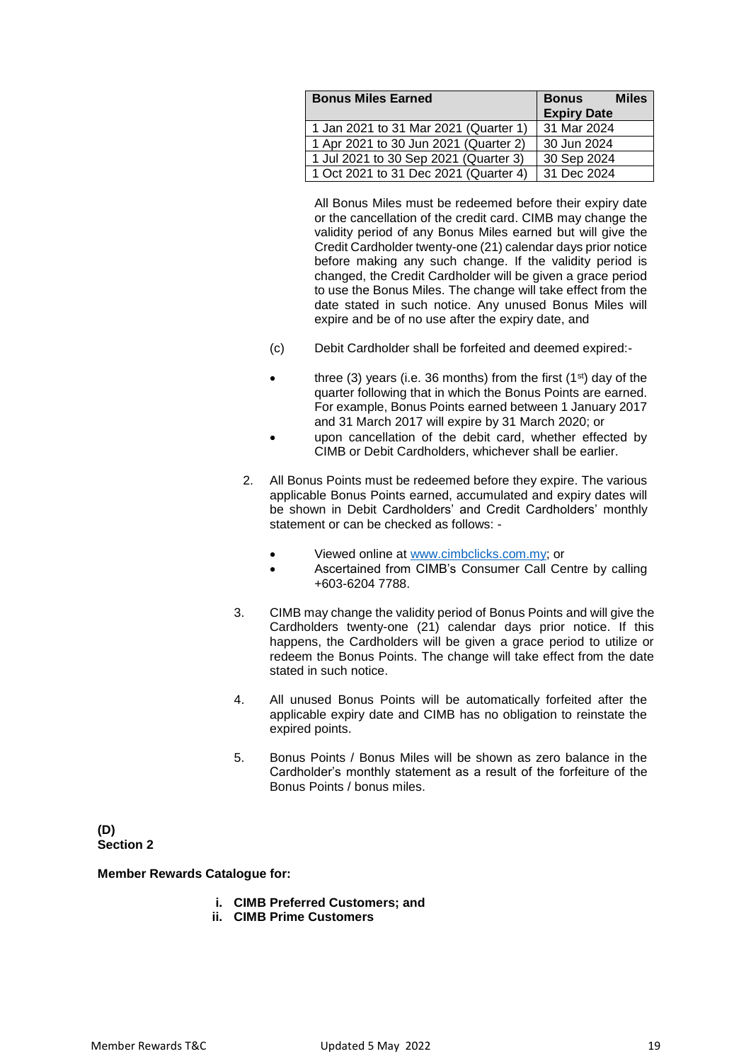| <b>Bonus Miles Earned</b>             | <b>Miles</b><br><b>Bonus</b><br><b>Expiry Date</b> |
|---------------------------------------|----------------------------------------------------|
| 1 Jan 2021 to 31 Mar 2021 (Quarter 1) | 31 Mar 2024                                        |
| 1 Apr 2021 to 30 Jun 2021 (Quarter 2) | 30 Jun 2024                                        |
| 1 Jul 2021 to 30 Sep 2021 (Quarter 3) | 30 Sep 2024                                        |
| 1 Oct 2021 to 31 Dec 2021 (Quarter 4) | 31 Dec 2024                                        |

All Bonus Miles must be redeemed before their expiry date or the cancellation of the credit card. CIMB may change the validity period of any Bonus Miles earned but will give the Credit Cardholder twenty-one (21) calendar days prior notice before making any such change. If the validity period is changed, the Credit Cardholder will be given a grace period to use the Bonus Miles. The change will take effect from the date stated in such notice. Any unused Bonus Miles will expire and be of no use after the expiry date, and

- (c) Debit Cardholder shall be forfeited and deemed expired:-
- three (3) years (i.e. 36 months) from the first  $(1<sup>st</sup>)$  day of the quarter following that in which the Bonus Points are earned. For example, Bonus Points earned between 1 January 2017 and 31 March 2017 will expire by 31 March 2020; or
- upon cancellation of the debit card, whether effected by CIMB or Debit Cardholders, whichever shall be earlier.
- 2. All Bonus Points must be redeemed before they expire. The various applicable Bonus Points earned, accumulated and expiry dates will be shown in Debit Cardholders' and Credit Cardholders' monthly statement or can be checked as follows:
	- Viewed online at [www.cimbclicks.com.my;](http://www.cimbclicks.com.my/) or
	- Ascertained from CIMB's Consumer Call Centre by calling +603-6204 7788.
- 3. CIMB may change the validity period of Bonus Points and will give the Cardholders twenty-one (21) calendar days prior notice. If this happens, the Cardholders will be given a grace period to utilize or redeem the Bonus Points. The change will take effect from the date stated in such notice.
- 4. All unused Bonus Points will be automatically forfeited after the applicable expiry date and CIMB has no obligation to reinstate the expired points.
- 5. Bonus Points / Bonus Miles will be shown as zero balance in the Cardholder's monthly statement as a result of the forfeiture of the Bonus Points / bonus miles.

**(D) Section 2**

**Member Rewards Catalogue for:**

- **i. CIMB Preferred Customers; and**
- **ii. CIMB Prime Customers**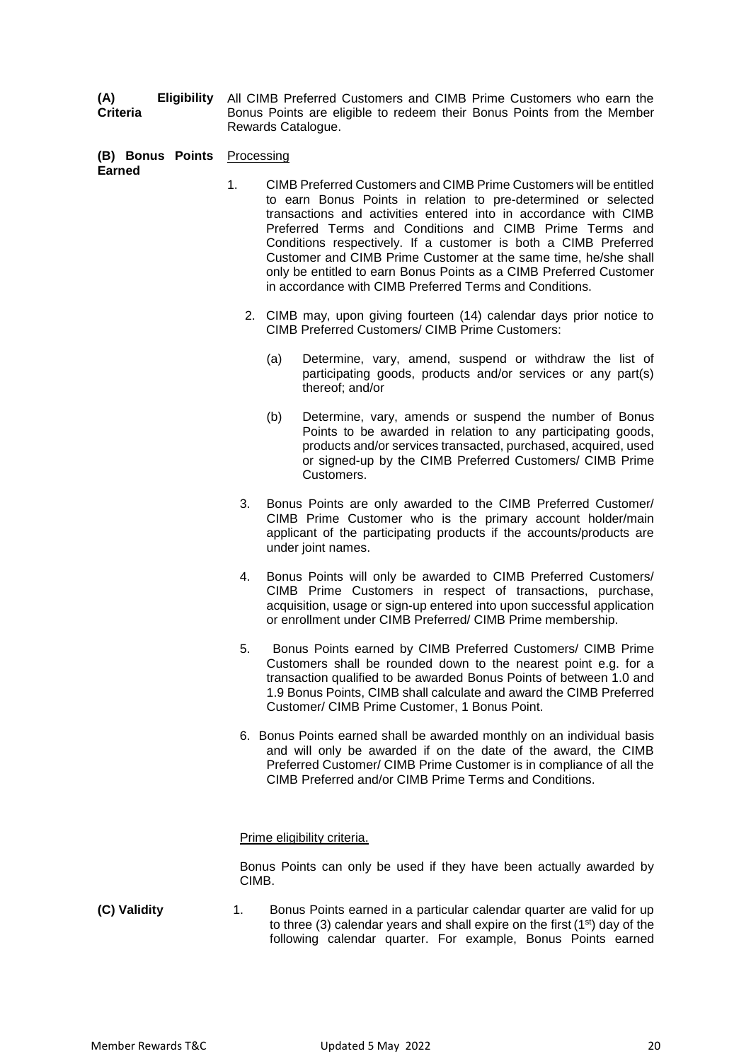**(A) Eligibility Criteria** All CIMB Preferred Customers and CIMB Prime Customers who earn the Bonus Points are eligible to redeem their Bonus Points from the Member Rewards Catalogue.

**(B) Bonus Points** Processing **Earned**

- 1. CIMB Preferred Customers and CIMB Prime Customers will be entitled to earn Bonus Points in relation to pre-determined or selected transactions and activities entered into in accordance with CIMB Preferred Terms and Conditions and CIMB Prime Terms and Conditions respectively. If a customer is both a CIMB Preferred Customer and CIMB Prime Customer at the same time, he/she shall only be entitled to earn Bonus Points as a CIMB Preferred Customer in accordance with CIMB Preferred Terms and Conditions.
	- 2. CIMB may, upon giving fourteen (14) calendar days prior notice to CIMB Preferred Customers/ CIMB Prime Customers:
		- (a) Determine, vary, amend, suspend or withdraw the list of participating goods, products and/or services or any part(s) thereof; and/or
		- (b) Determine, vary, amends or suspend the number of Bonus Points to be awarded in relation to any participating goods, products and/or services transacted, purchased, acquired, used or signed-up by the CIMB Preferred Customers/ CIMB Prime Customers.
	- 3. Bonus Points are only awarded to the CIMB Preferred Customer/ CIMB Prime Customer who is the primary account holder/main applicant of the participating products if the accounts/products are under joint names.
	- 4. Bonus Points will only be awarded to CIMB Preferred Customers/ CIMB Prime Customers in respect of transactions, purchase, acquisition, usage or sign-up entered into upon successful application or enrollment under CIMB Preferred/ CIMB Prime membership.
	- 5. Bonus Points earned by CIMB Preferred Customers/ CIMB Prime Customers shall be rounded down to the nearest point e.g. for a transaction qualified to be awarded Bonus Points of between 1.0 and 1.9 Bonus Points, CIMB shall calculate and award the CIMB Preferred Customer/ CIMB Prime Customer, 1 Bonus Point.
	- 6. Bonus Points earned shall be awarded monthly on an individual basis and will only be awarded if on the date of the award, the CIMB Preferred Customer/ CIMB Prime Customer is in compliance of all the CIMB Preferred and/or CIMB Prime Terms and Conditions.

#### Prime eligibility criteria.

Bonus Points can only be used if they have been actually awarded by CIMB.

**(C) Validity** 1. Bonus Points earned in a particular calendar quarter are valid for up to three (3) calendar years and shall expire on the first ( $1<sup>st</sup>$ ) day of the following calendar quarter. For example, Bonus Points earned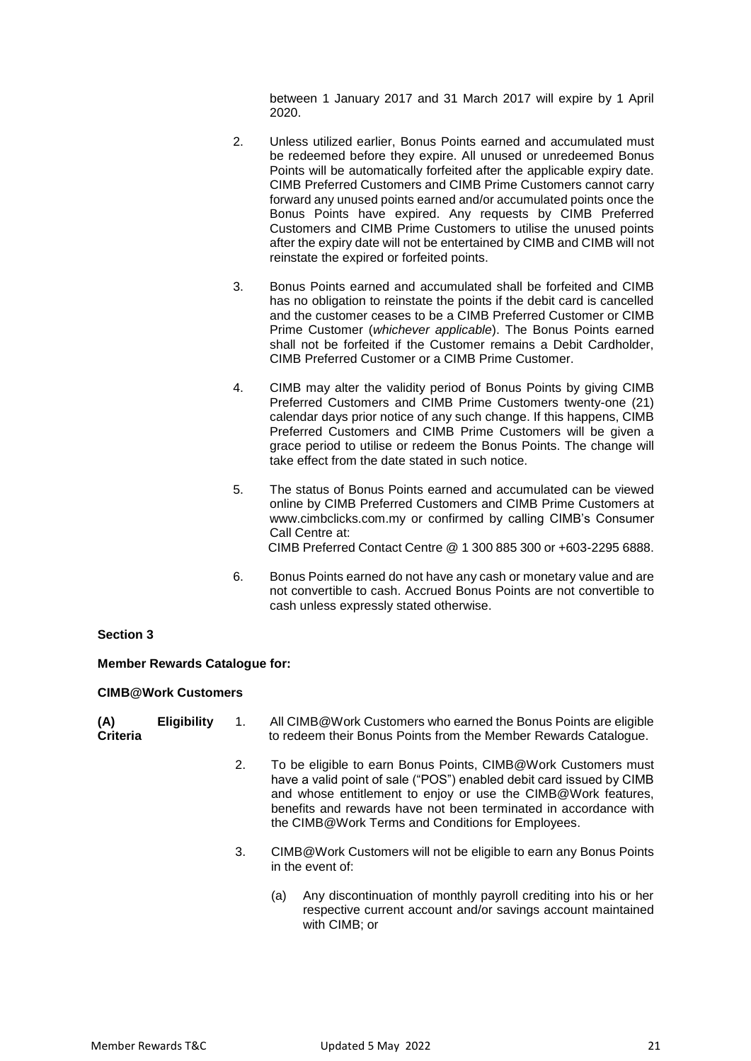between 1 January 2017 and 31 March 2017 will expire by 1 April 2020.

- 2. Unless utilized earlier, Bonus Points earned and accumulated must be redeemed before they expire. All unused or unredeemed Bonus Points will be automatically forfeited after the applicable expiry date. CIMB Preferred Customers and CIMB Prime Customers cannot carry forward any unused points earned and/or accumulated points once the Bonus Points have expired. Any requests by CIMB Preferred Customers and CIMB Prime Customers to utilise the unused points after the expiry date will not be entertained by CIMB and CIMB will not reinstate the expired or forfeited points.
- 3. Bonus Points earned and accumulated shall be forfeited and CIMB has no obligation to reinstate the points if the debit card is cancelled and the customer ceases to be a CIMB Preferred Customer or CIMB Prime Customer (*whichever applicable*). The Bonus Points earned shall not be forfeited if the Customer remains a Debit Cardholder, CIMB Preferred Customer or a CIMB Prime Customer.
- 4. CIMB may alter the validity period of Bonus Points by giving CIMB Preferred Customers and CIMB Prime Customers twenty-one (21) calendar days prior notice of any such change. If this happens, CIMB Preferred Customers and CIMB Prime Customers will be given a grace period to utilise or redeem the Bonus Points. The change will take effect from the date stated in such notice.
- 5. The status of Bonus Points earned and accumulated can be viewed online by CIMB Preferred Customers and CIMB Prime Customers at [www.cimbclicks.com.my o](http://www.cimbclicks.com.my/)r confirmed by calling CIMB's Consumer Call Centre at: CIMB Preferred Contact Centre @ 1 300 885 300 or +603-2295 6888.
- 6. Bonus Points earned do not have any cash or monetary value and are not convertible to cash. Accrued Bonus Points are not convertible to cash unless expressly stated otherwise.

#### **Section 3**

#### **Member Rewards Catalogue for:**

#### **CIMB@Work Customers**

| (A)      | <b>Eligibility</b> | All CIMB@Work Customers who earned the Bonus Points are eligible |
|----------|--------------------|------------------------------------------------------------------|
| Criteria |                    | to redeem their Bonus Points from the Member Rewards Catalogue.  |

- 2. To be eligible to earn Bonus Points, CIMB@Work Customers must have a valid point of sale ("POS") enabled debit card issued by CIMB and whose entitlement to enjoy or use the CIMB@Work features, benefits and rewards have not been terminated in accordance with the CIMB@Work Terms and Conditions for Employees.
- 3. CIMB@Work Customers will not be eligible to earn any Bonus Points in the event of:
	- (a) Any discontinuation of monthly payroll crediting into his or her respective current account and/or savings account maintained with CIMB; or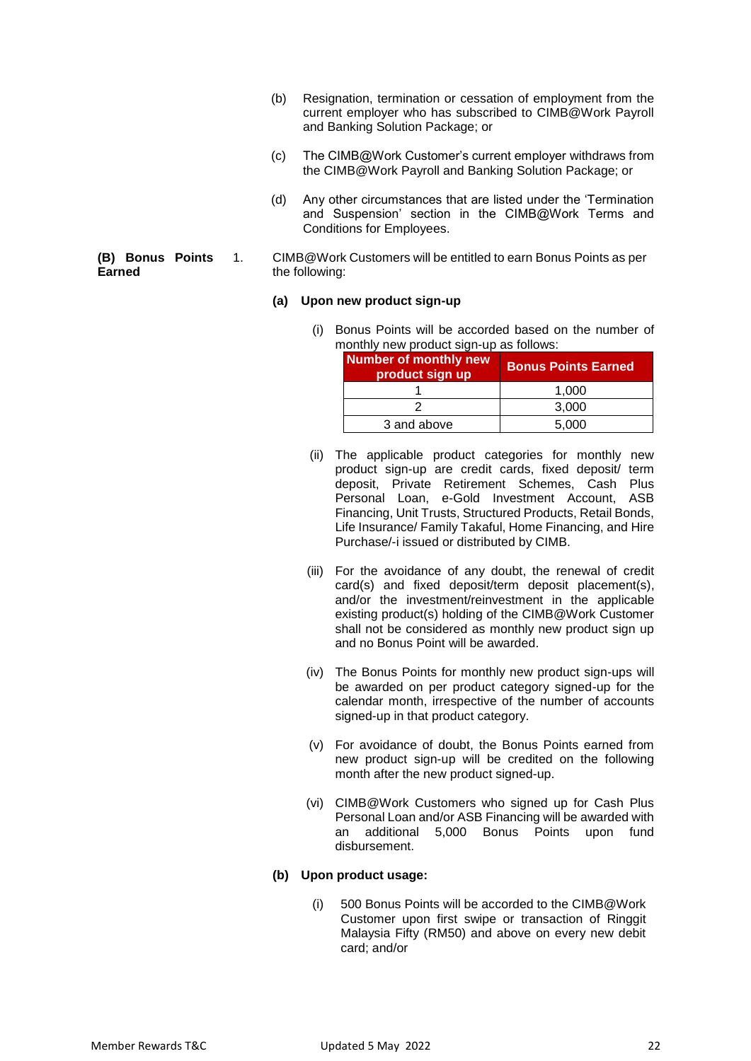- (b) Resignation, termination or cessation of employment from the current employer who has subscribed to CIMB@Work Payroll and Banking Solution Package; or
- (c) The CIMB@Work Customer's current employer withdraws from the CIMB@Work Payroll and Banking Solution Package; or
- (d) Any other circumstances that are listed under the 'Termination and Suspension' section in the CIMB@Work Terms and Conditions for Employees.
- 1. CIMB@Work Customers will be entitled to earn Bonus Points as per the following:

#### **(a) Upon new product sign-up**

(i) Bonus Points will be accorded based on the number of monthly new product sign-up as follows:

| <b>Number of monthly new</b><br>product sign up | <b>Bonus Points Earned</b> |  |
|-------------------------------------------------|----------------------------|--|
|                                                 | 1,000                      |  |
|                                                 | 3,000                      |  |
| 3 and above                                     | 5,000                      |  |

- (ii) The applicable product categories for monthly new product sign-up are credit cards, fixed deposit/ term deposit, Private Retirement Schemes, Cash Plus Personal Loan, e-Gold Investment Account, ASB Financing, Unit Trusts, Structured Products, Retail Bonds, Life Insurance/ Family Takaful, Home Financing, and Hire Purchase/-i issued or distributed by CIMB.
- (iii) For the avoidance of any doubt, the renewal of credit card(s) and fixed deposit/term deposit placement(s), and/or the investment/reinvestment in the applicable existing product(s) holding of the CIMB@Work Customer shall not be considered as monthly new product sign up and no Bonus Point will be awarded.
- (iv) The Bonus Points for monthly new product sign-ups will be awarded on per product category signed-up for the calendar month, irrespective of the number of accounts signed-up in that product category.
- (v) For avoidance of doubt, the Bonus Points earned from new product sign-up will be credited on the following month after the new product signed-up.
- (vi) CIMB@Work Customers who signed up for Cash Plus Personal Loan and/or ASB Financing will be awarded with an additional 5,000 Bonus Points upon fund disbursement.

## **(b) Upon product usage:**

(i) 500 Bonus Points will be accorded to the CIMB@Work Customer upon first swipe or transaction of Ringgit Malaysia Fifty (RM50) and above on every new debit card; and/or

**(B) Bonus Points Earned**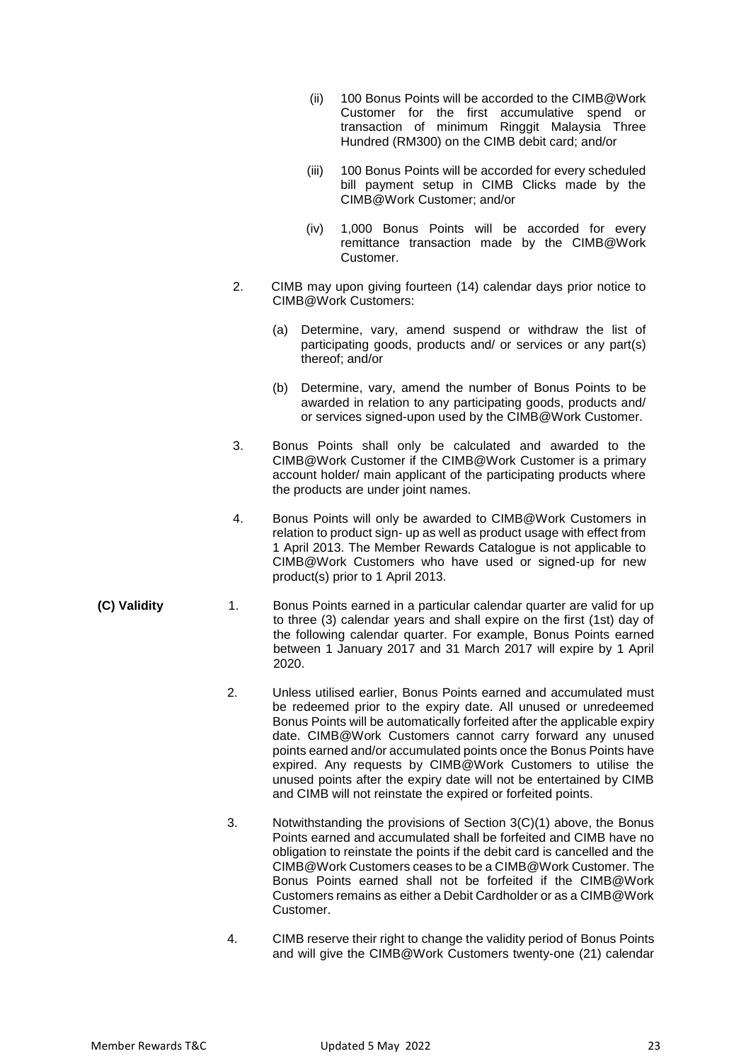- (ii) 100 Bonus Points will be accorded to the CIMB@Work Customer for the first accumulative spend or transaction of minimum Ringgit Malaysia Three Hundred (RM300) on the CIMB debit card; and/or
- (iii) 100 Bonus Points will be accorded for every scheduled bill payment setup in CIMB Clicks made by the CIMB@Work Customer; and/or
- (iv) 1,000 Bonus Points will be accorded for every remittance transaction made by the CIMB@Work Customer.
- 2. CIMB may upon giving fourteen (14) calendar days prior notice to CIMB@Work Customers:
	- (a) Determine, vary, amend suspend or withdraw the list of participating goods, products and/ or services or any part(s) thereof; and/or
	- (b) Determine, vary, amend the number of Bonus Points to be awarded in relation to any participating goods, products and/ or services signed-upon used by the CIMB@Work Customer.
- 3. Bonus Points shall only be calculated and awarded to the CIMB@Work Customer if the CIMB@Work Customer is a primary account holder/ main applicant of the participating products where the products are under joint names.
- 4. Bonus Points will only be awarded to CIMB@Work Customers in relation to product sign- up as well as product usage with effect from 1 April 2013. The Member Rewards Catalogue is not applicable to CIMB@Work Customers who have used or signed-up for new product(s) prior to 1 April 2013.
- **(C) Validity** 1. Bonus Points earned in a particular calendar quarter are valid for up to three (3) calendar years and shall expire on the first (1st) day of the following calendar quarter. For example, Bonus Points earned between 1 January 2017 and 31 March 2017 will expire by 1 April 2020.
	- 2. Unless utilised earlier, Bonus Points earned and accumulated must be redeemed prior to the expiry date. All unused or unredeemed Bonus Points will be automatically forfeited after the applicable expiry date. CIMB@Work Customers cannot carry forward any unused points earned and/or accumulated points once the Bonus Points have expired. Any requests by CIMB@Work Customers to utilise the unused points after the expiry date will not be entertained by CIMB and CIMB will not reinstate the expired or forfeited points.
	- 3. Notwithstanding the provisions of Section 3(C)(1) above, the Bonus Points earned and accumulated shall be forfeited and CIMB have no obligation to reinstate the points if the debit card is cancelled and the CIMB@Work Customers ceases to be a CIMB@Work Customer. The Bonus Points earned shall not be forfeited if the CIMB@Work Customers remains as either a Debit Cardholder or as a CIMB@Work Customer.
	- 4. CIMB reserve their right to change the validity period of Bonus Points and will give the CIMB@Work Customers twenty-one (21) calendar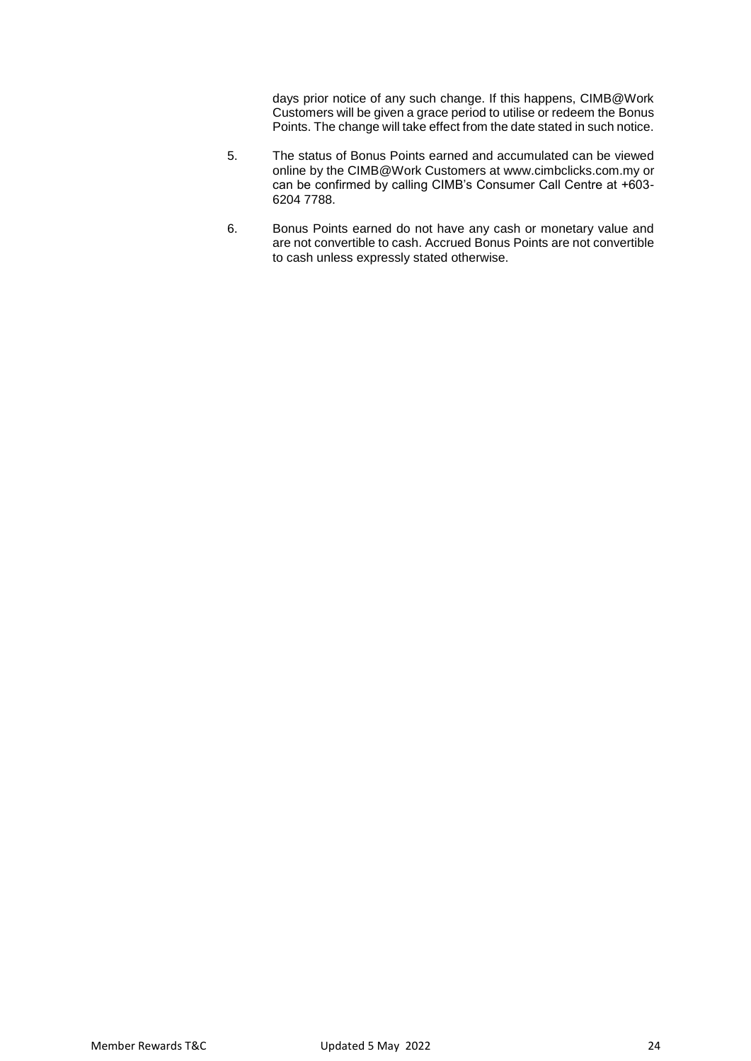days prior notice of any such change. If this happens, CIMB@Work Customers will be given a grace period to utilise or redeem the Bonus Points. The change will take effect from the date stated in such notice.

- 5. The status of Bonus Points earned and accumulated can be viewed online by the CIMB@Work Customers at [www.cimbclicks.com.my o](http://www.cimbclicks.com.my/)r can be confirmed by calling CIMB's Consumer Call Centre at +603- 6204 7788.
- 6. Bonus Points earned do not have any cash or monetary value and are not convertible to cash. Accrued Bonus Points are not convertible to cash unless expressly stated otherwise.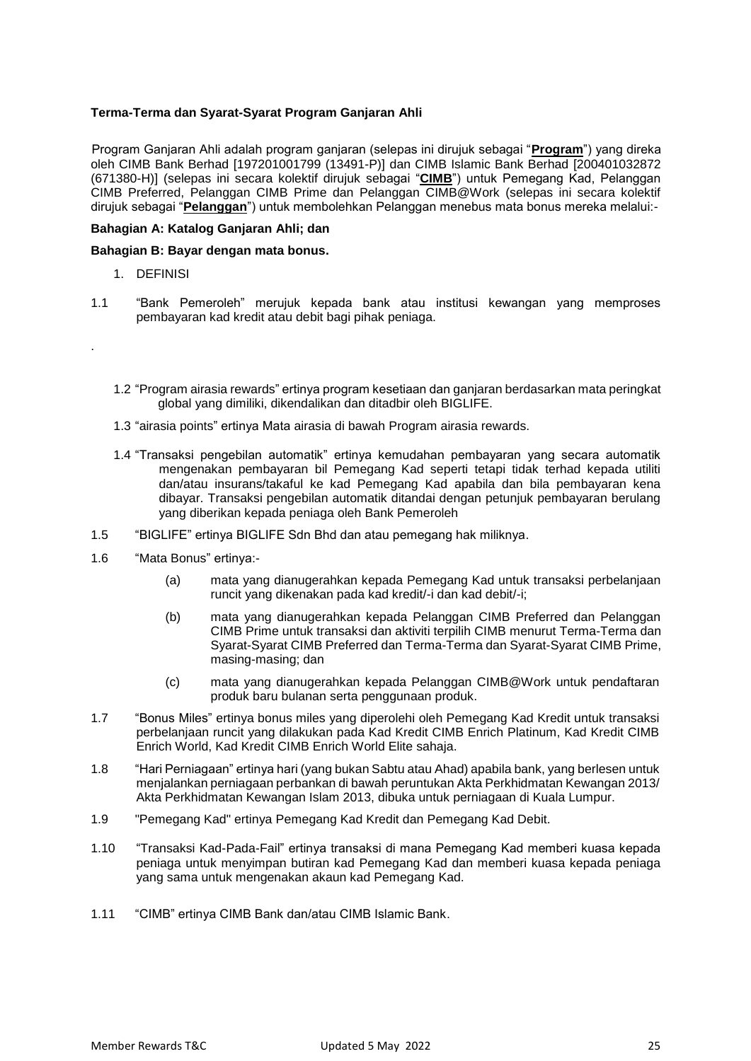## **Terma-Terma dan Syarat-Syarat Program Ganjaran Ahli**

Program Ganjaran Ahli adalah program ganjaran (selepas ini dirujuk sebagai "**Program**") yang direka oleh CIMB Bank Berhad [197201001799 (13491-P)] dan CIMB Islamic Bank Berhad [200401032872 (671380-H)] (selepas ini secara kolektif dirujuk sebagai "**CIMB**") untuk Pemegang Kad, Pelanggan CIMB Preferred, Pelanggan CIMB Prime dan Pelanggan CIMB@Work (selepas ini secara kolektif dirujuk sebagai "**Pelanggan**") untuk membolehkan Pelanggan menebus mata bonus mereka melalui:-

#### **Bahagian A: Katalog Ganjaran Ahli; dan**

## **Bahagian B: Bayar dengan mata bonus.**

1. DEFINISI

.

- 1.1 "Bank Pemeroleh" merujuk kepada bank atau institusi kewangan yang memproses pembayaran kad kredit atau debit bagi pihak peniaga.
	- 1.2 "Program airasia rewards" ertinya program kesetiaan dan ganjaran berdasarkan mata peringkat global yang dimiliki, dikendalikan dan ditadbir oleh BIGLIFE.
	- 1.3 "airasia points" ertinya Mata airasia di bawah Program airasia rewards.
	- 1.4 "Transaksi pengebilan automatik" ertinya kemudahan pembayaran yang secara automatik mengenakan pembayaran bil Pemegang Kad seperti tetapi tidak terhad kepada utiliti dan/atau insurans/takaful ke kad Pemegang Kad apabila dan bila pembayaran kena dibayar. Transaksi pengebilan automatik ditandai dengan petunjuk pembayaran berulang yang diberikan kepada peniaga oleh Bank Pemeroleh
- 1.5 "BIGLIFE" ertinya BIGLIFE Sdn Bhd dan atau pemegang hak miliknya.
- 1.6 "Mata Bonus" ertinya:-
	- (a) mata yang dianugerahkan kepada Pemegang Kad untuk transaksi perbelanjaan runcit yang dikenakan pada kad kredit/-i dan kad debit/-i;
	- (b) mata yang dianugerahkan kepada Pelanggan CIMB Preferred dan Pelanggan CIMB Prime untuk transaksi dan aktiviti terpilih CIMB menurut Terma-Terma dan Syarat-Syarat CIMB Preferred dan Terma-Terma dan Syarat-Syarat CIMB Prime, masing-masing; dan
	- (c) mata yang dianugerahkan kepada Pelanggan CIMB@Work untuk pendaftaran produk baru bulanan serta penggunaan produk.
- 1.7 "Bonus Miles" ertinya bonus miles yang diperolehi oleh Pemegang Kad Kredit untuk transaksi perbelanjaan runcit yang dilakukan pada Kad Kredit CIMB Enrich Platinum, Kad Kredit CIMB Enrich World, Kad Kredit CIMB Enrich World Elite sahaja.
- 1.8 "Hari Perniagaan" ertinya hari (yang bukan Sabtu atau Ahad) apabila bank, yang berlesen untuk menjalankan perniagaan perbankan di bawah peruntukan Akta Perkhidmatan Kewangan 2013/ Akta Perkhidmatan Kewangan Islam 2013, dibuka untuk perniagaan di Kuala Lumpur.
- 1.9 "Pemegang Kad" ertinya Pemegang Kad Kredit dan Pemegang Kad Debit.
- 1.10 "Transaksi Kad-Pada-Fail" ertinya transaksi di mana Pemegang Kad memberi kuasa kepada peniaga untuk menyimpan butiran kad Pemegang Kad dan memberi kuasa kepada peniaga yang sama untuk mengenakan akaun kad Pemegang Kad.
- 1.11 "CIMB" ertinya CIMB Bank dan/atau CIMB Islamic Bank.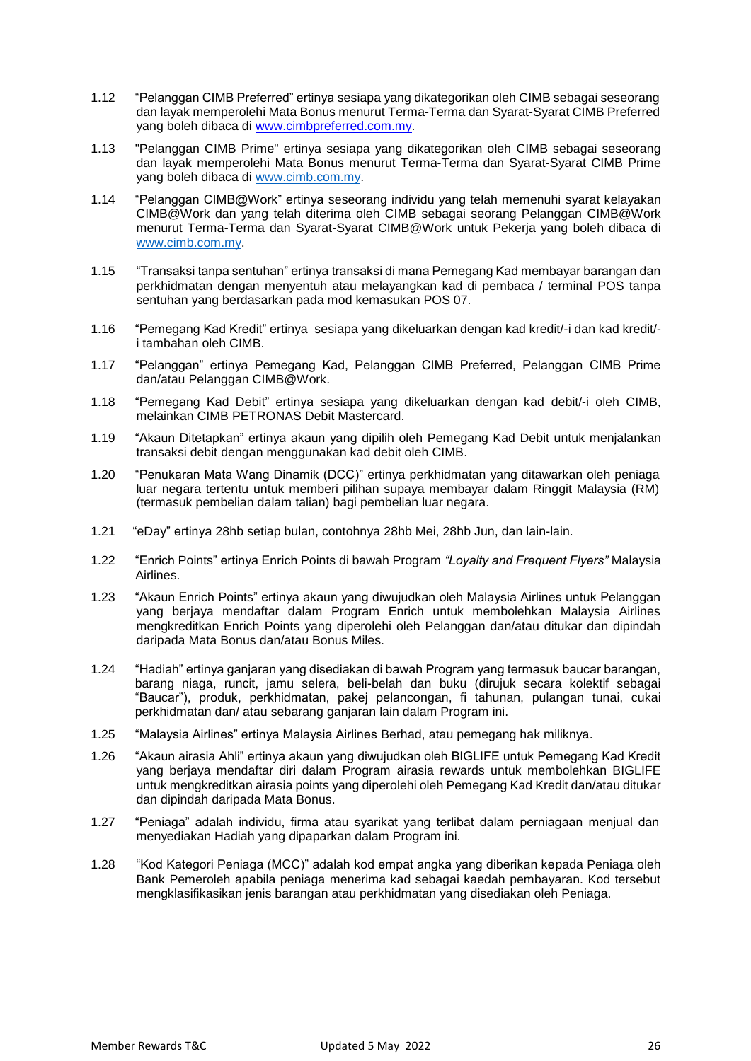- 1.12 "Pelanggan CIMB Preferred" ertinya sesiapa yang dikategorikan oleh CIMB sebagai seseorang dan layak memperolehi Mata Bonus menurut Terma-Terma dan Syarat-Syarat CIMB Preferred yang boleh dibaca di [www.cimbpreferred.com.my.](http://www.cimbpreferred.com.my/)
- 1.13 "Pelanggan CIMB Prime" ertinya sesiapa yang dikategorikan oleh CIMB sebagai seseorang dan layak memperolehi Mata Bonus menurut Terma-Terma dan Syarat-Syarat CIMB Prime yang boleh dibaca di [www.cimb.com.my.](http://www.cimb.com.my/)
- 1.14 "Pelanggan CIMB@Work" ertinya seseorang individu yang telah memenuhi syarat kelayakan CIMB@Work dan yang telah diterima oleh CIMB sebagai seorang Pelanggan CIMB@Work menurut Terma-Terma dan Syarat-Syarat CIMB@Work untuk Pekerja yang boleh dibaca di [www.cimb.com.my.](http://www.cimb.com.my/)
- 1.15 "Transaksi tanpa sentuhan" ertinya transaksi di mana Pemegang Kad membayar barangan dan perkhidmatan dengan menyentuh atau melayangkan kad di pembaca / terminal POS tanpa sentuhan yang berdasarkan pada mod kemasukan POS 07.
- 1.16 "Pemegang Kad Kredit" ertinya sesiapa yang dikeluarkan dengan kad kredit/-i dan kad kredit/ i tambahan oleh CIMB.
- 1.17 "Pelanggan" ertinya Pemegang Kad, Pelanggan CIMB Preferred, Pelanggan CIMB Prime dan/atau Pelanggan CIMB@Work.
- 1.18 "Pemegang Kad Debit" ertinya sesiapa yang dikeluarkan dengan kad debit/-i oleh CIMB, melainkan CIMB PETRONAS Debit Mastercard.
- 1.19 "Akaun Ditetapkan" ertinya akaun yang dipilih oleh Pemegang Kad Debit untuk menjalankan transaksi debit dengan menggunakan kad debit oleh CIMB.
- 1.20 "Penukaran Mata Wang Dinamik (DCC)" ertinya perkhidmatan yang ditawarkan oleh peniaga luar negara tertentu untuk memberi pilihan supaya membayar dalam Ringgit Malaysia (RM) (termasuk pembelian dalam talian) bagi pembelian luar negara.
- 1.21 "eDay" ertinya 28hb setiap bulan, contohnya 28hb Mei, 28hb Jun, dan lain-lain.
- 1.22 "Enrich Points" ertinya Enrich Points di bawah Program *"Loyalty and Frequent Flyers"* Malaysia Airlines.
- 1.23 "Akaun Enrich Points" ertinya akaun yang diwujudkan oleh Malaysia Airlines untuk Pelanggan yang berjaya mendaftar dalam Program Enrich untuk membolehkan Malaysia Airlines mengkreditkan Enrich Points yang diperolehi oleh Pelanggan dan/atau ditukar dan dipindah daripada Mata Bonus dan/atau Bonus Miles.
- 1.24 "Hadiah" ertinya ganjaran yang disediakan di bawah Program yang termasuk baucar barangan, barang niaga, runcit, jamu selera, beli-belah dan buku (dirujuk secara kolektif sebagai "Baucar"), produk, perkhidmatan, pakej pelancongan, fi tahunan, pulangan tunai, cukai perkhidmatan dan/ atau sebarang ganjaran lain dalam Program ini.
- 1.25 "Malaysia Airlines" ertinya Malaysia Airlines Berhad, atau pemegang hak miliknya.
- 1.26 "Akaun airasia Ahli" ertinya akaun yang diwujudkan oleh BIGLIFE untuk Pemegang Kad Kredit yang berjaya mendaftar diri dalam Program airasia rewards untuk membolehkan BIGLIFE untuk mengkreditkan airasia points yang diperolehi oleh Pemegang Kad Kredit dan/atau ditukar dan dipindah daripada Mata Bonus.
- 1.27 "Peniaga" adalah individu, firma atau syarikat yang terlibat dalam perniagaan menjual dan menyediakan Hadiah yang dipaparkan dalam Program ini.
- 1.28 "Kod Kategori Peniaga (MCC)" adalah kod empat angka yang diberikan kepada Peniaga oleh Bank Pemeroleh apabila peniaga menerima kad sebagai kaedah pembayaran. Kod tersebut mengklasifikasikan jenis barangan atau perkhidmatan yang disediakan oleh Peniaga.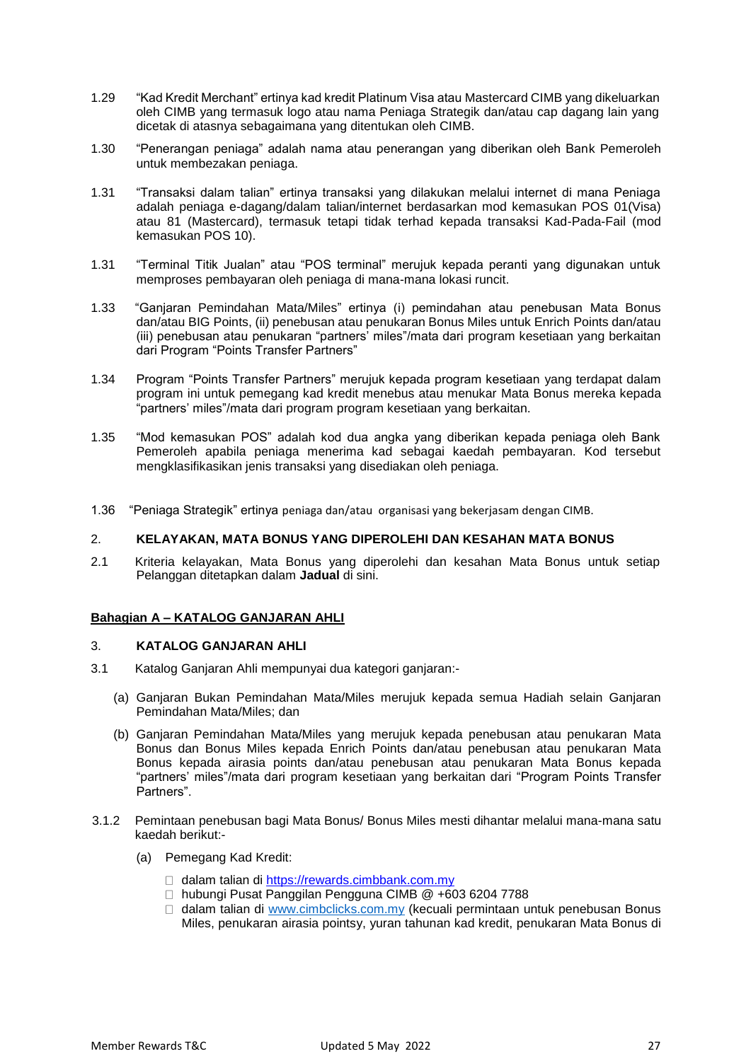- 1.29 "Kad Kredit Merchant" ertinya kad kredit Platinum Visa atau Mastercard CIMB yang dikeluarkan oleh CIMB yang termasuk logo atau nama Peniaga Strategik dan/atau cap dagang lain yang dicetak di atasnya sebagaimana yang ditentukan oleh CIMB.
- 1.30 "Penerangan peniaga" adalah nama atau penerangan yang diberikan oleh Bank Pemeroleh untuk membezakan peniaga.
- 1.31 "Transaksi dalam talian" ertinya transaksi yang dilakukan melalui internet di mana Peniaga adalah peniaga e-dagang/dalam talian/internet berdasarkan mod kemasukan POS 01(Visa) atau 81 (Mastercard), termasuk tetapi tidak terhad kepada transaksi Kad-Pada-Fail (mod kemasukan POS 10).
- 1.31 "Terminal Titik Jualan" atau "POS terminal" merujuk kepada peranti yang digunakan untuk memproses pembayaran oleh peniaga di mana-mana lokasi runcit.
- 1.33 "Ganjaran Pemindahan Mata/Miles" ertinya (i) pemindahan atau penebusan Mata Bonus dan/atau BIG Points, (ii) penebusan atau penukaran Bonus Miles untuk Enrich Points dan/atau (iii) penebusan atau penukaran "partners' miles"/mata dari program kesetiaan yang berkaitan dari Program "Points Transfer Partners"
- 1.34 Program "Points Transfer Partners" merujuk kepada program kesetiaan yang terdapat dalam program ini untuk pemegang kad kredit menebus atau menukar Mata Bonus mereka kepada "partners' miles"/mata dari program program kesetiaan yang berkaitan.
- 1.35 "Mod kemasukan POS" adalah kod dua angka yang diberikan kepada peniaga oleh Bank Pemeroleh apabila peniaga menerima kad sebagai kaedah pembayaran. Kod tersebut mengklasifikasikan jenis transaksi yang disediakan oleh peniaga.
- 1.36 "Peniaga Strategik" ertinya peniaga dan/atau organisasi yang bekerjasam dengan CIMB.

## 2. **KELAYAKAN, MATA BONUS YANG DIPEROLEHI DAN KESAHAN MATA BONUS**

2.1 Kriteria kelayakan, Mata Bonus yang diperolehi dan kesahan Mata Bonus untuk setiap Pelanggan ditetapkan dalam **Jadual** di sini.

#### **Bahagian A – KATALOG GANJARAN AHLI**

## 3. **KATALOG GANJARAN AHLI**

- 3.1 Katalog Ganjaran Ahli mempunyai dua kategori ganjaran:-
	- (a) Ganjaran Bukan Pemindahan Mata/Miles merujuk kepada semua Hadiah selain Ganjaran Pemindahan Mata/Miles; dan
	- (b) Ganjaran Pemindahan Mata/Miles yang merujuk kepada penebusan atau penukaran Mata Bonus dan Bonus Miles kepada Enrich Points dan/atau penebusan atau penukaran Mata Bonus kepada airasia points dan/atau penebusan atau penukaran Mata Bonus kepada "partners' miles"/mata dari program kesetiaan yang berkaitan dari "Program Points Transfer Partners".
- 3.1.2 Pemintaan penebusan bagi Mata Bonus/ Bonus Miles mesti dihantar melalui mana-mana satu kaedah berikut:-
	- (a) Pemegang Kad Kredit:
		- dalam talian di [https://rewards.cimbbank.com.my](https://rewards.cimbbank.com.my/)
		- □ hubungi Pusat Panggilan Pengguna CIMB @ +603 6204 7788
		- $\Box$  dalam talian di [www.cimbclicks.com.my](http://www.cimbclicks.com.my/) (kecuali permintaan untuk penebusan Bonus Miles, penukaran airasia pointsy, yuran tahunan kad kredit, penukaran Mata Bonus di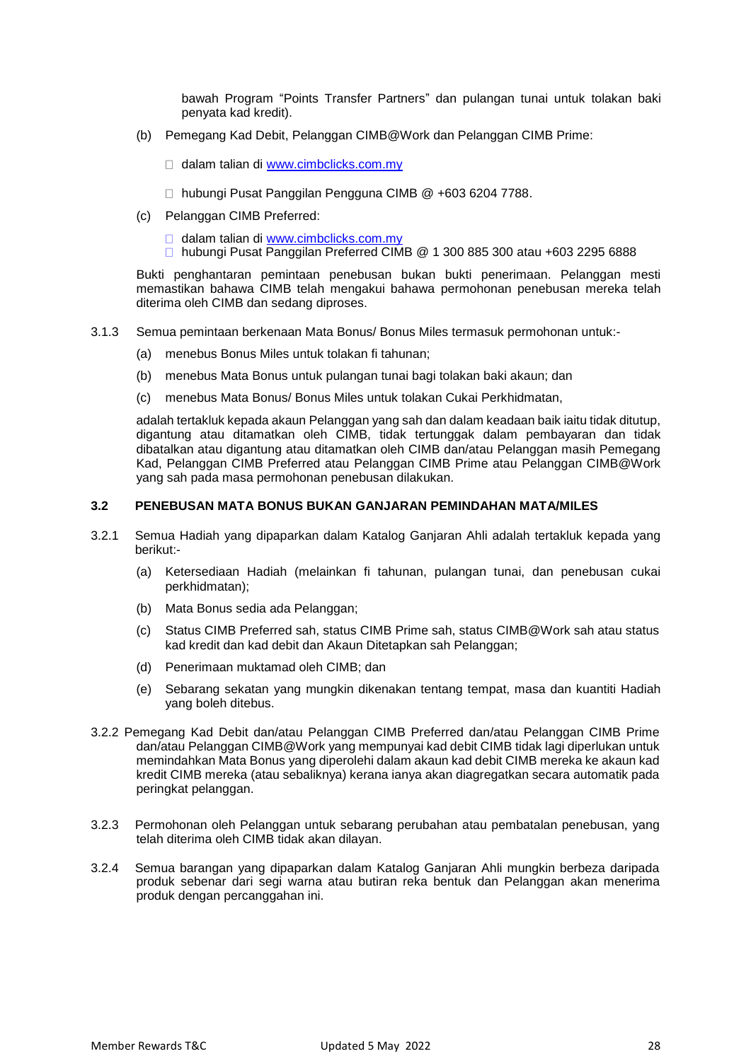bawah Program "Points Transfer Partners" dan pulangan tunai untuk tolakan baki penyata kad kredit).

- (b) Pemegang Kad Debit, Pelanggan CIMB@Work dan Pelanggan CIMB Prime:
	- dalam talian di [www.cimbclicks.com.my](http://www.cimbclicks.com.my/)
	- □ hubungi Pusat Panggilan Pengguna CIMB @ +603 6204 7788.
- (c) Pelanggan CIMB Preferred:
	- □ dalam talian di [www.cimbclicks.com.my](http://www.cimbclicks.com.my/)
	- hubungi Pusat Panggilan Preferred CIMB @ 1 300 885 300 atau +603 2295 6888

Bukti penghantaran pemintaan penebusan bukan bukti penerimaan. Pelanggan mesti memastikan bahawa CIMB telah mengakui bahawa permohonan penebusan mereka telah diterima oleh CIMB dan sedang diproses.

- 3.1.3 Semua pemintaan berkenaan Mata Bonus/ Bonus Miles termasuk permohonan untuk:-
	- (a) menebus Bonus Miles untuk tolakan fi tahunan;
	- (b) menebus Mata Bonus untuk pulangan tunai bagi tolakan baki akaun; dan
	- (c) menebus Mata Bonus/ Bonus Miles untuk tolakan Cukai Perkhidmatan,

adalah tertakluk kepada akaun Pelanggan yang sah dan dalam keadaan baik iaitu tidak ditutup, digantung atau ditamatkan oleh CIMB, tidak tertunggak dalam pembayaran dan tidak dibatalkan atau digantung atau ditamatkan oleh CIMB dan/atau Pelanggan masih Pemegang Kad, Pelanggan CIMB Preferred atau Pelanggan CIMB Prime atau Pelanggan CIMB@Work yang sah pada masa permohonan penebusan dilakukan.

#### **3.2 PENEBUSAN MATA BONUS BUKAN GANJARAN PEMINDAHAN MATA/MILES**

- 3.2.1 Semua Hadiah yang dipaparkan dalam Katalog Ganjaran Ahli adalah tertakluk kepada yang berikut:-
	- (a) Ketersediaan Hadiah (melainkan fi tahunan, pulangan tunai, dan penebusan cukai perkhidmatan);
	- (b) Mata Bonus sedia ada Pelanggan;
	- (c) Status CIMB Preferred sah, status CIMB Prime sah, status CIMB@Work sah atau status kad kredit dan kad debit dan Akaun Ditetapkan sah Pelanggan;
	- (d) Penerimaan muktamad oleh CIMB; dan
	- (e) Sebarang sekatan yang mungkin dikenakan tentang tempat, masa dan kuantiti Hadiah yang boleh ditebus.
- 3.2.2 Pemegang Kad Debit dan/atau Pelanggan CIMB Preferred dan/atau Pelanggan CIMB Prime dan/atau Pelanggan CIMB@Work yang mempunyai kad debit CIMB tidak lagi diperlukan untuk memindahkan Mata Bonus yang diperolehi dalam akaun kad debit CIMB mereka ke akaun kad kredit CIMB mereka (atau sebaliknya) kerana ianya akan diagregatkan secara automatik pada peringkat pelanggan.
- 3.2.3 Permohonan oleh Pelanggan untuk sebarang perubahan atau pembatalan penebusan, yang telah diterima oleh CIMB tidak akan dilayan.
- 3.2.4 Semua barangan yang dipaparkan dalam Katalog Ganjaran Ahli mungkin berbeza daripada produk sebenar dari segi warna atau butiran reka bentuk dan Pelanggan akan menerima produk dengan percanggahan ini.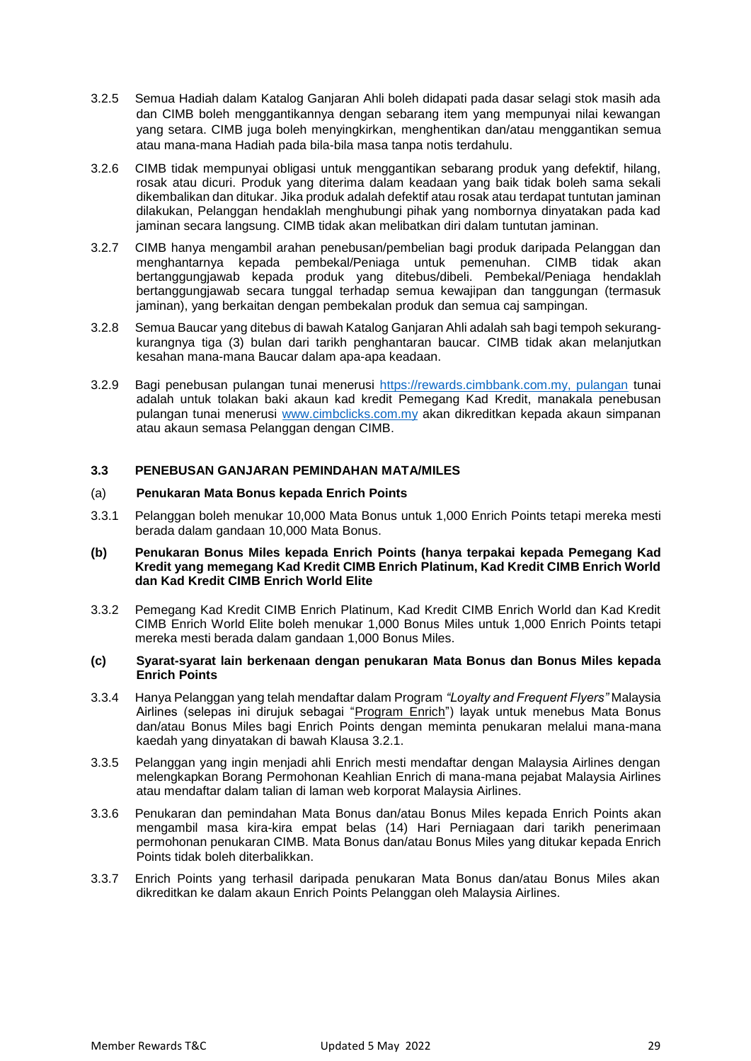- 3.2.5 Semua Hadiah dalam Katalog Ganjaran Ahli boleh didapati pada dasar selagi stok masih ada dan CIMB boleh menggantikannya dengan sebarang item yang mempunyai nilai kewangan yang setara. CIMB juga boleh menyingkirkan, menghentikan dan/atau menggantikan semua atau mana-mana Hadiah pada bila-bila masa tanpa notis terdahulu.
- 3.2.6 CIMB tidak mempunyai obligasi untuk menggantikan sebarang produk yang defektif, hilang, rosak atau dicuri. Produk yang diterima dalam keadaan yang baik tidak boleh sama sekali dikembalikan dan ditukar. Jika produk adalah defektif atau rosak atau terdapat tuntutan jaminan dilakukan, Pelanggan hendaklah menghubungi pihak yang nombornya dinyatakan pada kad jaminan secara langsung. CIMB tidak akan melibatkan diri dalam tuntutan jaminan.
- 3.2.7 CIMB hanya mengambil arahan penebusan/pembelian bagi produk daripada Pelanggan dan menghantarnya kepada pembekal/Peniaga untuk pemenuhan. CIMB tidak akan bertanggungjawab kepada produk yang ditebus/dibeli. Pembekal/Peniaga hendaklah bertanggungjawab secara tunggal terhadap semua kewajipan dan tanggungan (termasuk jaminan), yang berkaitan dengan pembekalan produk dan semua caj sampingan.
- 3.2.8 Semua Baucar yang ditebus di bawah Katalog Ganjaran Ahli adalah sah bagi tempoh sekurangkurangnya tiga (3) bulan dari tarikh penghantaran baucar. CIMB tidak akan melanjutkan kesahan mana-mana Baucar dalam apa-apa keadaan.
- 3.2.9 Bagi penebusan pulangan tunai menerusi https://rewards.cimbbank.com.my, pulangan tunai adalah untuk tolakan baki akaun kad kredit Pemegang Kad Kredit, manakala penebusan pulangan tunai menerusi [www.cimbclicks.com.my](http://www.cimbclicks.com.my/) akan dikreditkan kepada akaun simpanan atau akaun semasa Pelanggan dengan CIMB.

## **3.3 PENEBUSAN GANJARAN PEMINDAHAN MATA/MILES**

#### (a) **Penukaran Mata Bonus kepada Enrich Points**

3.3.1 Pelanggan boleh menukar 10,000 Mata Bonus untuk 1,000 Enrich Points tetapi mereka mesti berada dalam gandaan 10,000 Mata Bonus.

#### **(b) Penukaran Bonus Miles kepada Enrich Points (hanya terpakai kepada Pemegang Kad Kredit yang memegang Kad Kredit CIMB Enrich Platinum, Kad Kredit CIMB Enrich World dan Kad Kredit CIMB Enrich World Elite**

3.3.2 Pemegang Kad Kredit CIMB Enrich Platinum, Kad Kredit CIMB Enrich World dan Kad Kredit CIMB Enrich World Elite boleh menukar 1,000 Bonus Miles untuk 1,000 Enrich Points tetapi mereka mesti berada dalam gandaan 1,000 Bonus Miles.

#### **(c) Syarat-syarat lain berkenaan dengan penukaran Mata Bonus dan Bonus Miles kepada Enrich Points**

- 3.3.4 Hanya Pelanggan yang telah mendaftar dalam Program *"Loyalty and Frequent Flyers"* Malaysia Airlines (selepas ini dirujuk sebagai "Program Enrich") layak untuk menebus Mata Bonus dan/atau Bonus Miles bagi Enrich Points dengan meminta penukaran melalui mana-mana kaedah yang dinyatakan di bawah Klausa 3.2.1.
- 3.3.5 Pelanggan yang ingin menjadi ahli Enrich mesti mendaftar dengan Malaysia Airlines dengan melengkapkan Borang Permohonan Keahlian Enrich di mana-mana pejabat Malaysia Airlines atau mendaftar dalam talian di laman web korporat Malaysia Airlines.
- 3.3.6 Penukaran dan pemindahan Mata Bonus dan/atau Bonus Miles kepada Enrich Points akan mengambil masa kira-kira empat belas (14) Hari Perniagaan dari tarikh penerimaan permohonan penukaran CIMB. Mata Bonus dan/atau Bonus Miles yang ditukar kepada Enrich Points tidak boleh diterbalikkan.
- 3.3.7 Enrich Points yang terhasil daripada penukaran Mata Bonus dan/atau Bonus Miles akan dikreditkan ke dalam akaun Enrich Points Pelanggan oleh Malaysia Airlines.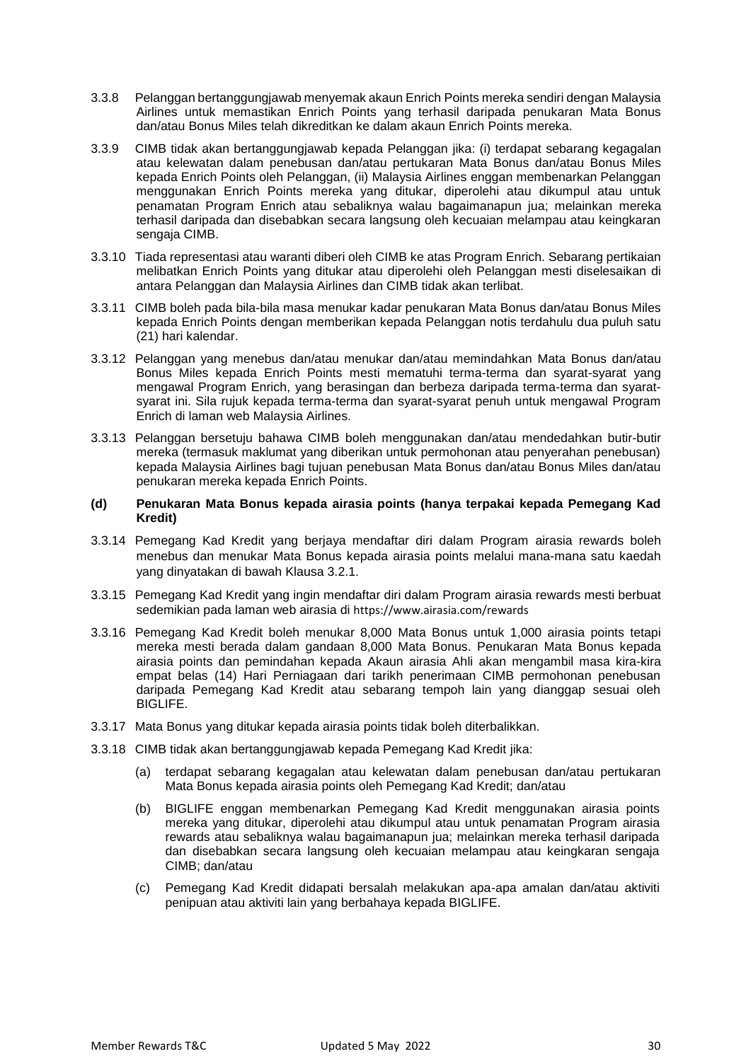- 3.3.8 Pelanggan bertanggungjawab menyemak akaun Enrich Points mereka sendiri dengan Malaysia Airlines untuk memastikan Enrich Points yang terhasil daripada penukaran Mata Bonus dan/atau Bonus Miles telah dikreditkan ke dalam akaun Enrich Points mereka.
- 3.3.9 CIMB tidak akan bertanggungjawab kepada Pelanggan jika: (i) terdapat sebarang kegagalan atau kelewatan dalam penebusan dan/atau pertukaran Mata Bonus dan/atau Bonus Miles kepada Enrich Points oleh Pelanggan, (ii) Malaysia Airlines enggan membenarkan Pelanggan menggunakan Enrich Points mereka yang ditukar, diperolehi atau dikumpul atau untuk penamatan Program Enrich atau sebaliknya walau bagaimanapun jua; melainkan mereka terhasil daripada dan disebabkan secara langsung oleh kecuaian melampau atau keingkaran sengaja CIMB.
- 3.3.10 Tiada representasi atau waranti diberi oleh CIMB ke atas Program Enrich. Sebarang pertikaian melibatkan Enrich Points yang ditukar atau diperolehi oleh Pelanggan mesti diselesaikan di antara Pelanggan dan Malaysia Airlines dan CIMB tidak akan terlibat.
- 3.3.11 CIMB boleh pada bila-bila masa menukar kadar penukaran Mata Bonus dan/atau Bonus Miles kepada Enrich Points dengan memberikan kepada Pelanggan notis terdahulu dua puluh satu (21) hari kalendar.
- 3.3.12 Pelanggan yang menebus dan/atau menukar dan/atau memindahkan Mata Bonus dan/atau Bonus Miles kepada Enrich Points mesti mematuhi terma-terma dan syarat-syarat yang mengawal Program Enrich, yang berasingan dan berbeza daripada terma-terma dan syaratsyarat ini. Sila rujuk kepada terma-terma dan syarat-syarat penuh untuk mengawal Program Enrich di laman web Malaysia Airlines.
- 3.3.13 Pelanggan bersetuju bahawa CIMB boleh menggunakan dan/atau mendedahkan butir-butir mereka (termasuk maklumat yang diberikan untuk permohonan atau penyerahan penebusan) kepada Malaysia Airlines bagi tujuan penebusan Mata Bonus dan/atau Bonus Miles dan/atau penukaran mereka kepada Enrich Points.

#### **(d) Penukaran Mata Bonus kepada airasia points (hanya terpakai kepada Pemegang Kad Kredit)**

- 3.3.14 Pemegang Kad Kredit yang berjaya mendaftar diri dalam Program airasia rewards boleh menebus dan menukar Mata Bonus kepada airasia points melalui mana-mana satu kaedah yang dinyatakan di bawah Klausa 3.2.1.
- 3.3.15 Pemegang Kad Kredit yang ingin mendaftar diri dalam Program airasia rewards mesti berbuat sedemikian pada laman web airasia di https://www.airasia.com/rewards
- 3.3.16 Pemegang Kad Kredit boleh menukar 8,000 Mata Bonus untuk 1,000 airasia points tetapi mereka mesti berada dalam gandaan 8,000 Mata Bonus. Penukaran Mata Bonus kepada airasia points dan pemindahan kepada Akaun airasia Ahli akan mengambil masa kira-kira empat belas (14) Hari Perniagaan dari tarikh penerimaan CIMB permohonan penebusan daripada Pemegang Kad Kredit atau sebarang tempoh lain yang dianggap sesuai oleh BIGLIFE.
- 3.3.17 Mata Bonus yang ditukar kepada airasia points tidak boleh diterbalikkan.
- 3.3.18 CIMB tidak akan bertanggungjawab kepada Pemegang Kad Kredit jika:
	- (a) terdapat sebarang kegagalan atau kelewatan dalam penebusan dan/atau pertukaran Mata Bonus kepada airasia points oleh Pemegang Kad Kredit; dan/atau
	- (b) BIGLIFE enggan membenarkan Pemegang Kad Kredit menggunakan airasia points mereka yang ditukar, diperolehi atau dikumpul atau untuk penamatan Program airasia rewards atau sebaliknya walau bagaimanapun jua; melainkan mereka terhasil daripada dan disebabkan secara langsung oleh kecuaian melampau atau keingkaran sengaja CIMB; dan/atau
	- (c) Pemegang Kad Kredit didapati bersalah melakukan apa-apa amalan dan/atau aktiviti penipuan atau aktiviti lain yang berbahaya kepada BIGLIFE.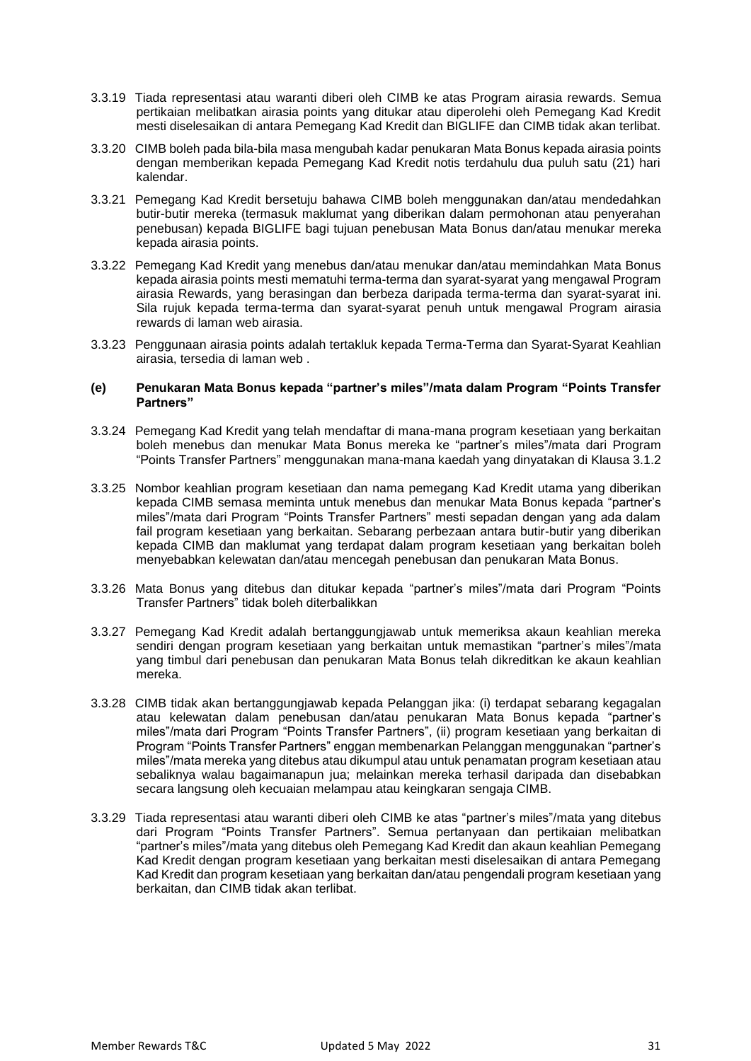- 3.3.19 Tiada representasi atau waranti diberi oleh CIMB ke atas Program airasia rewards. Semua pertikaian melibatkan airasia points yang ditukar atau diperolehi oleh Pemegang Kad Kredit mesti diselesaikan di antara Pemegang Kad Kredit dan BIGLIFE dan CIMB tidak akan terlibat.
- 3.3.20 CIMB boleh pada bila-bila masa mengubah kadar penukaran Mata Bonus kepada airasia points dengan memberikan kepada Pemegang Kad Kredit notis terdahulu dua puluh satu (21) hari kalendar.
- 3.3.21 Pemegang Kad Kredit bersetuju bahawa CIMB boleh menggunakan dan/atau mendedahkan butir-butir mereka (termasuk maklumat yang diberikan dalam permohonan atau penyerahan penebusan) kepada BIGLIFE bagi tujuan penebusan Mata Bonus dan/atau menukar mereka kepada airasia points.
- 3.3.22 Pemegang Kad Kredit yang menebus dan/atau menukar dan/atau memindahkan Mata Bonus kepada airasia points mesti mematuhi terma-terma dan syarat-syarat yang mengawal Program airasia Rewards, yang berasingan dan berbeza daripada terma-terma dan syarat-syarat ini. Sila rujuk kepada terma-terma dan syarat-syarat penuh untuk mengawal Program airasia rewards di laman web airasia.
- 3.3.23 Penggunaan airasia points adalah tertakluk kepada Terma-Terma dan Syarat-Syarat Keahlian airasia, tersedia di laman web .

#### **(e) Penukaran Mata Bonus kepada "partner's miles"/mata dalam Program "Points Transfer Partners"**

- 3.3.24 Pemegang Kad Kredit yang telah mendaftar di mana-mana program kesetiaan yang berkaitan boleh menebus dan menukar Mata Bonus mereka ke "partner's miles"/mata dari Program "Points Transfer Partners" menggunakan mana-mana kaedah yang dinyatakan di Klausa 3.1.2
- 3.3.25 Nombor keahlian program kesetiaan dan nama pemegang Kad Kredit utama yang diberikan kepada CIMB semasa meminta untuk menebus dan menukar Mata Bonus kepada "partner's miles"/mata dari Program "Points Transfer Partners" mesti sepadan dengan yang ada dalam fail program kesetiaan yang berkaitan. Sebarang perbezaan antara butir-butir yang diberikan kepada CIMB dan maklumat yang terdapat dalam program kesetiaan yang berkaitan boleh menyebabkan kelewatan dan/atau mencegah penebusan dan penukaran Mata Bonus.
- 3.3.26 Mata Bonus yang ditebus dan ditukar kepada "partner's miles"/mata dari Program "Points Transfer Partners" tidak boleh diterbalikkan
- 3.3.27 Pemegang Kad Kredit adalah bertanggungjawab untuk memeriksa akaun keahlian mereka sendiri dengan program kesetiaan yang berkaitan untuk memastikan "partner's miles"/mata yang timbul dari penebusan dan penukaran Mata Bonus telah dikreditkan ke akaun keahlian mereka.
- 3.3.28 CIMB tidak akan bertanggungjawab kepada Pelanggan jika: (i) terdapat sebarang kegagalan atau kelewatan dalam penebusan dan/atau penukaran Mata Bonus kepada "partner's miles"/mata dari Program "Points Transfer Partners", (ii) program kesetiaan yang berkaitan di Program "Points Transfer Partners" enggan membenarkan Pelanggan menggunakan "partner's miles"/mata mereka yang ditebus atau dikumpul atau untuk penamatan program kesetiaan atau sebaliknya walau bagaimanapun jua; melainkan mereka terhasil daripada dan disebabkan secara langsung oleh kecuaian melampau atau keingkaran sengaja CIMB.
- 3.3.29 Tiada representasi atau waranti diberi oleh CIMB ke atas "partner's miles"/mata yang ditebus dari Program "Points Transfer Partners". Semua pertanyaan dan pertikaian melibatkan "partner's miles"/mata yang ditebus oleh Pemegang Kad Kredit dan akaun keahlian Pemegang Kad Kredit dengan program kesetiaan yang berkaitan mesti diselesaikan di antara Pemegang Kad Kredit dan program kesetiaan yang berkaitan dan/atau pengendali program kesetiaan yang berkaitan, dan CIMB tidak akan terlibat.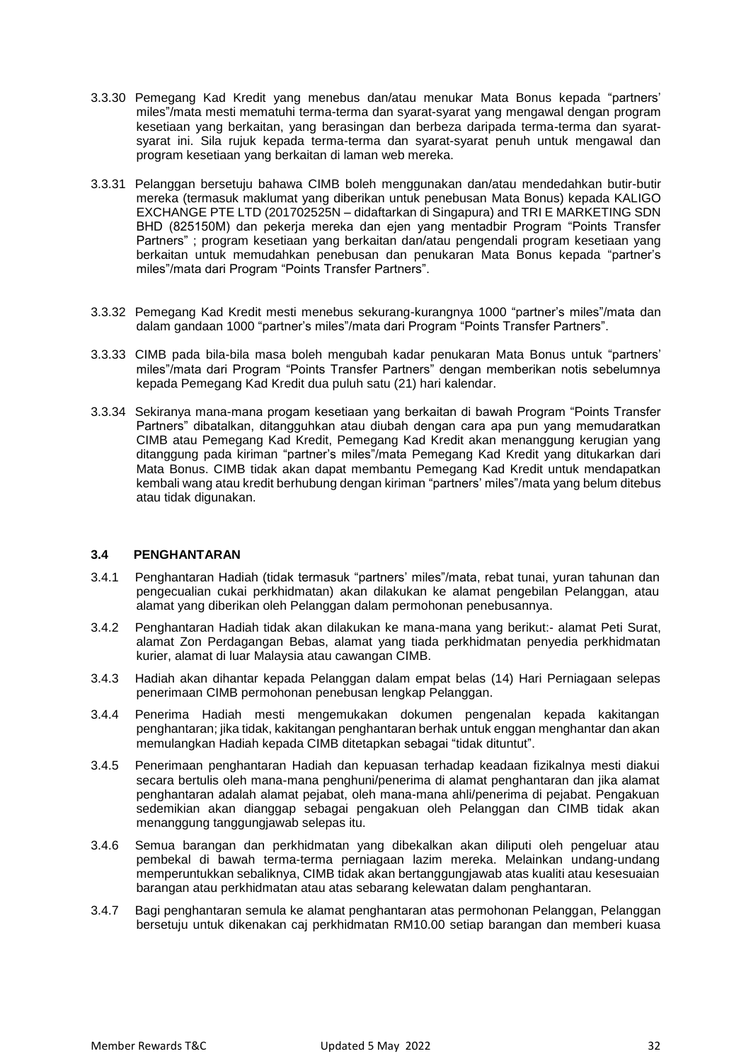- 3.3.30 Pemegang Kad Kredit yang menebus dan/atau menukar Mata Bonus kepada "partners' miles"/mata mesti mematuhi terma-terma dan syarat-syarat yang mengawal dengan program kesetiaan yang berkaitan, yang berasingan dan berbeza daripada terma-terma dan syaratsyarat ini. Sila rujuk kepada terma-terma dan syarat-syarat penuh untuk mengawal dan program kesetiaan yang berkaitan di laman web mereka.
- 3.3.31 Pelanggan bersetuju bahawa CIMB boleh menggunakan dan/atau mendedahkan butir-butir mereka (termasuk maklumat yang diberikan untuk penebusan Mata Bonus) kepada KALIGO EXCHANGE PTE LTD (201702525N – didaftarkan di Singapura) and TRI E MARKETING SDN BHD (825150M) dan pekerja mereka dan ejen yang mentadbir Program "Points Transfer Partners" ; program kesetiaan yang berkaitan dan/atau pengendali program kesetiaan yang berkaitan untuk memudahkan penebusan dan penukaran Mata Bonus kepada "partner's miles"/mata dari Program "Points Transfer Partners".
- 3.3.32 Pemegang Kad Kredit mesti menebus sekurang-kurangnya 1000 "partner's miles"/mata dan dalam gandaan 1000 "partner's miles"/mata dari Program "Points Transfer Partners".
- 3.3.33 CIMB pada bila-bila masa boleh mengubah kadar penukaran Mata Bonus untuk "partners' miles"/mata dari Program "Points Transfer Partners" dengan memberikan notis sebelumnya kepada Pemegang Kad Kredit dua puluh satu (21) hari kalendar.
- 3.3.34 Sekiranya mana-mana progam kesetiaan yang berkaitan di bawah Program "Points Transfer Partners" dibatalkan, ditangguhkan atau diubah dengan cara apa pun yang memudaratkan CIMB atau Pemegang Kad Kredit, Pemegang Kad Kredit akan menanggung kerugian yang ditanggung pada kiriman "partner's miles"/mata Pemegang Kad Kredit yang ditukarkan dari Mata Bonus. CIMB tidak akan dapat membantu Pemegang Kad Kredit untuk mendapatkan kembali wang atau kredit berhubung dengan kiriman "partners' miles"/mata yang belum ditebus atau tidak digunakan.

#### **3.4 PENGHANTARAN**

- 3.4.1 Penghantaran Hadiah (tidak termasuk "partners' miles"/mata, rebat tunai, yuran tahunan dan pengecualian cukai perkhidmatan) akan dilakukan ke alamat pengebilan Pelanggan, atau alamat yang diberikan oleh Pelanggan dalam permohonan penebusannya.
- 3.4.2 Penghantaran Hadiah tidak akan dilakukan ke mana-mana yang berikut:- alamat Peti Surat, alamat Zon Perdagangan Bebas, alamat yang tiada perkhidmatan penyedia perkhidmatan kurier, alamat di luar Malaysia atau cawangan CIMB.
- 3.4.3 Hadiah akan dihantar kepada Pelanggan dalam empat belas (14) Hari Perniagaan selepas penerimaan CIMB permohonan penebusan lengkap Pelanggan.
- 3.4.4 Penerima Hadiah mesti mengemukakan dokumen pengenalan kepada kakitangan penghantaran; jika tidak, kakitangan penghantaran berhak untuk enggan menghantar dan akan memulangkan Hadiah kepada CIMB ditetapkan sebagai "tidak dituntut".
- 3.4.5 Penerimaan penghantaran Hadiah dan kepuasan terhadap keadaan fizikalnya mesti diakui secara bertulis oleh mana-mana penghuni/penerima di alamat penghantaran dan jika alamat penghantaran adalah alamat pejabat, oleh mana-mana ahli/penerima di pejabat. Pengakuan sedemikian akan dianggap sebagai pengakuan oleh Pelanggan dan CIMB tidak akan menanggung tanggungjawab selepas itu.
- 3.4.6 Semua barangan dan perkhidmatan yang dibekalkan akan diliputi oleh pengeluar atau pembekal di bawah terma-terma perniagaan lazim mereka. Melainkan undang-undang memperuntukkan sebaliknya, CIMB tidak akan bertanggungjawab atas kualiti atau kesesuaian barangan atau perkhidmatan atau atas sebarang kelewatan dalam penghantaran.
- 3.4.7 Bagi penghantaran semula ke alamat penghantaran atas permohonan Pelanggan, Pelanggan bersetuju untuk dikenakan caj perkhidmatan RM10.00 setiap barangan dan memberi kuasa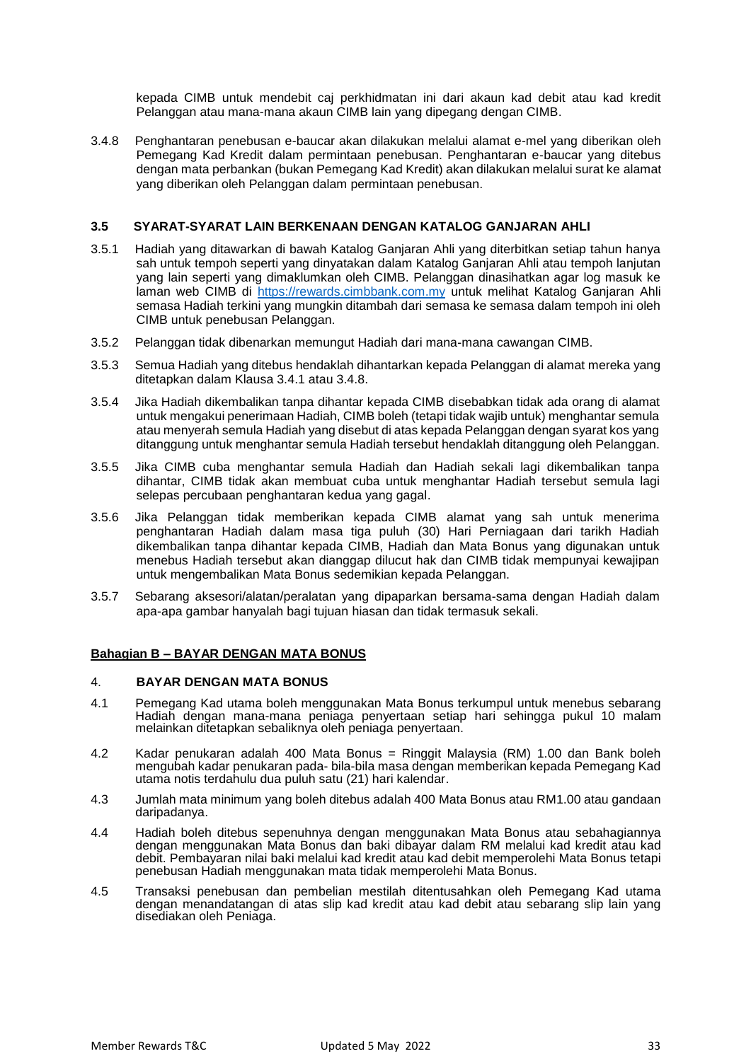kepada CIMB untuk mendebit caj perkhidmatan ini dari akaun kad debit atau kad kredit Pelanggan atau mana-mana akaun CIMB lain yang dipegang dengan CIMB.

3.4.8 Penghantaran penebusan e-baucar akan dilakukan melalui alamat e-mel yang diberikan oleh Pemegang Kad Kredit dalam permintaan penebusan. Penghantaran e-baucar yang ditebus dengan mata perbankan (bukan Pemegang Kad Kredit) akan dilakukan melalui surat ke alamat yang diberikan oleh Pelanggan dalam permintaan penebusan.

# **3.5 SYARAT-SYARAT LAIN BERKENAAN DENGAN KATALOG GANJARAN AHLI**

- 3.5.1 Hadiah yang ditawarkan di bawah Katalog Ganjaran Ahli yang diterbitkan setiap tahun hanya sah untuk tempoh seperti yang dinyatakan dalam Katalog Ganjaran Ahli atau tempoh lanjutan yang lain seperti yang dimaklumkan oleh CIMB. Pelanggan dinasihatkan agar log masuk ke laman web CIMB di [https://rewards.cimbbank.com.my](https://rewards.cimbbank.com.my/) [un](http://www.cimbislamic.com.my/)tuk melihat Katalog Ganjaran Ahli semasa Hadiah terkini yang mungkin ditambah dari semasa ke semasa dalam tempoh ini oleh CIMB untuk penebusan Pelanggan.
- 3.5.2 Pelanggan tidak dibenarkan memungut Hadiah dari mana-mana cawangan CIMB.
- 3.5.3 Semua Hadiah yang ditebus hendaklah dihantarkan kepada Pelanggan di alamat mereka yang ditetapkan dalam Klausa 3.4.1 atau 3.4.8.
- 3.5.4 Jika Hadiah dikembalikan tanpa dihantar kepada CIMB disebabkan tidak ada orang di alamat untuk mengakui penerimaan Hadiah, CIMB boleh (tetapi tidak wajib untuk) menghantar semula atau menyerah semula Hadiah yang disebut di atas kepada Pelanggan dengan syarat kos yang ditanggung untuk menghantar semula Hadiah tersebut hendaklah ditanggung oleh Pelanggan.
- 3.5.5 Jika CIMB cuba menghantar semula Hadiah dan Hadiah sekali lagi dikembalikan tanpa dihantar, CIMB tidak akan membuat cuba untuk menghantar Hadiah tersebut semula lagi selepas percubaan penghantaran kedua yang gagal.
- 3.5.6 Jika Pelanggan tidak memberikan kepada CIMB alamat yang sah untuk menerima penghantaran Hadiah dalam masa tiga puluh (30) Hari Perniagaan dari tarikh Hadiah dikembalikan tanpa dihantar kepada CIMB, Hadiah dan Mata Bonus yang digunakan untuk menebus Hadiah tersebut akan dianggap dilucut hak dan CIMB tidak mempunyai kewajipan untuk mengembalikan Mata Bonus sedemikian kepada Pelanggan.
- 3.5.7 Sebarang aksesori/alatan/peralatan yang dipaparkan bersama-sama dengan Hadiah dalam apa-apa gambar hanyalah bagi tujuan hiasan dan tidak termasuk sekali.

#### **Bahagian B – BAYAR DENGAN MATA BONUS**

#### 4. **BAYAR DENGAN MATA BONUS**

- 4.1 Pemegang Kad utama boleh menggunakan Mata Bonus terkumpul untuk menebus sebarang Hadiah dengan mana-mana peniaga penyertaan setiap hari sehingga pukul 10 malam melainkan ditetapkan sebaliknya oleh peniaga penyertaan.
- 4.2 Kadar penukaran adalah 400 Mata Bonus = Ringgit Malaysia (RM) 1.00 dan Bank boleh mengubah kadar penukaran pada- bila-bila masa dengan memberikan kepada Pemegang Kad utama notis terdahulu dua puluh satu (21) hari kalendar.
- 4.3 Jumlah mata minimum yang boleh ditebus adalah 400 Mata Bonus atau RM1.00 atau gandaan daripadanya.
- 4.4 Hadiah boleh ditebus sepenuhnya dengan menggunakan Mata Bonus atau sebahagiannya dengan menggunakan Mata Bonus dan baki dibayar dalam RM melalui kad kredit atau kad debit. Pembayaran nilai baki melalui kad kredit atau kad debit memperolehi Mata Bonus tetapi penebusan Hadiah menggunakan mata tidak memperolehi Mata Bonus.
- 4.5 Transaksi penebusan dan pembelian mestilah ditentusahkan oleh Pemegang Kad utama dengan menandatangan di atas slip kad kredit atau kad debit atau sebarang slip lain yang disediakan oleh Peniaga.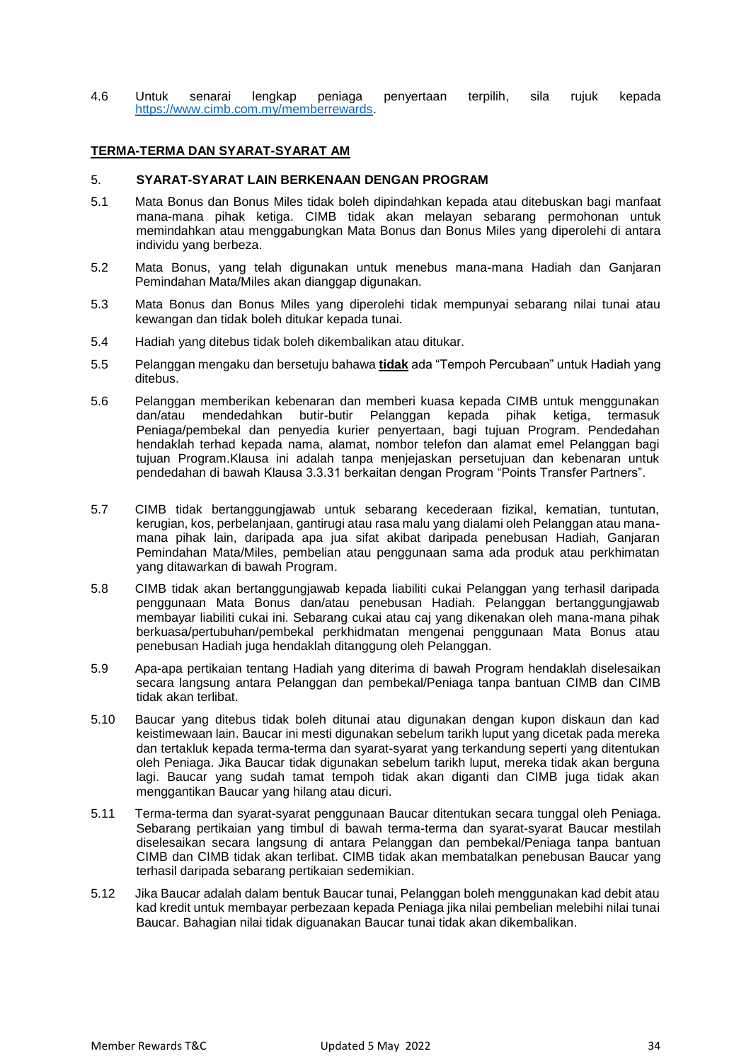4.6 Untuk senarai lengkap peniaga penyertaan terpilih, sila rujuk kepada [https://www.cimb.com.my/memberrewards.](https://www.cimb.com.my/memberrewards)

## **TERMA-TERMA DAN SYARAT-SYARAT AM**

#### 5. **SYARAT-SYARAT LAIN BERKENAAN DENGAN PROGRAM**

- 5.1 Mata Bonus dan Bonus Miles tidak boleh dipindahkan kepada atau ditebuskan bagi manfaat mana-mana pihak ketiga. CIMB tidak akan melayan sebarang permohonan untuk memindahkan atau menggabungkan Mata Bonus dan Bonus Miles yang diperolehi di antara individu yang berbeza.
- 5.2 Mata Bonus, yang telah digunakan untuk menebus mana-mana Hadiah dan Ganjaran Pemindahan Mata/Miles akan dianggap digunakan.
- 5.3 Mata Bonus dan Bonus Miles yang diperolehi tidak mempunyai sebarang nilai tunai atau kewangan dan tidak boleh ditukar kepada tunai.
- 5.4 Hadiah yang ditebus tidak boleh dikembalikan atau ditukar.
- 5.5 Pelanggan mengaku dan bersetuju bahawa **tidak** ada "Tempoh Percubaan" untuk Hadiah yang ditebus.
- 5.6 Pelanggan memberikan kebenaran dan memberi kuasa kepada CIMB untuk menggunakan dan/atau mendedahkan butir-butir Pelanggan kepada pihak ketiga, termasuk Peniaga/pembekal dan penyedia kurier penyertaan, bagi tujuan Program. Pendedahan hendaklah terhad kepada nama, alamat, nombor telefon dan alamat emel Pelanggan bagi tujuan Program.Klausa ini adalah tanpa menjejaskan persetujuan dan kebenaran untuk pendedahan di bawah Klausa 3.3.31 berkaitan dengan Program "Points Transfer Partners".
- 5.7 CIMB tidak bertanggungjawab untuk sebarang kecederaan fizikal, kematian, tuntutan, kerugian, kos, perbelanjaan, gantirugi atau rasa malu yang dialami oleh Pelanggan atau manamana pihak lain, daripada apa jua sifat akibat daripada penebusan Hadiah, Ganjaran Pemindahan Mata/Miles, pembelian atau penggunaan sama ada produk atau perkhimatan yang ditawarkan di bawah Program.
- 5.8 CIMB tidak akan bertanggungjawab kepada liabiliti cukai Pelanggan yang terhasil daripada penggunaan Mata Bonus dan/atau penebusan Hadiah. Pelanggan bertanggungjawab membayar liabiliti cukai ini. Sebarang cukai atau caj yang dikenakan oleh mana-mana pihak berkuasa/pertubuhan/pembekal perkhidmatan mengenai penggunaan Mata Bonus atau penebusan Hadiah juga hendaklah ditanggung oleh Pelanggan.
- 5.9 Apa-apa pertikaian tentang Hadiah yang diterima di bawah Program hendaklah diselesaikan secara langsung antara Pelanggan dan pembekal/Peniaga tanpa bantuan CIMB dan CIMB tidak akan terlibat.
- 5.10 Baucar yang ditebus tidak boleh ditunai atau digunakan dengan kupon diskaun dan kad keistimewaan lain. Baucar ini mesti digunakan sebelum tarikh luput yang dicetak pada mereka dan tertakluk kepada terma-terma dan syarat-syarat yang terkandung seperti yang ditentukan oleh Peniaga. Jika Baucar tidak digunakan sebelum tarikh luput, mereka tidak akan berguna lagi. Baucar yang sudah tamat tempoh tidak akan diganti dan CIMB juga tidak akan menggantikan Baucar yang hilang atau dicuri.
- 5.11 Terma-terma dan syarat-syarat penggunaan Baucar ditentukan secara tunggal oleh Peniaga. Sebarang pertikaian yang timbul di bawah terma-terma dan syarat-syarat Baucar mestilah diselesaikan secara langsung di antara Pelanggan dan pembekal/Peniaga tanpa bantuan CIMB dan CIMB tidak akan terlibat. CIMB tidak akan membatalkan penebusan Baucar yang terhasil daripada sebarang pertikaian sedemikian.
- 5.12 Jika Baucar adalah dalam bentuk Baucar tunai, Pelanggan boleh menggunakan kad debit atau kad kredit untuk membayar perbezaan kepada Peniaga jika nilai pembelian melebihi nilai tunai Baucar. Bahagian nilai tidak diguanakan Baucar tunai tidak akan dikembalikan.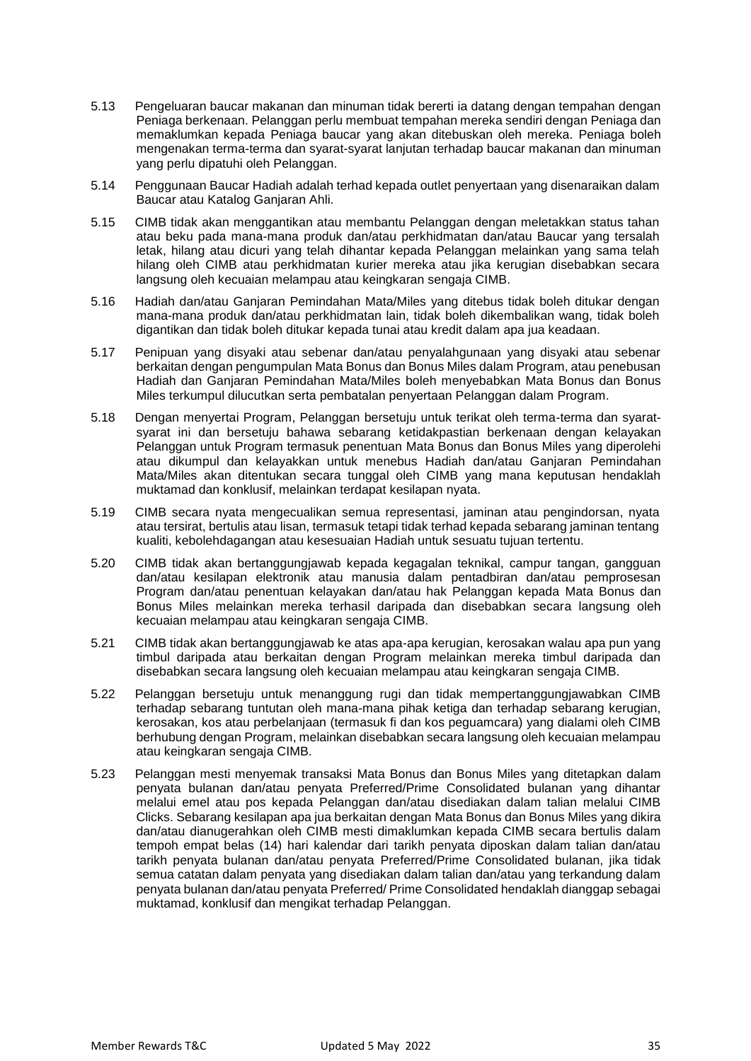- 5.13 Pengeluaran baucar makanan dan minuman tidak bererti ia datang dengan tempahan dengan Peniaga berkenaan. Pelanggan perlu membuat tempahan mereka sendiri dengan Peniaga dan memaklumkan kepada Peniaga baucar yang akan ditebuskan oleh mereka. Peniaga boleh mengenakan terma-terma dan syarat-syarat lanjutan terhadap baucar makanan dan minuman yang perlu dipatuhi oleh Pelanggan.
- 5.14 Penggunaan Baucar Hadiah adalah terhad kepada outlet penyertaan yang disenaraikan dalam Baucar atau Katalog Ganjaran Ahli.
- 5.15 CIMB tidak akan menggantikan atau membantu Pelanggan dengan meletakkan status tahan atau beku pada mana-mana produk dan/atau perkhidmatan dan/atau Baucar yang tersalah letak, hilang atau dicuri yang telah dihantar kepada Pelanggan melainkan yang sama telah hilang oleh CIMB atau perkhidmatan kurier mereka atau jika kerugian disebabkan secara langsung oleh kecuaian melampau atau keingkaran sengaja CIMB.
- 5.16 Hadiah dan/atau Ganjaran Pemindahan Mata/Miles yang ditebus tidak boleh ditukar dengan mana-mana produk dan/atau perkhidmatan lain, tidak boleh dikembalikan wang, tidak boleh digantikan dan tidak boleh ditukar kepada tunai atau kredit dalam apa jua keadaan.
- 5.17 Penipuan yang disyaki atau sebenar dan/atau penyalahgunaan yang disyaki atau sebenar berkaitan dengan pengumpulan Mata Bonus dan Bonus Miles dalam Program, atau penebusan Hadiah dan Ganjaran Pemindahan Mata/Miles boleh menyebabkan Mata Bonus dan Bonus Miles terkumpul dilucutkan serta pembatalan penyertaan Pelanggan dalam Program.
- 5.18 Dengan menyertai Program, Pelanggan bersetuju untuk terikat oleh terma-terma dan syaratsyarat ini dan bersetuju bahawa sebarang ketidakpastian berkenaan dengan kelayakan Pelanggan untuk Program termasuk penentuan Mata Bonus dan Bonus Miles yang diperolehi atau dikumpul dan kelayakkan untuk menebus Hadiah dan/atau Ganjaran Pemindahan Mata/Miles akan ditentukan secara tunggal oleh CIMB yang mana keputusan hendaklah muktamad dan konklusif, melainkan terdapat kesilapan nyata.
- 5.19 CIMB secara nyata mengecualikan semua representasi, jaminan atau pengindorsan, nyata atau tersirat, bertulis atau lisan, termasuk tetapi tidak terhad kepada sebarang jaminan tentang kualiti, kebolehdagangan atau kesesuaian Hadiah untuk sesuatu tujuan tertentu.
- 5.20 CIMB tidak akan bertanggungjawab kepada kegagalan teknikal, campur tangan, gangguan dan/atau kesilapan elektronik atau manusia dalam pentadbiran dan/atau pemprosesan Program dan/atau penentuan kelayakan dan/atau hak Pelanggan kepada Mata Bonus dan Bonus Miles melainkan mereka terhasil daripada dan disebabkan secara langsung oleh kecuaian melampau atau keingkaran sengaja CIMB.
- 5.21 CIMB tidak akan bertanggungjawab ke atas apa-apa kerugian, kerosakan walau apa pun yang timbul daripada atau berkaitan dengan Program melainkan mereka timbul daripada dan disebabkan secara langsung oleh kecuaian melampau atau keingkaran sengaja CIMB.
- 5.22 Pelanggan bersetuju untuk menanggung rugi dan tidak mempertanggungjawabkan CIMB terhadap sebarang tuntutan oleh mana-mana pihak ketiga dan terhadap sebarang kerugian, kerosakan, kos atau perbelanjaan (termasuk fi dan kos peguamcara) yang dialami oleh CIMB berhubung dengan Program, melainkan disebabkan secara langsung oleh kecuaian melampau atau keingkaran sengaja CIMB.
- 5.23 Pelanggan mesti menyemak transaksi Mata Bonus dan Bonus Miles yang ditetapkan dalam penyata bulanan dan/atau penyata Preferred/Prime Consolidated bulanan yang dihantar melalui emel atau pos kepada Pelanggan dan/atau disediakan dalam talian melalui CIMB Clicks. Sebarang kesilapan apa jua berkaitan dengan Mata Bonus dan Bonus Miles yang dikira dan/atau dianugerahkan oleh CIMB mesti dimaklumkan kepada CIMB secara bertulis dalam tempoh empat belas (14) hari kalendar dari tarikh penyata diposkan dalam talian dan/atau tarikh penyata bulanan dan/atau penyata Preferred/Prime Consolidated bulanan, jika tidak semua catatan dalam penyata yang disediakan dalam talian dan/atau yang terkandung dalam penyata bulanan dan/atau penyata Preferred/ Prime Consolidated hendaklah dianggap sebagai muktamad, konklusif dan mengikat terhadap Pelanggan.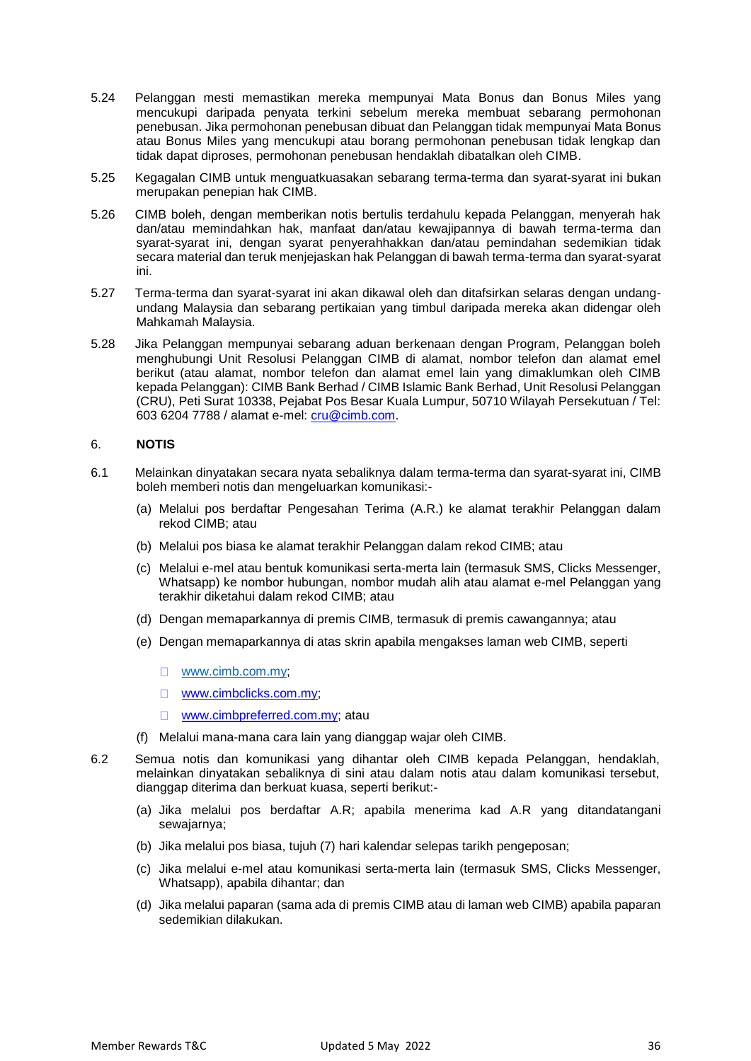- 5.24 Pelanggan mesti memastikan mereka mempunyai Mata Bonus dan Bonus Miles yang mencukupi daripada penyata terkini sebelum mereka membuat sebarang permohonan penebusan. Jika permohonan penebusan dibuat dan Pelanggan tidak mempunyai Mata Bonus atau Bonus Miles yang mencukupi atau borang permohonan penebusan tidak lengkap dan tidak dapat diproses, permohonan penebusan hendaklah dibatalkan oleh CIMB.
- 5.25 Kegagalan CIMB untuk menguatkuasakan sebarang terma-terma dan syarat-syarat ini bukan merupakan penepian hak CIMB.
- 5.26 CIMB boleh, dengan memberikan notis bertulis terdahulu kepada Pelanggan, menyerah hak dan/atau memindahkan hak, manfaat dan/atau kewajipannya di bawah terma-terma dan syarat-syarat ini, dengan syarat penyerahhakkan dan/atau pemindahan sedemikian tidak secara material dan teruk menjejaskan hak Pelanggan di bawah terma-terma dan syarat-syarat ini.
- 5.27 Terma-terma dan syarat-syarat ini akan dikawal oleh dan ditafsirkan selaras dengan undangundang Malaysia dan sebarang pertikaian yang timbul daripada mereka akan didengar oleh Mahkamah Malaysia.
- 5.28 Jika Pelanggan mempunyai sebarang aduan berkenaan dengan Program, Pelanggan boleh menghubungi Unit Resolusi Pelanggan CIMB di alamat, nombor telefon dan alamat emel berikut (atau alamat, nombor telefon dan alamat emel lain yang dimaklumkan oleh CIMB kepada Pelanggan): CIMB Bank Berhad / CIMB Islamic Bank Berhad, Unit Resolusi Pelanggan (CRU), Peti Surat 10338, Pejabat Pos Besar Kuala Lumpur, 50710 Wilayah Persekutuan / Tel: 603 6204 7788 / alamat e-mel: [cru@cimb.com.](mailto:cru@cimb.com)

## 6. **NOTIS**

- 6.1 Melainkan dinyatakan secara nyata sebaliknya dalam terma-terma dan syarat-syarat ini, CIMB boleh memberi notis dan mengeluarkan komunikasi:-
	- (a) Melalui pos berdaftar Pengesahan Terima (A.R.) ke alamat terakhir Pelanggan dalam rekod CIMB; atau
	- (b) Melalui pos biasa ke alamat terakhir Pelanggan dalam rekod CIMB; atau
	- (c) Melalui e-mel atau bentuk komunikasi serta-merta lain (termasuk SMS, Clicks Messenger, Whatsapp) ke nombor hubungan, nombor mudah alih atau alamat e-mel Pelanggan yang terakhir diketahui dalam rekod CIMB; atau
	- (d) Dengan memaparkannya di premis CIMB, termasuk di premis cawangannya; atau
	- (e) Dengan memaparkannya di atas skrin apabila mengakses laman web CIMB, seperti
		- [www.cimb.com.my;](http://www.cimb.com.my/)
		- □ www.cimbclicks.com.my;
		- $\Box$ [www.cimbpreferred.com.my;](http://www.cimbpreferred.com.my/) atau
	- (f) Melalui mana-mana cara lain yang dianggap wajar oleh CIMB.
- 6.2 Semua notis dan komunikasi yang dihantar oleh CIMB kepada Pelanggan, hendaklah, melainkan dinyatakan sebaliknya di sini atau dalam notis atau dalam komunikasi tersebut, dianggap diterima dan berkuat kuasa, seperti berikut:-
	- (a) Jika melalui pos berdaftar A.R; apabila menerima kad A.R yang ditandatangani sewajarnya;
	- (b) Jika melalui pos biasa, tujuh (7) hari kalendar selepas tarikh pengeposan;
	- (c) Jika melalui e-mel atau komunikasi serta-merta lain (termasuk SMS, Clicks Messenger, Whatsapp), apabila dihantar; dan
	- (d) Jika melalui paparan (sama ada di premis CIMB atau di laman web CIMB) apabila paparan sedemikian dilakukan.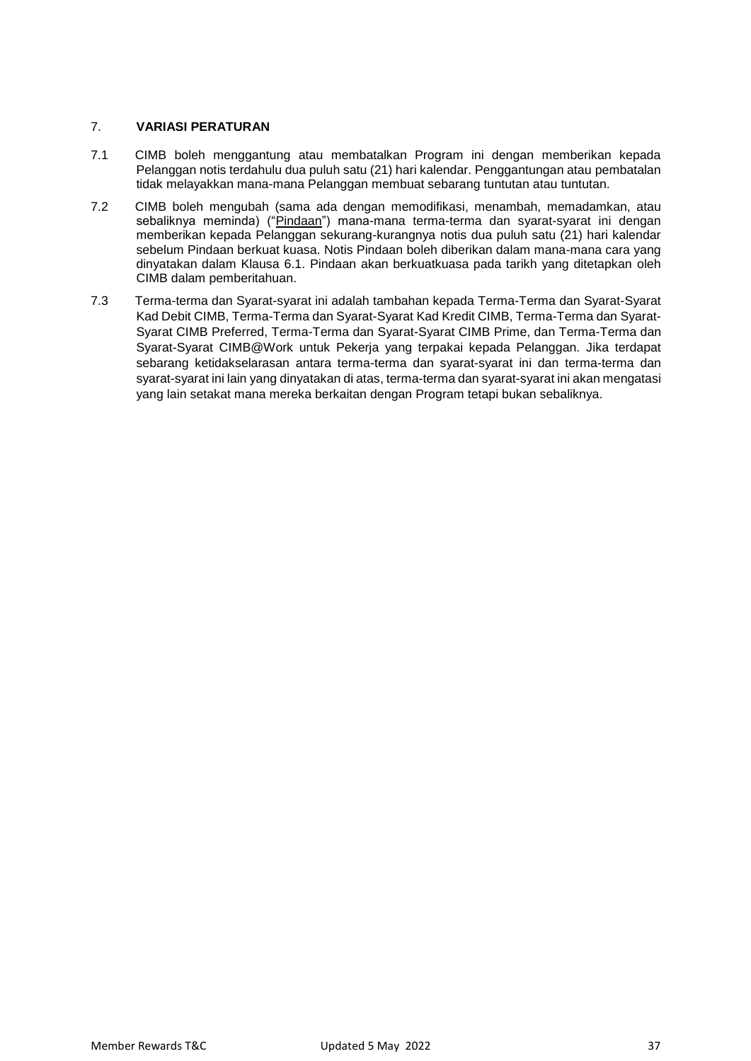## 7. **VARIASI PERATURAN**

- 7.1 CIMB boleh menggantung atau membatalkan Program ini dengan memberikan kepada Pelanggan notis terdahulu dua puluh satu (21) hari kalendar. Penggantungan atau pembatalan tidak melayakkan mana-mana Pelanggan membuat sebarang tuntutan atau tuntutan.
- 7.2 CIMB boleh mengubah (sama ada dengan memodifikasi, menambah, memadamkan, atau sebaliknya meminda) ("Pindaan") mana-mana terma-terma dan syarat-syarat ini dengan memberikan kepada Pelanggan sekurang-kurangnya notis dua puluh satu (21) hari kalendar sebelum Pindaan berkuat kuasa. Notis Pindaan boleh diberikan dalam mana-mana cara yang dinyatakan dalam Klausa 6.1. Pindaan akan berkuatkuasa pada tarikh yang ditetapkan oleh CIMB dalam pemberitahuan.
- 7.3 Terma-terma dan Syarat-syarat ini adalah tambahan kepada Terma-Terma dan Syarat-Syarat Kad Debit CIMB, Terma-Terma dan Syarat-Syarat Kad Kredit CIMB, Terma-Terma dan Syarat-Syarat CIMB Preferred, Terma-Terma dan Syarat-Syarat CIMB Prime, dan Terma-Terma dan Syarat-Syarat CIMB@Work untuk Pekerja yang terpakai kepada Pelanggan. Jika terdapat sebarang ketidakselarasan antara terma-terma dan syarat-syarat ini dan terma-terma dan syarat-syarat ini lain yang dinyatakan di atas, terma-terma dan syarat-syarat ini akan mengatasi yang lain setakat mana mereka berkaitan dengan Program tetapi bukan sebaliknya.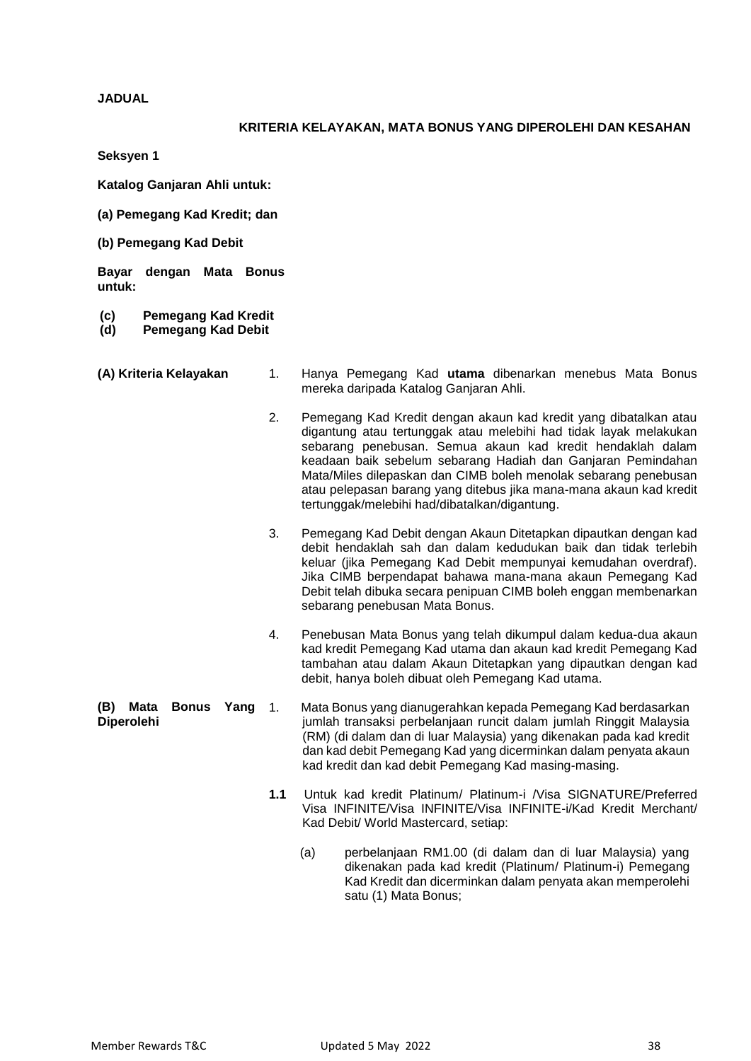**JADUAL**

## **KRITERIA KELAYAKAN, MATA BONUS YANG DIPEROLEHI DAN KESAHAN**

**Seksyen 1**

**Katalog Ganjaran Ahli untuk:**

- **(a) Pemegang Kad Kredit; dan**
- **(b) Pemegang Kad Debit**

**Bayar dengan Mata Bonus untuk:**

- **(c) Pemegang Kad Kredit**
- **(d) Pemegang Kad Debit**
- 
- **(A) Kriteria Kelayakan** 1. Hanya Pemegang Kad **utama** dibenarkan menebus Mata Bonus mereka daripada Katalog Ganjaran Ahli.
	- 2. Pemegang Kad Kredit dengan akaun kad kredit yang dibatalkan atau digantung atau tertunggak atau melebihi had tidak layak melakukan sebarang penebusan. Semua akaun kad kredit hendaklah dalam keadaan baik sebelum sebarang Hadiah dan Ganjaran Pemindahan Mata/Miles dilepaskan dan CIMB boleh menolak sebarang penebusan atau pelepasan barang yang ditebus jika mana-mana akaun kad kredit tertunggak/melebihi had/dibatalkan/digantung.
	- 3. Pemegang Kad Debit dengan Akaun Ditetapkan dipautkan dengan kad debit hendaklah sah dan dalam kedudukan baik dan tidak terlebih keluar (jika Pemegang Kad Debit mempunyai kemudahan overdraf). Jika CIMB berpendapat bahawa mana-mana akaun Pemegang Kad Debit telah dibuka secara penipuan CIMB boleh enggan membenarkan sebarang penebusan Mata Bonus.
	- 4. Penebusan Mata Bonus yang telah dikumpul dalam kedua-dua akaun kad kredit Pemegang Kad utama dan akaun kad kredit Pemegang Kad tambahan atau dalam Akaun Ditetapkan yang dipautkan dengan kad debit, hanya boleh dibuat oleh Pemegang Kad utama.
- **(B) Mata Bonus Yang Diperolehi** 1. Mata Bonus yang dianugerahkan kepada Pemegang Kad berdasarkan jumlah transaksi perbelanjaan runcit dalam jumlah Ringgit Malaysia (RM) (di dalam dan di luar Malaysia) yang dikenakan pada kad kredit dan kad debit Pemegang Kad yang dicerminkan dalam penyata akaun kad kredit dan kad debit Pemegang Kad masing-masing.
	- **1.1** Untuk kad kredit Platinum/ Platinum-i /Visa SIGNATURE/Preferred Visa INFINITE/Visa INFINITE/Visa INFINITE-i/Kad Kredit Merchant/ Kad Debit/ World Mastercard, setiap:
		- (a) perbelanjaan RM1.00 (di dalam dan di luar Malaysia) yang dikenakan pada kad kredit (Platinum/ Platinum-i) Pemegang Kad Kredit dan dicerminkan dalam penyata akan memperolehi satu (1) Mata Bonus;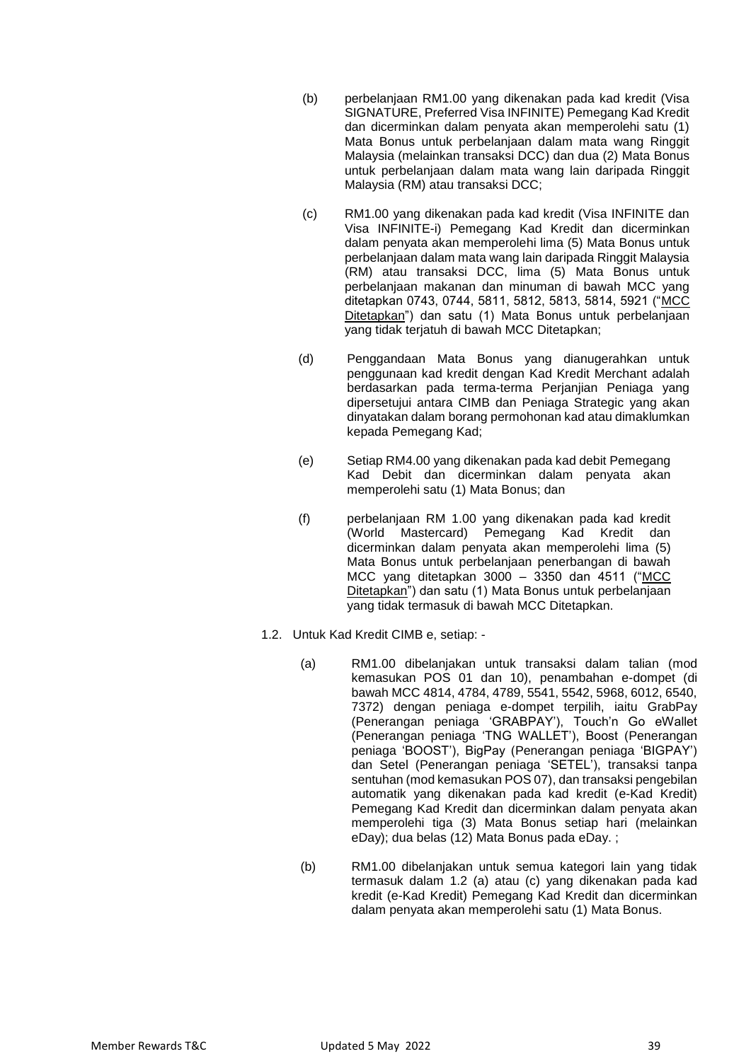- (b) perbelanjaan RM1.00 yang dikenakan pada kad kredit (Visa SIGNATURE, Preferred Visa INFINITE) Pemegang Kad Kredit dan dicerminkan dalam penyata akan memperolehi satu (1) Mata Bonus untuk perbelanjaan dalam mata wang Ringgit Malaysia (melainkan transaksi DCC) dan dua (2) Mata Bonus untuk perbelanjaan dalam mata wang lain daripada Ringgit Malaysia (RM) atau transaksi DCC;
- (c) RM1.00 yang dikenakan pada kad kredit (Visa INFINITE dan Visa INFINITE-i) Pemegang Kad Kredit dan dicerminkan dalam penyata akan memperolehi lima (5) Mata Bonus untuk perbelanjaan dalam mata wang lain daripada Ringgit Malaysia (RM) atau transaksi DCC, lima (5) Mata Bonus untuk perbelanjaan makanan dan minuman di bawah MCC yang ditetapkan 0743, 0744, 5811, 5812, 5813, 5814, 5921 ("MCC Ditetapkan") dan satu (1) Mata Bonus untuk perbelanjaan yang tidak terjatuh di bawah MCC Ditetapkan;
- (d) Penggandaan Mata Bonus yang dianugerahkan untuk penggunaan kad kredit dengan Kad Kredit Merchant adalah berdasarkan pada terma-terma Perjanjian Peniaga yang dipersetujui antara CIMB dan Peniaga Strategic yang akan dinyatakan dalam borang permohonan kad atau dimaklumkan kepada Pemegang Kad;
- (e) Setiap RM4.00 yang dikenakan pada kad debit Pemegang Kad Debit dan dicerminkan dalam penyata akan memperolehi satu (1) Mata Bonus; dan
- (f) perbelanjaan RM 1.00 yang dikenakan pada kad kredit (World Mastercard) Pemegang Kad Kredit dan dicerminkan dalam penyata akan memperolehi lima (5) Mata Bonus untuk perbelanjaan penerbangan di bawah MCC yang ditetapkan 3000 – 3350 dan 4511 ("MCC Ditetapkan") dan satu (1) Mata Bonus untuk perbelanjaan yang tidak termasuk di bawah MCC Ditetapkan.
- 1.2. Untuk Kad Kredit CIMB e, setiap:
	- (a) RM1.00 dibelanjakan untuk transaksi dalam talian (mod kemasukan POS 01 dan 10), penambahan e-dompet (di bawah MCC 4814, 4784, 4789, 5541, 5542, 5968, 6012, 6540, 7372) dengan peniaga e-dompet terpilih, iaitu GrabPay (Penerangan peniaga 'GRABPAY'), Touch'n Go eWallet (Penerangan peniaga 'TNG WALLET'), Boost (Penerangan peniaga 'BOOST'), BigPay (Penerangan peniaga 'BIGPAY') dan Setel (Penerangan peniaga 'SETEL'), transaksi tanpa sentuhan (mod kemasukan POS 07), dan transaksi pengebilan automatik yang dikenakan pada kad kredit (e-Kad Kredit) Pemegang Kad Kredit dan dicerminkan dalam penyata akan memperolehi tiga (3) Mata Bonus setiap hari (melainkan eDay); dua belas (12) Mata Bonus pada eDay. ;
	- (b) RM1.00 dibelanjakan untuk semua kategori lain yang tidak termasuk dalam 1.2 (a) atau (c) yang dikenakan pada kad kredit (e-Kad Kredit) Pemegang Kad Kredit dan dicerminkan dalam penyata akan memperolehi satu (1) Mata Bonus.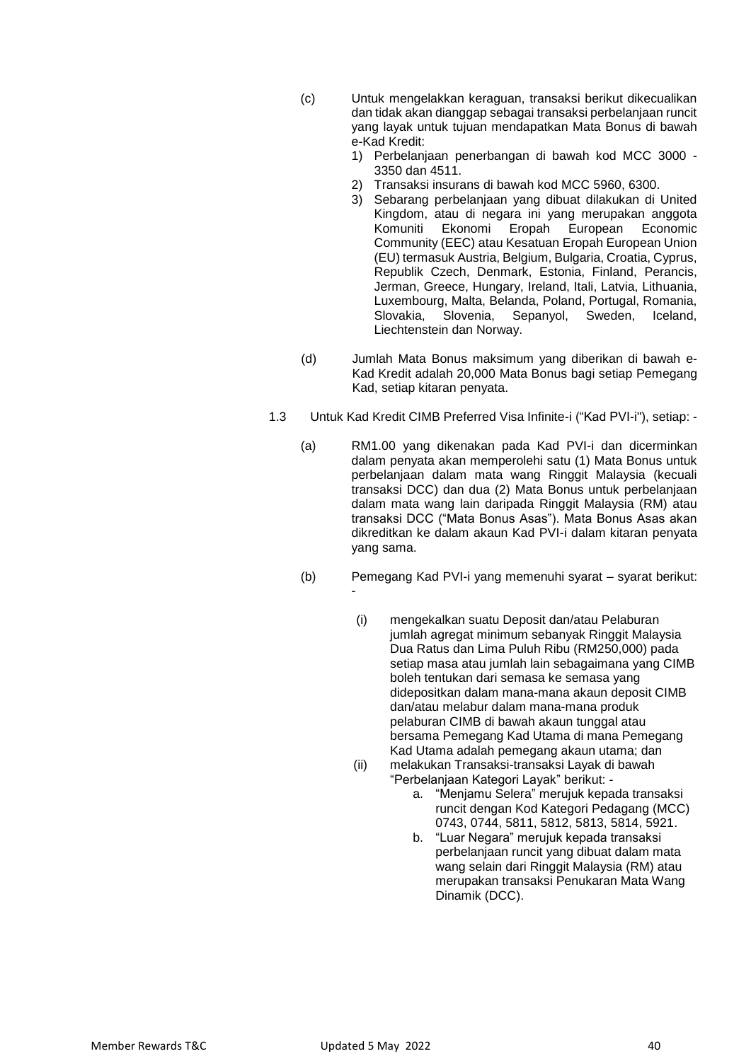- (c) Untuk mengelakkan keraguan, transaksi berikut dikecualikan dan tidak akan dianggap sebagai transaksi perbelanjaan runcit yang layak untuk tujuan mendapatkan Mata Bonus di bawah e-Kad Kredit:
	- 1) Perbelanjaan penerbangan di bawah kod MCC 3000 3350 dan 4511.
	- 2) Transaksi insurans di bawah kod MCC 5960, 6300.
	- 3) Sebarang perbelanjaan yang dibuat dilakukan di United Kingdom, atau di negara ini yang merupakan anggota Komuniti Ekonomi Eropah European Economic Community (EEC) atau Kesatuan Eropah European Union (EU) termasuk Austria, Belgium, Bulgaria, Croatia, Cyprus, Republik Czech, Denmark, Estonia, Finland, Perancis, Jerman, Greece, Hungary, Ireland, Itali, Latvia, Lithuania, Luxembourg, Malta, Belanda, Poland, Portugal, Romania, Slovakia, Slovenia, Sepanyol, Sweden, Iceland, Liechtenstein dan Norway.
- (d) Jumlah Mata Bonus maksimum yang diberikan di bawah e-Kad Kredit adalah 20,000 Mata Bonus bagi setiap Pemegang Kad, setiap kitaran penyata.
- 1.3 Untuk Kad Kredit CIMB Preferred Visa Infinite-i ("Kad PVI-i"), setiap:
	- (a) RM1.00 yang dikenakan pada Kad PVI-i dan dicerminkan dalam penyata akan memperolehi satu (1) Mata Bonus untuk perbelanjaan dalam mata wang Ringgit Malaysia (kecuali transaksi DCC) dan dua (2) Mata Bonus untuk perbelanjaan dalam mata wang lain daripada Ringgit Malaysia (RM) atau transaksi DCC ("Mata Bonus Asas"). Mata Bonus Asas akan dikreditkan ke dalam akaun Kad PVI-i dalam kitaran penyata yang sama.
	- (b) Pemegang Kad PVI-i yang memenuhi syarat syarat berikut: -
		- (i) mengekalkan suatu Deposit dan/atau Pelaburan jumlah agregat minimum sebanyak Ringgit Malaysia Dua Ratus dan Lima Puluh Ribu (RM250,000) pada setiap masa atau jumlah lain sebagaimana yang CIMB boleh tentukan dari semasa ke semasa yang didepositkan dalam mana-mana akaun deposit CIMB dan/atau melabur dalam mana-mana produk pelaburan CIMB di bawah akaun tunggal atau bersama Pemegang Kad Utama di mana Pemegang Kad Utama adalah pemegang akaun utama; dan (ii) melakukan Transaksi-transaksi Layak di bawah
			- "Perbelanjaan Kategori Layak" berikut:
				- a. "Menjamu Selera" merujuk kepada transaksi runcit dengan Kod Kategori Pedagang (MCC) 0743, 0744, 5811, 5812, 5813, 5814, 5921.
				- b. "Luar Negara" merujuk kepada transaksi perbelanjaan runcit yang dibuat dalam mata wang selain dari Ringgit Malaysia (RM) atau merupakan transaksi Penukaran Mata Wang Dinamik (DCC).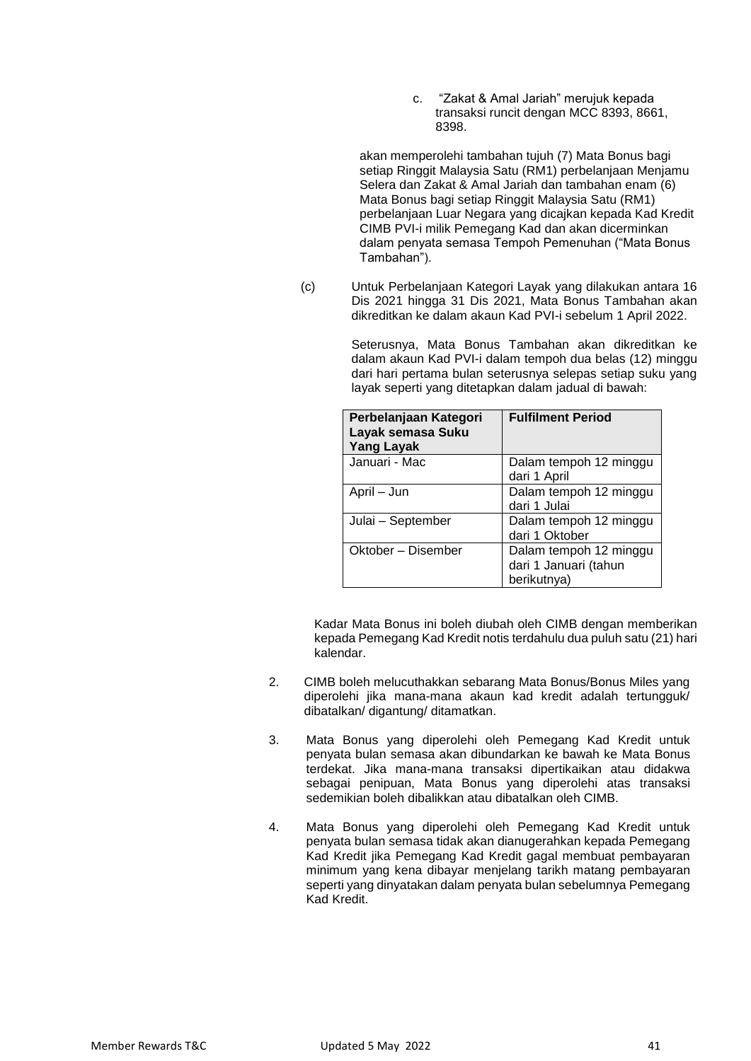c. "Zakat & Amal Jariah" merujuk kepada transaksi runcit dengan MCC 8393, 8661, 8398.

akan memperolehi tambahan tujuh (7) Mata Bonus bagi setiap Ringgit Malaysia Satu (RM1) perbelanjaan Menjamu Selera dan Zakat & Amal Jariah dan tambahan enam (6) Mata Bonus bagi setiap Ringgit Malaysia Satu (RM1) perbelanjaan Luar Negara yang dicajkan kepada Kad Kredit CIMB PVI-i milik Pemegang Kad dan akan dicerminkan dalam penyata semasa Tempoh Pemenuhan ("Mata Bonus Tambahan").

(c) Untuk Perbelanjaan Kategori Layak yang dilakukan antara 16 Dis 2021 hingga 31 Dis 2021, Mata Bonus Tambahan akan dikreditkan ke dalam akaun Kad PVI-i sebelum 1 April 2022.

> Seterusnya, Mata Bonus Tambahan akan dikreditkan ke dalam akaun Kad PVI-i dalam tempoh dua belas (12) minggu dari hari pertama bulan seterusnya selepas setiap suku yang layak seperti yang ditetapkan dalam jadual di bawah:

| Perbelanjaan Kategori<br>Layak semasa Suku<br><b>Yang Layak</b> | <b>Fulfilment Period</b>                                       |
|-----------------------------------------------------------------|----------------------------------------------------------------|
| Januari - Mac                                                   | Dalam tempoh 12 minggu<br>dari 1 April                         |
| April – Jun                                                     | Dalam tempoh 12 minggu<br>dari 1 Julai                         |
| Julai - September                                               | Dalam tempoh 12 minggu<br>dari 1 Oktober                       |
| Oktober – Disember                                              | Dalam tempoh 12 minggu<br>dari 1 Januari (tahun<br>berikutnya) |

Kadar Mata Bonus ini boleh diubah oleh CIMB dengan memberikan kepada Pemegang Kad Kredit notis terdahulu dua puluh satu (21) hari kalendar.

- 2. CIMB boleh melucuthakkan sebarang Mata Bonus/Bonus Miles yang diperolehi jika mana-mana akaun kad kredit adalah tertungguk/ dibatalkan/ digantung/ ditamatkan.
- 3. Mata Bonus yang diperolehi oleh Pemegang Kad Kredit untuk penyata bulan semasa akan dibundarkan ke bawah ke Mata Bonus terdekat. Jika mana-mana transaksi dipertikaikan atau didakwa sebagai penipuan, Mata Bonus yang diperolehi atas transaksi sedemikian boleh dibalikkan atau dibatalkan oleh CIMB.
- 4. Mata Bonus yang diperolehi oleh Pemegang Kad Kredit untuk penyata bulan semasa tidak akan dianugerahkan kepada Pemegang Kad Kredit jika Pemegang Kad Kredit gagal membuat pembayaran minimum yang kena dibayar menjelang tarikh matang pembayaran seperti yang dinyatakan dalam penyata bulan sebelumnya Pemegang Kad Kredit.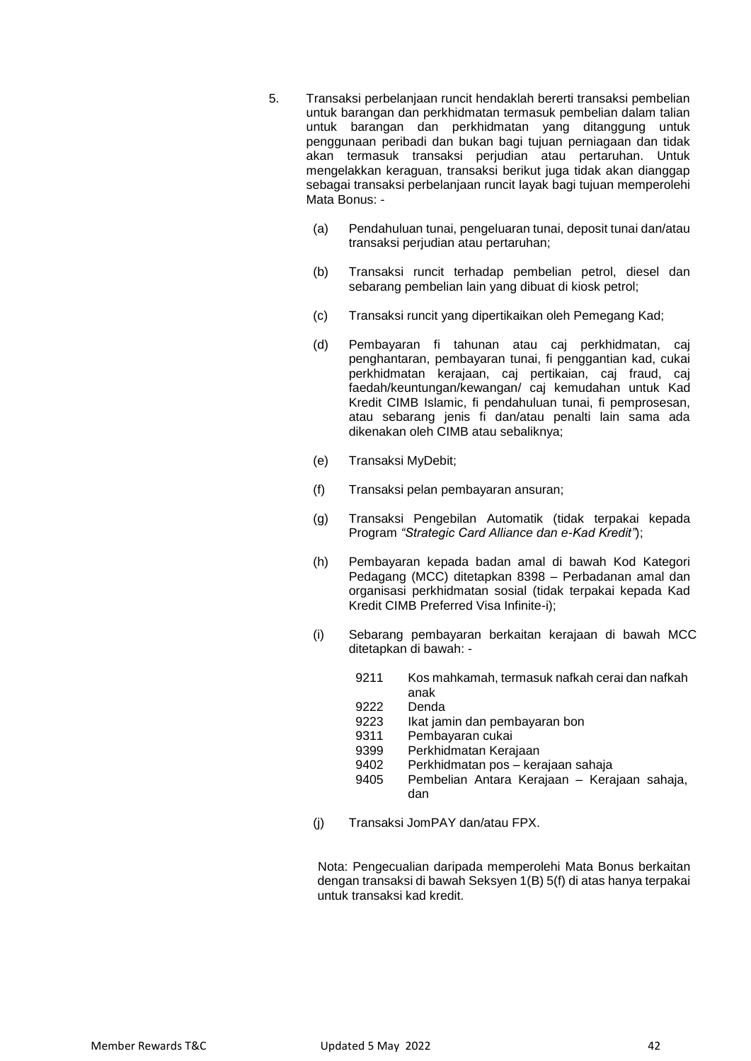- 5. Transaksi perbelanjaan runcit hendaklah bererti transaksi pembelian untuk barangan dan perkhidmatan termasuk pembelian dalam talian untuk barangan dan perkhidmatan yang ditanggung untuk penggunaan peribadi dan bukan bagi tujuan perniagaan dan tidak akan termasuk transaksi perjudian atau pertaruhan. Untuk mengelakkan keraguan, transaksi berikut juga tidak akan dianggap sebagai transaksi perbelanjaan runcit layak bagi tujuan memperolehi Mata Bonus: -
	- (a) Pendahuluan tunai, pengeluaran tunai, deposit tunai dan/atau transaksi perjudian atau pertaruhan;
	- (b) Transaksi runcit terhadap pembelian petrol, diesel dan sebarang pembelian lain yang dibuat di kiosk petrol;
	- (c) Transaksi runcit yang dipertikaikan oleh Pemegang Kad;
	- (d) Pembayaran fi tahunan atau caj perkhidmatan, caj penghantaran, pembayaran tunai, fi penggantian kad, cukai perkhidmatan kerajaan, caj pertikaian, caj fraud, caj faedah/keuntungan/kewangan/ caj kemudahan untuk Kad Kredit CIMB Islamic, fi pendahuluan tunai, fi pemprosesan, atau sebarang jenis fi dan/atau penalti lain sama ada dikenakan oleh CIMB atau sebaliknya;
	- (e) Transaksi MyDebit;
	- (f) Transaksi pelan pembayaran ansuran;
	- (g) Transaksi Pengebilan Automatik (tidak terpakai kepada Program *"Strategic Card Alliance dan e-Kad Kredit"*);
	- (h) Pembayaran kepada badan amal di bawah Kod Kategori Pedagang (MCC) ditetapkan 8398 – Perbadanan amal dan organisasi perkhidmatan sosial (tidak terpakai kepada Kad Kredit CIMB Preferred Visa Infinite-i);
	- (i) Sebarang pembayaran berkaitan kerajaan di bawah MCC ditetapkan di bawah: -
		- 9211 Kos mahkamah, termasuk nafkah cerai dan nafkah anak
		- 9222 Denda
		- 9223 Ikat jamin dan pembayaran bon
		- 9311 Pembayaran cukai
		- 9399 Perkhidmatan Kerajaan
		- 9402 Perkhidmatan pos kerajaan sahaja
		- Pembelian Antara Kerajaan Kerajaan sahaja, dan
	- (j) Transaksi JomPAY dan/atau FPX.

Nota: Pengecualian daripada memperolehi Mata Bonus berkaitan dengan transaksi di bawah Seksyen 1(B) 5(f) di atas hanya terpakai untuk transaksi kad kredit.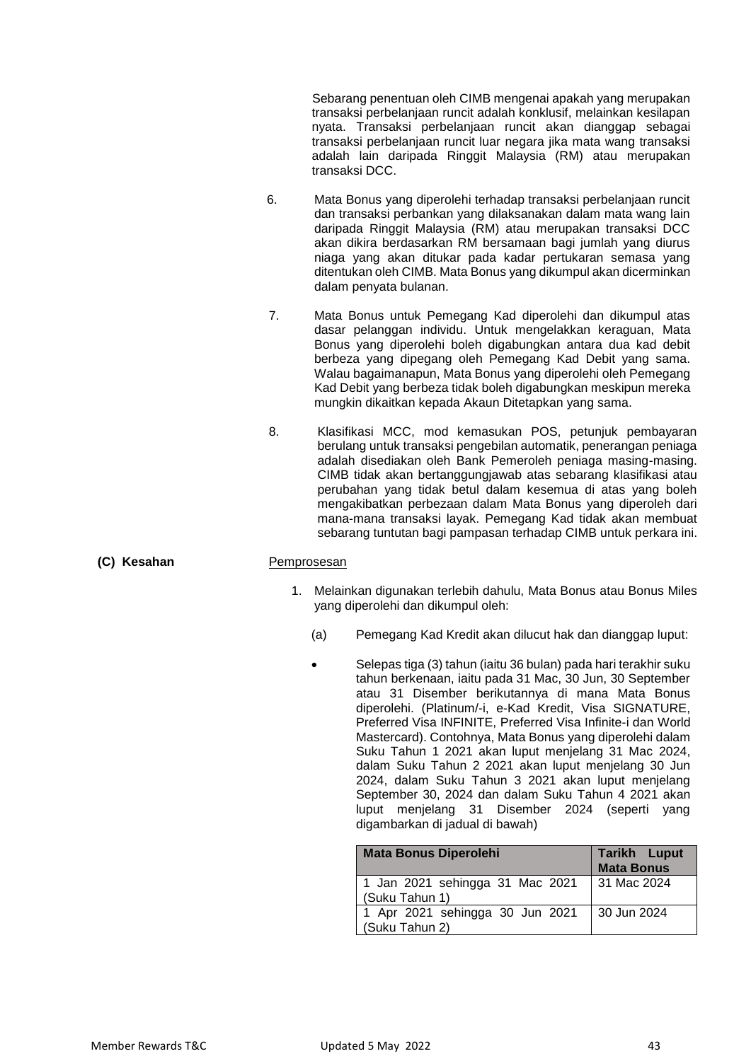Sebarang penentuan oleh CIMB mengenai apakah yang merupakan transaksi perbelanjaan runcit adalah konklusif, melainkan kesilapan nyata. Transaksi perbelanjaan runcit akan dianggap sebagai transaksi perbelanjaan runcit luar negara jika mata wang transaksi adalah lain daripada Ringgit Malaysia (RM) atau merupakan transaksi DCC.

- 6. Mata Bonus yang diperolehi terhadap transaksi perbelanjaan runcit dan transaksi perbankan yang dilaksanakan dalam mata wang lain daripada Ringgit Malaysia (RM) atau merupakan transaksi DCC akan dikira berdasarkan RM bersamaan bagi jumlah yang diurus niaga yang akan ditukar pada kadar pertukaran semasa yang ditentukan oleh CIMB. Mata Bonus yang dikumpul akan dicerminkan dalam penyata bulanan.
- 7. Mata Bonus untuk Pemegang Kad diperolehi dan dikumpul atas dasar pelanggan individu. Untuk mengelakkan keraguan, Mata Bonus yang diperolehi boleh digabungkan antara dua kad debit berbeza yang dipegang oleh Pemegang Kad Debit yang sama. Walau bagaimanapun, Mata Bonus yang diperolehi oleh Pemegang Kad Debit yang berbeza tidak boleh digabungkan meskipun mereka mungkin dikaitkan kepada Akaun Ditetapkan yang sama.
- 8. Klasifikasi MCC, mod kemasukan POS, petunjuk pembayaran berulang untuk transaksi pengebilan automatik, penerangan peniaga adalah disediakan oleh Bank Pemeroleh peniaga masing-masing. CIMB tidak akan bertanggungjawab atas sebarang klasifikasi atau perubahan yang tidak betul dalam kesemua di atas yang boleh mengakibatkan perbezaan dalam Mata Bonus yang diperoleh dari mana-mana transaksi layak. Pemegang Kad tidak akan membuat sebarang tuntutan bagi pampasan terhadap CIMB untuk perkara ini.

#### **(C) Kesahan** Pemprosesan

- 1. Melainkan digunakan terlebih dahulu, Mata Bonus atau Bonus Miles yang diperolehi dan dikumpul oleh:
	- (a) Pemegang Kad Kredit akan dilucut hak dan dianggap luput:
		- Selepas tiga (3) tahun (iaitu 36 bulan) pada hari terakhir suku tahun berkenaan, iaitu pada 31 Mac, 30 Jun, 30 September atau 31 Disember berikutannya di mana Mata Bonus diperolehi. (Platinum/-i, e-Kad Kredit, Visa SIGNATURE, Preferred Visa INFINITE, Preferred Visa Infinite-i dan World Mastercard). Contohnya, Mata Bonus yang diperolehi dalam Suku Tahun 1 2021 akan luput menjelang 31 Mac 2024, dalam Suku Tahun 2 2021 akan luput menjelang 30 Jun 2024, dalam Suku Tahun 3 2021 akan luput menjelang September 30, 2024 dan dalam Suku Tahun 4 2021 akan luput menjelang 31 Disember 2024 (seperti yang digambarkan di jadual di bawah)

| <b>Mata Bonus Diperolehi</b>    | <b>Tarikh Luput</b><br><b>Mata Bonus</b> |
|---------------------------------|------------------------------------------|
| 1 Jan 2021 sehingga 31 Mac 2021 | 31 Mac 2024                              |
| (Suku Tahun 1)                  |                                          |
| 1 Apr 2021 sehingga 30 Jun 2021 | 30 Jun 2024                              |
| (Suku Tahun 2)                  |                                          |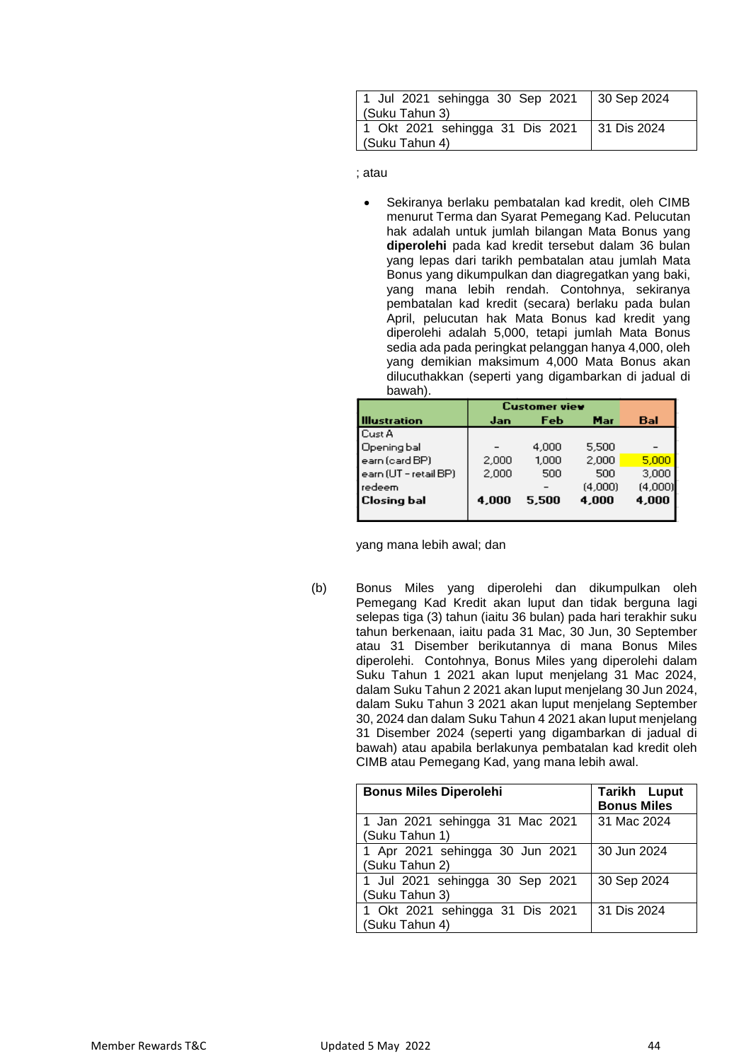| 1 Jul 2021 sehingga 30 Sep 2021 | 30 Sep 2024 |
|---------------------------------|-------------|
| (Suku Tahun 3)                  |             |
| 1 Okt 2021 sehingga 31 Dis 2021 | 31 Dis 2024 |
| (Suku Tahun 4)                  |             |

; atau

 Sekiranya berlaku pembatalan kad kredit, oleh CIMB menurut Terma dan Syarat Pemegang Kad. Pelucutan hak adalah untuk jumlah bilangan Mata Bonus yang **diperolehi** pada kad kredit tersebut dalam 36 bulan yang lepas dari tarikh pembatalan atau jumlah Mata Bonus yang dikumpulkan dan diagregatkan yang baki, yang mana lebih rendah. Contohnya, sekiranya pembatalan kad kredit (secara) berlaku pada bulan April, pelucutan hak Mata Bonus kad kredit yang diperolehi adalah 5,000, tetapi jumlah Mata Bonus sedia ada pada peringkat pelanggan hanya 4,000, oleh yang demikian maksimum 4,000 Mata Bonus akan dilucuthakkan (seperti yang digambarkan di jadual di bawah).

|                       | <b>Customer view</b> |       |         |         |
|-----------------------|----------------------|-------|---------|---------|
| lllustration          | Jan                  | Feb   | Mar     | Bal     |
| l Cust A              |                      |       |         |         |
| Opening bal           |                      | 4,000 | 5,500   |         |
| earn (card BP)        | 2,000                | 1,000 | 2,000   | 5,000   |
| earn (UT - retail BP) | 2,000                | 500   | 500     | 3,000   |
| l redeem              |                      |       | (4.000) | (4,000) |
| Closing bal           | 4,000                | 5.500 | 4,000   | 4,000   |
|                       |                      |       |         |         |

yang mana lebih awal; dan

(b) Bonus Miles yang diperolehi dan dikumpulkan oleh Pemegang Kad Kredit akan luput dan tidak berguna lagi selepas tiga (3) tahun (iaitu 36 bulan) pada hari terakhir suku tahun berkenaan, iaitu pada 31 Mac, 30 Jun, 30 September atau 31 Disember berikutannya di mana Bonus Miles diperolehi. Contohnya, Bonus Miles yang diperolehi dalam Suku Tahun 1 2021 akan luput menjelang 31 Mac 2024, dalam Suku Tahun 2 2021 akan luput menjelang 30 Jun 2024, dalam Suku Tahun 3 2021 akan luput menjelang September 30, 2024 dan dalam Suku Tahun 4 2021 akan luput menjelang 31 Disember 2024 (seperti yang digambarkan di jadual di bawah) atau apabila berlakunya pembatalan kad kredit oleh CIMB atau Pemegang Kad, yang mana lebih awal.

| <b>Bonus Miles Diperolehi</b>                     | <b>Tarikh Luput</b><br><b>Bonus Miles</b> |
|---------------------------------------------------|-------------------------------------------|
| 1 Jan 2021 sehingga 31 Mac 2021<br>(Suku Tahun 1) | 31 Mac 2024                               |
| 1 Apr 2021 sehingga 30 Jun 2021<br>(Suku Tahun 2) | 30 Jun 2024                               |
| 1 Jul 2021 sehingga 30 Sep 2021<br>(Suku Tahun 3) | 30 Sep 2024                               |
| 1 Okt 2021 sehingga 31 Dis 2021<br>(Suku Tahun 4) | 31 Dis 2024                               |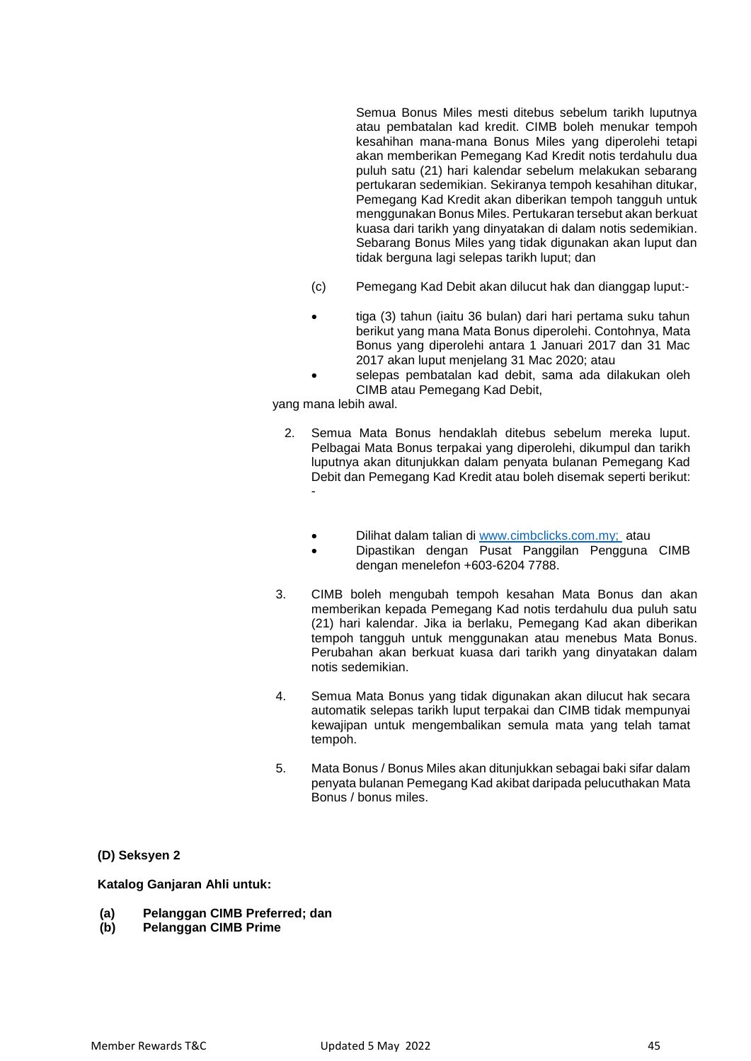Semua Bonus Miles mesti ditebus sebelum tarikh luputnya atau pembatalan kad kredit. CIMB boleh menukar tempoh kesahihan mana-mana Bonus Miles yang diperolehi tetapi akan memberikan Pemegang Kad Kredit notis terdahulu dua puluh satu (21) hari kalendar sebelum melakukan sebarang pertukaran sedemikian. Sekiranya tempoh kesahihan ditukar, Pemegang Kad Kredit akan diberikan tempoh tangguh untuk menggunakan Bonus Miles. Pertukaran tersebut akan berkuat kuasa dari tarikh yang dinyatakan di dalam notis sedemikian. Sebarang Bonus Miles yang tidak digunakan akan luput dan tidak berguna lagi selepas tarikh luput; dan

- (c) Pemegang Kad Debit akan dilucut hak dan dianggap luput:-
- tiga (3) tahun (iaitu 36 bulan) dari hari pertama suku tahun berikut yang mana Mata Bonus diperolehi. Contohnya, Mata Bonus yang diperolehi antara 1 Januari 2017 dan 31 Mac 2017 akan luput menjelang 31 Mac 2020; atau
- selepas pembatalan kad debit, sama ada dilakukan oleh CIMB atau Pemegang Kad Debit,

yang mana lebih awal.

- 2. Semua Mata Bonus hendaklah ditebus sebelum mereka luput. Pelbagai Mata Bonus terpakai yang diperolehi, dikumpul dan tarikh luputnya akan ditunjukkan dalam penyata bulanan Pemegang Kad Debit dan Pemegang Kad Kredit atau boleh disemak seperti berikut: -
	- Dilihat dalam talian di www.cimbclicks.com.my; atau
	- Dipastikan dengan Pusat Panggilan Pengguna CIMB dengan menelefon +603-6204 7788.
- 3. CIMB boleh mengubah tempoh kesahan Mata Bonus dan akan memberikan kepada Pemegang Kad notis terdahulu dua puluh satu (21) hari kalendar. Jika ia berlaku, Pemegang Kad akan diberikan tempoh tangguh untuk menggunakan atau menebus Mata Bonus. Perubahan akan berkuat kuasa dari tarikh yang dinyatakan dalam notis sedemikian.
- 4. Semua Mata Bonus yang tidak digunakan akan dilucut hak secara automatik selepas tarikh luput terpakai dan CIMB tidak mempunyai kewajipan untuk mengembalikan semula mata yang telah tamat tempoh.
- 5. Mata Bonus / Bonus Miles akan ditunjukkan sebagai baki sifar dalam penyata bulanan Pemegang Kad akibat daripada pelucuthakan Mata Bonus / bonus miles.

**(D) Seksyen 2**

**Katalog Ganjaran Ahli untuk:**

- **(a) Pelanggan CIMB Preferred; dan**
- **(b) Pelanggan CIMB Prime**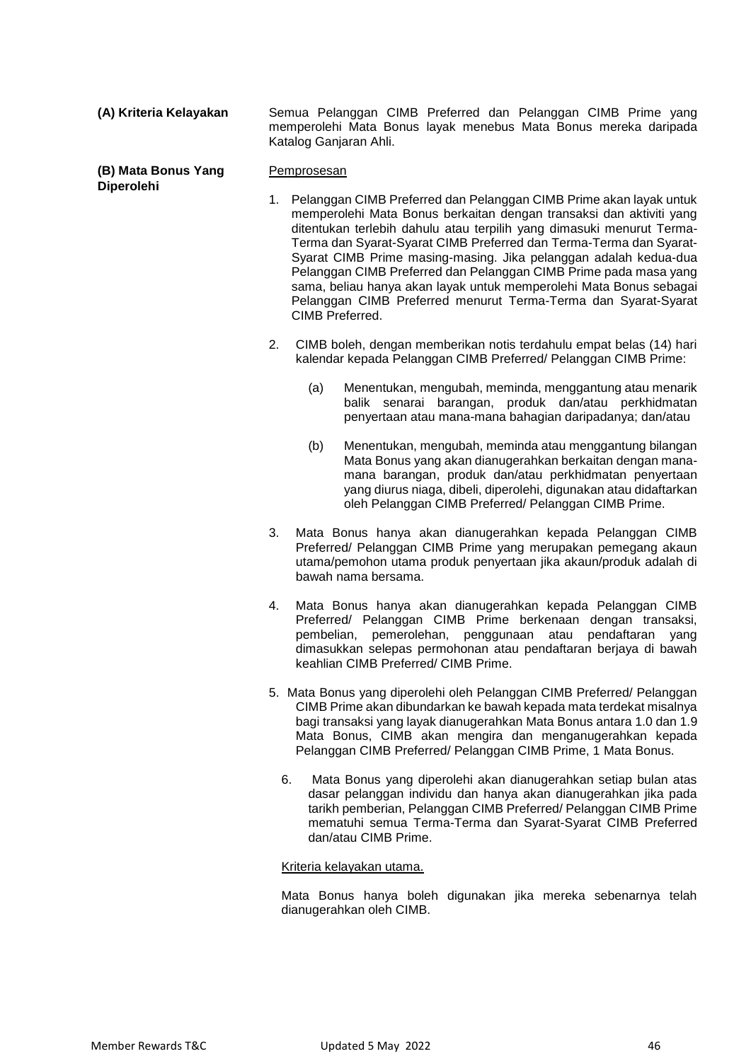**(A) Kriteria Kelayakan** Semua Pelanggan CIMB Preferred dan Pelanggan CIMB Prime yang memperolehi Mata Bonus layak menebus Mata Bonus mereka daripada Katalog Ganjaran Ahli.

#### **(B) Mata Bonus Yang Diperolehi** Pemprosesan

- 1. Pelanggan CIMB Preferred dan Pelanggan CIMB Prime akan layak untuk memperolehi Mata Bonus berkaitan dengan transaksi dan aktiviti yang ditentukan terlebih dahulu atau terpilih yang dimasuki menurut Terma-Terma dan Syarat-Syarat CIMB Preferred dan Terma-Terma dan Syarat-Syarat CIMB Prime masing-masing. Jika pelanggan adalah kedua-dua Pelanggan CIMB Preferred dan Pelanggan CIMB Prime pada masa yang sama, beliau hanya akan layak untuk memperolehi Mata Bonus sebagai Pelanggan CIMB Preferred menurut Terma-Terma dan Syarat-Syarat CIMB Preferred.
- 2. CIMB boleh, dengan memberikan notis terdahulu empat belas (14) hari kalendar kepada Pelanggan CIMB Preferred/ Pelanggan CIMB Prime:
	- (a) Menentukan, mengubah, meminda, menggantung atau menarik balik senarai barangan, produk dan/atau perkhidmatan penyertaan atau mana-mana bahagian daripadanya; dan/atau
	- (b) Menentukan, mengubah, meminda atau menggantung bilangan Mata Bonus yang akan dianugerahkan berkaitan dengan manamana barangan, produk dan/atau perkhidmatan penyertaan yang diurus niaga, dibeli, diperolehi, digunakan atau didaftarkan oleh Pelanggan CIMB Preferred/ Pelanggan CIMB Prime.
- 3. Mata Bonus hanya akan dianugerahkan kepada Pelanggan CIMB Preferred/ Pelanggan CIMB Prime yang merupakan pemegang akaun utama/pemohon utama produk penyertaan jika akaun/produk adalah di bawah nama bersama.
- 4. Mata Bonus hanya akan dianugerahkan kepada Pelanggan CIMB Preferred/ Pelanggan CIMB Prime berkenaan dengan transaksi, pembelian, pemerolehan, penggunaan atau pendaftaran yang dimasukkan selepas permohonan atau pendaftaran berjaya di bawah keahlian CIMB Preferred/ CIMB Prime.
- 5. Mata Bonus yang diperolehi oleh Pelanggan CIMB Preferred/ Pelanggan CIMB Prime akan dibundarkan ke bawah kepada mata terdekat misalnya bagi transaksi yang layak dianugerahkan Mata Bonus antara 1.0 dan 1.9 Mata Bonus, CIMB akan mengira dan menganugerahkan kepada Pelanggan CIMB Preferred/ Pelanggan CIMB Prime, 1 Mata Bonus.
	- 6. Mata Bonus yang diperolehi akan dianugerahkan setiap bulan atas dasar pelanggan individu dan hanya akan dianugerahkan jika pada tarikh pemberian, Pelanggan CIMB Preferred/ Pelanggan CIMB Prime mematuhi semua Terma-Terma dan Syarat-Syarat CIMB Preferred dan/atau CIMB Prime.

#### Kriteria kelayakan utama.

Mata Bonus hanya boleh digunakan jika mereka sebenarnya telah dianugerahkan oleh CIMB.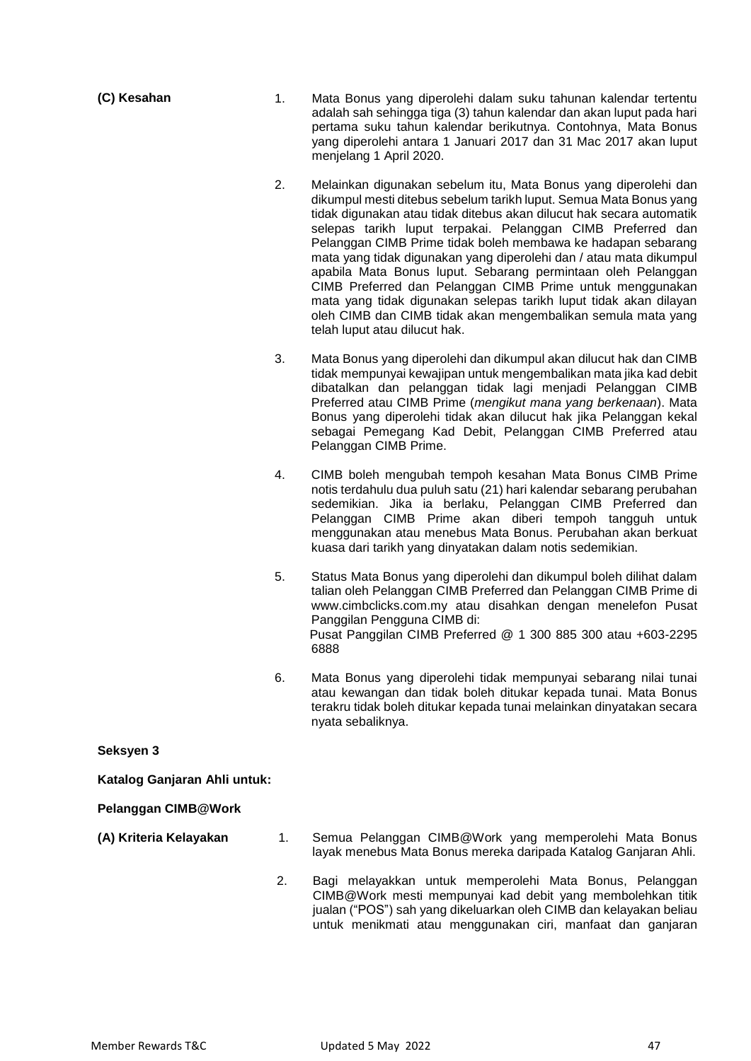| (C) Kesahan | 1. | Mata Bonus yang diperolehi dalam suku tahunan kalendar tertentu<br>adalah sah sehingga tiga (3) tahun kalendar dan akan luput pada hari<br>pertama suku tahun kalendar berikutnya. Contohnya, Mata Bonus<br>yang diperolehi antara 1 Januari 2017 dan 31 Mac 2017 akan luput<br>menjelang 1 April 2020. |
|-------------|----|---------------------------------------------------------------------------------------------------------------------------------------------------------------------------------------------------------------------------------------------------------------------------------------------------------|
|             |    | Melainkan digunakan sebelum itu, Mata Bonus yang diperolehi dan<br>dikumpul mesti ditebus sebelum tarikh luput. Semua Mata Bonus yang                                                                                                                                                                   |

- tidak digunakan atau tidak ditebus akan dilucut hak secara automatik selepas tarikh luput terpakai. Pelanggan CIMB Preferred dan Pelanggan CIMB Prime tidak boleh membawa ke hadapan sebarang mata yang tidak digunakan yang diperolehi dan / atau mata dikumpul apabila Mata Bonus luput. Sebarang permintaan oleh Pelanggan CIMB Preferred dan Pelanggan CIMB Prime untuk menggunakan mata yang tidak digunakan selepas tarikh luput tidak akan dilayan oleh CIMB dan CIMB tidak akan mengembalikan semula mata yang telah luput atau dilucut hak.
- 3. Mata Bonus yang diperolehi dan dikumpul akan dilucut hak dan CIMB tidak mempunyai kewajipan untuk mengembalikan mata jika kad debit dibatalkan dan pelanggan tidak lagi menjadi Pelanggan CIMB Preferred atau CIMB Prime (*mengikut mana yang berkenaan*). Mata Bonus yang diperolehi tidak akan dilucut hak jika Pelanggan kekal sebagai Pemegang Kad Debit, Pelanggan CIMB Preferred atau Pelanggan CIMB Prime.
- 4. CIMB boleh mengubah tempoh kesahan Mata Bonus CIMB Prime notis terdahulu dua puluh satu (21) hari kalendar sebarang perubahan sedemikian. Jika ia berlaku, Pelanggan CIMB Preferred dan Pelanggan CIMB Prime akan diberi tempoh tangguh untuk menggunakan atau menebus Mata Bonus. Perubahan akan berkuat kuasa dari tarikh yang dinyatakan dalam notis sedemikian.
- 5. Status Mata Bonus yang diperolehi dan dikumpul boleh dilihat dalam talian oleh Pelanggan CIMB Preferred dan Pelanggan CIMB Prime di [www.cimbclicks.com.my a](http://www.cimbclicks.com.my/)tau disahkan dengan menelefon Pusat Panggilan Pengguna CIMB di: Pusat Panggilan CIMB Preferred @ 1 300 885 300 atau +603-2295 6888
- 6. Mata Bonus yang diperolehi tidak mempunyai sebarang nilai tunai atau kewangan dan tidak boleh ditukar kepada tunai. Mata Bonus terakru tidak boleh ditukar kepada tunai melainkan dinyatakan secara nyata sebaliknya.

**Seksyen 3**

**Katalog Ganjaran Ahli untuk:**

**Pelanggan CIMB@Work** 

- 
- **(A) Kriteria Kelayakan** 1. Semua Pelanggan CIMB@Work yang memperolehi Mata Bonus layak menebus Mata Bonus mereka daripada Katalog Ganjaran Ahli.
	- 2. Bagi melayakkan untuk memperolehi Mata Bonus, Pelanggan CIMB@Work mesti mempunyai kad debit yang membolehkan titik jualan ("POS") sah yang dikeluarkan oleh CIMB dan kelayakan beliau untuk menikmati atau menggunakan ciri, manfaat dan ganjaran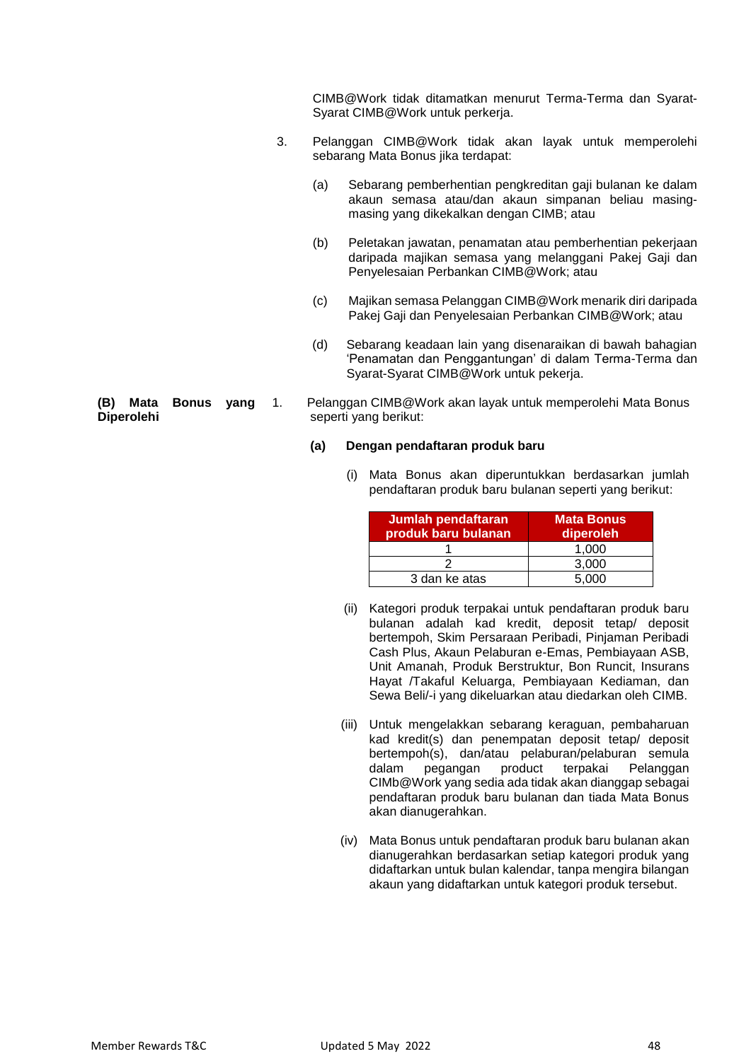CIMB@Work tidak ditamatkan menurut Terma-Terma dan Syarat-Syarat CIMB@Work untuk perkerja.

- 3. Pelanggan CIMB@Work tidak akan layak untuk memperolehi sebarang Mata Bonus jika terdapat:
	- (a) Sebarang pemberhentian pengkreditan gaji bulanan ke dalam akaun semasa atau/dan akaun simpanan beliau masingmasing yang dikekalkan dengan CIMB; atau
	- (b) Peletakan jawatan, penamatan atau pemberhentian pekerjaan daripada majikan semasa yang melanggani Pakej Gaji dan Penyelesaian Perbankan CIMB@Work; atau
	- (c) Majikan semasa Pelanggan CIMB@Work menarik diri daripada Pakej Gaji dan Penyelesaian Perbankan CIMB@Work; atau
	- (d) Sebarang keadaan lain yang disenaraikan di bawah bahagian 'Penamatan dan Penggantungan' di dalam Terma-Terma dan Syarat-Syarat CIMB@Work untuk pekerja.
- 1. Pelanggan CIMB@Work akan layak untuk memperolehi Mata Bonus seperti yang berikut:

#### **(a) Dengan pendaftaran produk baru**

(i) Mata Bonus akan diperuntukkan berdasarkan jumlah pendaftaran produk baru bulanan seperti yang berikut:

| Jumlah pendaftaran<br>produk baru bulanan | <b>Mata Bonus</b><br>diperoleh |
|-------------------------------------------|--------------------------------|
|                                           | 1.000                          |
|                                           | 3.000                          |
| 3 dan ke atas                             | 5.000                          |

- (ii) Kategori produk terpakai untuk pendaftaran produk baru bulanan adalah kad kredit, deposit tetap/ deposit bertempoh, Skim Persaraan Peribadi, Pinjaman Peribadi Cash Plus, Akaun Pelaburan e-Emas, Pembiayaan ASB, Unit Amanah, Produk Berstruktur, Bon Runcit, Insurans Hayat /Takaful Keluarga, Pembiayaan Kediaman, dan Sewa Beli/-i yang dikeluarkan atau diedarkan oleh CIMB.
- (iii) Untuk mengelakkan sebarang keraguan, pembaharuan kad kredit(s) dan penempatan deposit tetap/ deposit bertempoh(s), dan/atau pelaburan/pelaburan semula<br>dalam pegangan product terpakai Pelanggan dalam pegangan product terpakai Pelanggan CIMb@Work yang sedia ada tidak akan dianggap sebagai pendaftaran produk baru bulanan dan tiada Mata Bonus akan dianugerahkan.
- (iv) Mata Bonus untuk pendaftaran produk baru bulanan akan dianugerahkan berdasarkan setiap kategori produk yang didaftarkan untuk bulan kalendar, tanpa mengira bilangan akaun yang didaftarkan untuk kategori produk tersebut.

**(B) Mata Bonus yang Diperolehi**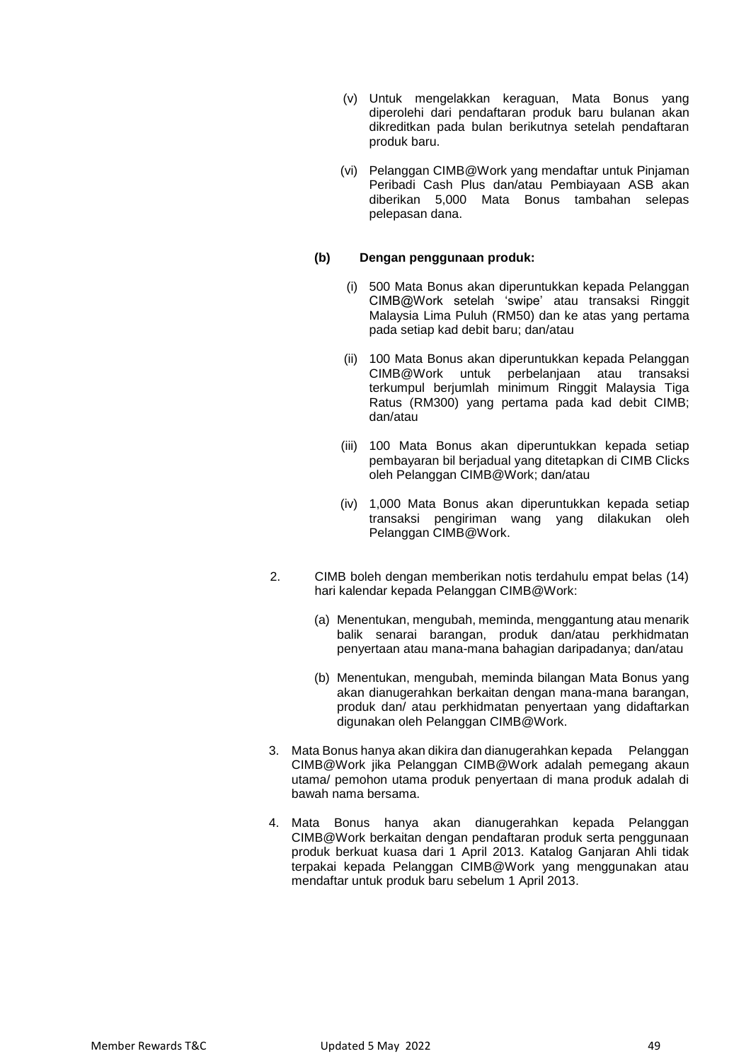- (v) Untuk mengelakkan keraguan, Mata Bonus yang diperolehi dari pendaftaran produk baru bulanan akan dikreditkan pada bulan berikutnya setelah pendaftaran produk baru.
- (vi) Pelanggan CIMB@Work yang mendaftar untuk Pinjaman Peribadi Cash Plus dan/atau Pembiayaan ASB akan diberikan 5,000 Mata Bonus tambahan selepas pelepasan dana.

## **(b) Dengan penggunaan produk:**

- (i) 500 Mata Bonus akan diperuntukkan kepada Pelanggan CIMB@Work setelah 'swipe' atau transaksi Ringgit Malaysia Lima Puluh (RM50) dan ke atas yang pertama pada setiap kad debit baru; dan/atau
- (ii) 100 Mata Bonus akan diperuntukkan kepada Pelanggan CIMB@Work untuk perbelanjaan atau transaksi terkumpul berjumlah minimum Ringgit Malaysia Tiga Ratus (RM300) yang pertama pada kad debit CIMB; dan/atau
- (iii) 100 Mata Bonus akan diperuntukkan kepada setiap pembayaran bil berjadual yang ditetapkan di CIMB Clicks oleh Pelanggan CIMB@Work; dan/atau
- (iv) 1,000 Mata Bonus akan diperuntukkan kepada setiap transaksi pengiriman wang yang dilakukan oleh Pelanggan CIMB@Work.
- 2. CIMB boleh dengan memberikan notis terdahulu empat belas (14) hari kalendar kepada Pelanggan CIMB@Work:
	- (a) Menentukan, mengubah, meminda, menggantung atau menarik balik senarai barangan, produk dan/atau perkhidmatan penyertaan atau mana-mana bahagian daripadanya; dan/atau
	- (b) Menentukan, mengubah, meminda bilangan Mata Bonus yang akan dianugerahkan berkaitan dengan mana-mana barangan, produk dan/ atau perkhidmatan penyertaan yang didaftarkan digunakan oleh Pelanggan CIMB@Work.
- 3. Mata Bonus hanya akan dikira dan dianugerahkan kepada Pelanggan CIMB@Work jika Pelanggan CIMB@Work adalah pemegang akaun utama/ pemohon utama produk penyertaan di mana produk adalah di bawah nama bersama.
- 4. Mata Bonus hanya akan dianugerahkan kepada Pelanggan CIMB@Work berkaitan dengan pendaftaran produk serta penggunaan produk berkuat kuasa dari 1 April 2013. Katalog Ganjaran Ahli tidak terpakai kepada Pelanggan CIMB@Work yang menggunakan atau mendaftar untuk produk baru sebelum 1 April 2013.